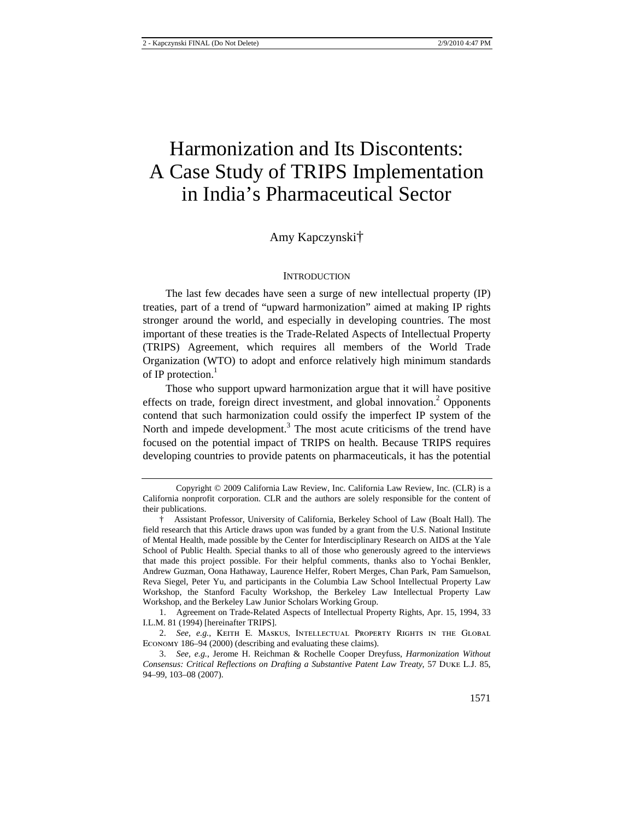# Harmonization and Its Discontents: A Case Study of TRIPS Implementation in India's Pharmaceutical Sector

## Amy Kapczynski†

## **INTRODUCTION**

The last few decades have seen a surge of new intellectual property (IP) treaties, part of a trend of "upward harmonization" aimed at making IP rights stronger around the world, and especially in developing countries. The most important of these treaties is the Trade-Related Aspects of Intellectual Property (TRIPS) Agreement, which requires all members of the World Trade Organization (WTO) to adopt and enforce relatively high minimum standards of IP protection.<sup>1</sup>

Those who support upward harmonization argue that it will have positive effects on trade, foreign direct investment, and global innovation.<sup>2</sup> Opponents contend that such harmonization could ossify the imperfect IP system of the North and impede development.<sup>3</sup> The most acute criticisms of the trend have focused on the potential impact of TRIPS on health. Because TRIPS requires developing countries to provide patents on pharmaceuticals, it has the potential

Copyright © 2009 California Law Review, Inc. California Law Review, Inc. (CLR) is a California nonprofit corporation. CLR and the authors are solely responsible for the content of their publications.

<sup>†</sup> Assistant Professor, University of California, Berkeley School of Law (Boalt Hall). The field research that this Article draws upon was funded by a grant from the U.S. National Institute of Mental Health, made possible by the Center for Interdisciplinary Research on AIDS at the Yale School of Public Health. Special thanks to all of those who generously agreed to the interviews that made this project possible. For their helpful comments, thanks also to Yochai Benkler, Andrew Guzman, Oona Hathaway, Laurence Helfer, Robert Merges, Chan Park, Pam Samuelson, Reva Siegel, Peter Yu, and participants in the Columbia Law School Intellectual Property Law Workshop, the Stanford Faculty Workshop, the Berkeley Law Intellectual Property Law Workshop, and the Berkeley Law Junior Scholars Working Group.

<sup>1.</sup> Agreement on Trade-Related Aspects of Intellectual Property Rights, Apr. 15, 1994, 33 I.L.M. 81 (1994) [hereinafter TRIPS].

<sup>2.</sup> *See, e.g.*, Keith E. Maskus, Intellectual Property Rights in the Global Economy 186–94 (2000) (describing and evaluating these claims).

<sup>3.</sup> *See, e.g.*, Jerome H. Reichman & Rochelle Cooper Dreyfuss, *Harmonization Without Consensus: Critical Reflections on Drafting a Substantive Patent Law Treaty*, 57 Duke L.J. 85, 94–99, 103–08 (2007).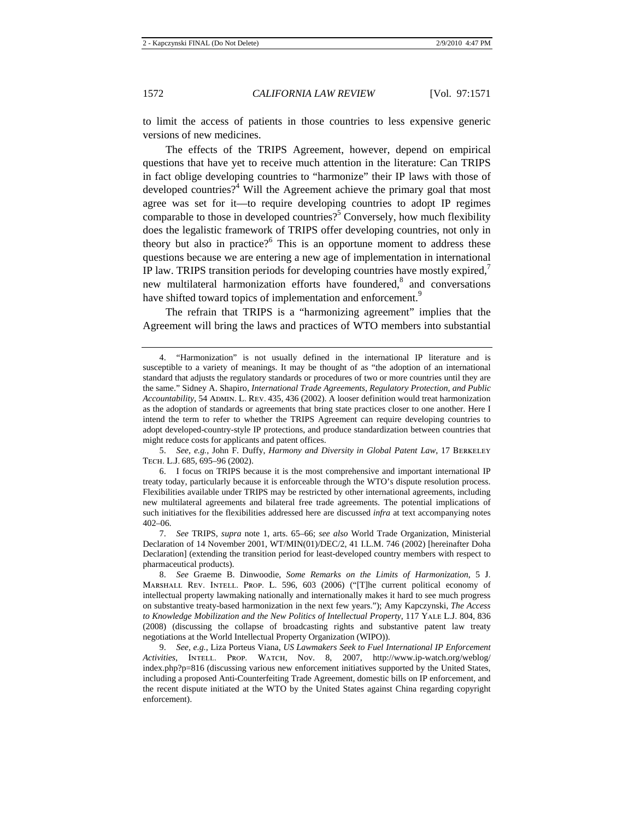to limit the access of patients in those countries to less expensive generic versions of new medicines.

The effects of the TRIPS Agreement, however, depend on empirical questions that have yet to receive much attention in the literature: Can TRIPS in fact oblige developing countries to "harmonize" their IP laws with those of developed countries?<sup>4</sup> Will the Agreement achieve the primary goal that most agree was set for it—to require developing countries to adopt IP regimes comparable to those in developed countries?<sup>5</sup> Conversely, how much flexibility does the legalistic framework of TRIPS offer developing countries, not only in theory but also in practice? $6$  This is an opportune moment to address these questions because we are entering a new age of implementation in international IP law. TRIPS transition periods for developing countries have mostly expired, $\overline{7}$ new multilateral harmonization efforts have foundered,<sup>8</sup> and conversations have shifted toward topics of implementation and enforcement.<sup>9</sup>

The refrain that TRIPS is a "harmonizing agreement" implies that the Agreement will bring the laws and practices of WTO members into substantial

<sup>4. &</sup>quot;Harmonization" is not usually defined in the international IP literature and is susceptible to a variety of meanings. It may be thought of as "the adoption of an international standard that adjusts the regulatory standards or procedures of two or more countries until they are the same." Sidney A. Shapiro, *International Trade Agreements, Regulatory Protection, and Public Accountability*, 54 Admin. L. Rev. 435, 436 (2002). A looser definition would treat harmonization as the adoption of standards or agreements that bring state practices closer to one another. Here I intend the term to refer to whether the TRIPS Agreement can require developing countries to adopt developed-country-style IP protections, and produce standardization between countries that might reduce costs for applicants and patent offices.

<sup>5.</sup> *See, e.g.*, John F. Duffy, *Harmony and Diversity in Global Patent Law*, 17 Berkeley Tech. L.J. 685, 695–96 (2002).

<sup>6.</sup> I focus on TRIPS because it is the most comprehensive and important international IP treaty today, particularly because it is enforceable through the WTO's dispute resolution process. Flexibilities available under TRIPS may be restricted by other international agreements, including new multilateral agreements and bilateral free trade agreements. The potential implications of such initiatives for the flexibilities addressed here are discussed *infra* at text accompanying notes 402–06.

<sup>7.</sup> *See* TRIPS, *supra* note 1, arts. 65–66; *see also* World Trade Organization, Ministerial Declaration of 14 November 2001, WT/MIN(01)/DEC/2, 41 I.L.M. 746 (2002) [hereinafter Doha Declaration] (extending the transition period for least-developed country members with respect to pharmaceutical products).

<sup>8.</sup> *See* Graeme B. Dinwoodie, *Some Remarks on the Limits of Harmonization*, 5 J. Marshall Rev. Intell. Prop. L. 596, 603 (2006) ("[T]he current political economy of intellectual property lawmaking nationally and internationally makes it hard to see much progress on substantive treaty-based harmonization in the next few years."); Amy Kapczynski, *The Access to Knowledge Mobilization and the New Politics of Intellectual Property*, 117 Yale L.J. 804, 836 (2008) (discussing the collapse of broadcasting rights and substantive patent law treaty negotiations at the World Intellectual Property Organization (WIPO)).

<sup>9.</sup> *See, e.g.*, Liza Porteus Viana, *US Lawmakers Seek to Fuel International IP Enforcement Activities*, Intell. Prop. Watch, Nov. 8, 2007, http://www.ip-watch.org/weblog/ index.php?p=816 (discussing various new enforcement initiatives supported by the United States, including a proposed Anti-Counterfeiting Trade Agreement, domestic bills on IP enforcement, and the recent dispute initiated at the WTO by the United States against China regarding copyright enforcement).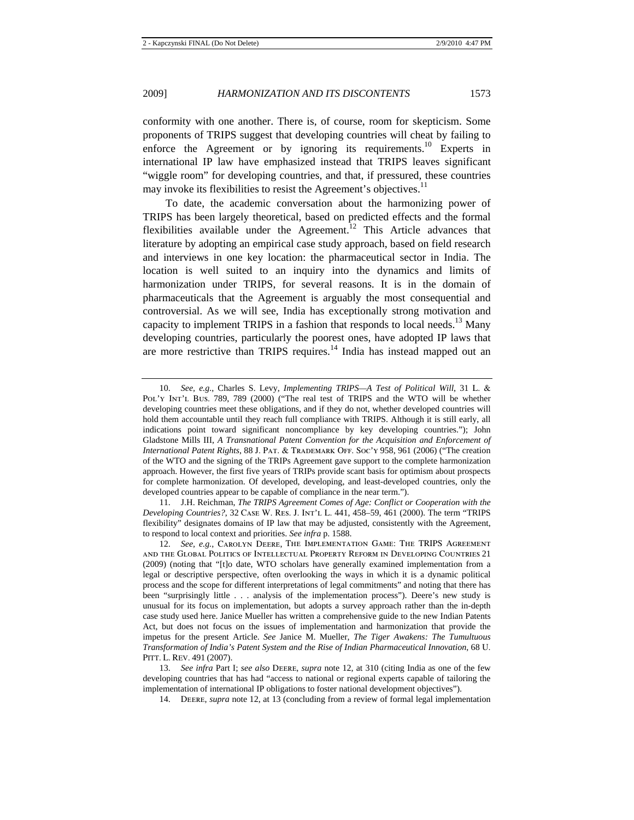conformity with one another. There is, of course, room for skepticism. Some proponents of TRIPS suggest that developing countries will cheat by failing to enforce the Agreement or by ignoring its requirements.<sup>10</sup> Experts in international IP law have emphasized instead that TRIPS leaves significant "wiggle room" for developing countries, and that, if pressured, these countries may invoke its flexibilities to resist the Agreement's objectives.<sup>11</sup>

To date, the academic conversation about the harmonizing power of TRIPS has been largely theoretical, based on predicted effects and the formal flexibilities available under the Agreement.<sup>12</sup> This Article advances that literature by adopting an empirical case study approach, based on field research and interviews in one key location: the pharmaceutical sector in India. The location is well suited to an inquiry into the dynamics and limits of harmonization under TRIPS, for several reasons. It is in the domain of pharmaceuticals that the Agreement is arguably the most consequential and controversial. As we will see, India has exceptionally strong motivation and capacity to implement TRIPS in a fashion that responds to local needs.<sup>13</sup> Many developing countries, particularly the poorest ones, have adopted IP laws that are more restrictive than TRIPS requires.<sup>14</sup> India has instead mapped out an

11. J.H. Reichman, *The TRIPS Agreement Comes of Age: Conflict or Cooperation with the Developing Countries?*, 32 Case W. Res. J. Int'l L. 441, 458–59, 461 (2000). The term "TRIPS flexibility" designates domains of IP law that may be adjusted, consistently with the Agreement, to respond to local context and priorities. *See infra* p. 1588.

12. *See, e.g.*, Carolyn Deere, The Implementation Game: The TRIPS Agreement and the Global Politics of Intellectual Property Reform in Developing Countries 21 (2009) (noting that "[t]o date, WTO scholars have generally examined implementation from a legal or descriptive perspective, often overlooking the ways in which it is a dynamic political process and the scope for different interpretations of legal commitments" and noting that there has been "surprisingly little . . . analysis of the implementation process"). Deere's new study is unusual for its focus on implementation, but adopts a survey approach rather than the in-depth case study used here. Janice Mueller has written a comprehensive guide to the new Indian Patents Act, but does not focus on the issues of implementation and harmonization that provide the impetus for the present Article. *See* Janice M. Mueller, *The Tiger Awakens: The Tumultuous Transformation of India's Patent System and the Rise of Indian Pharmaceutical Innovation*, 68 U. PITT. L. REV. 491 (2007).

13. *See infra* Part I; *see also* Deere, *supra* note 12, at 310 (citing India as one of the few developing countries that has had "access to national or regional experts capable of tailoring the implementation of international IP obligations to foster national development objectives").

14. Deere, *supra* note 12, at 13 (concluding from a review of formal legal implementation

<sup>10.</sup> *See, e.g.*, Charles S. Levy, *Implementing TRIPS—A Test of Political Will*, 31 L. & Pol'y Int'l Bus. 789, 789 (2000) ("The real test of TRIPS and the WTO will be whether developing countries meet these obligations, and if they do not, whether developed countries will hold them accountable until they reach full compliance with TRIPS. Although it is still early, all indications point toward significant noncompliance by key developing countries."); John Gladstone Mills III, *A Transnational Patent Convention for the Acquisition and Enforcement of International Patent Rights*, 88 J. Pat. & Trademark Off. Soc'y 958, 961 (2006) ("The creation of the WTO and the signing of the TRIPs Agreement gave support to the complete harmonization approach. However, the first five years of TRIPs provide scant basis for optimism about prospects for complete harmonization. Of developed, developing, and least-developed countries, only the developed countries appear to be capable of compliance in the near term.").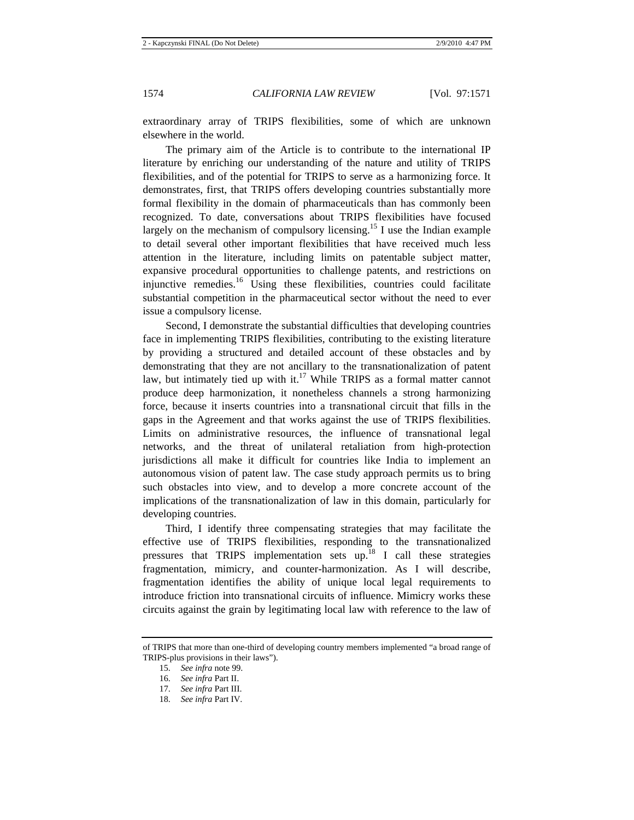extraordinary array of TRIPS flexibilities, some of which are unknown elsewhere in the world.

The primary aim of the Article is to contribute to the international IP literature by enriching our understanding of the nature and utility of TRIPS flexibilities, and of the potential for TRIPS to serve as a harmonizing force. It demonstrates, first, that TRIPS offers developing countries substantially more formal flexibility in the domain of pharmaceuticals than has commonly been recognized. To date, conversations about TRIPS flexibilities have focused largely on the mechanism of compulsory licensing.<sup>15</sup> I use the Indian example to detail several other important flexibilities that have received much less attention in the literature, including limits on patentable subject matter, expansive procedural opportunities to challenge patents, and restrictions on injunctive remedies.<sup>16</sup> Using these flexibilities, countries could facilitate substantial competition in the pharmaceutical sector without the need to ever issue a compulsory license.

Second, I demonstrate the substantial difficulties that developing countries face in implementing TRIPS flexibilities, contributing to the existing literature by providing a structured and detailed account of these obstacles and by demonstrating that they are not ancillary to the transnationalization of patent law, but intimately tied up with it.<sup>17</sup> While TRIPS as a formal matter cannot produce deep harmonization, it nonetheless channels a strong harmonizing force, because it inserts countries into a transnational circuit that fills in the gaps in the Agreement and that works against the use of TRIPS flexibilities. Limits on administrative resources, the influence of transnational legal networks, and the threat of unilateral retaliation from high-protection jurisdictions all make it difficult for countries like India to implement an autonomous vision of patent law. The case study approach permits us to bring such obstacles into view, and to develop a more concrete account of the implications of the transnationalization of law in this domain, particularly for developing countries.

Third, I identify three compensating strategies that may facilitate the effective use of TRIPS flexibilities, responding to the transnationalized pressures that TRIPS implementation sets up.18 I call these strategies fragmentation, mimicry, and counter-harmonization. As I will describe, fragmentation identifies the ability of unique local legal requirements to introduce friction into transnational circuits of influence. Mimicry works these circuits against the grain by legitimating local law with reference to the law of

of TRIPS that more than one-third of developing country members implemented "a broad range of TRIPS-plus provisions in their laws").

<sup>15.</sup> *See infra* note 99.

<sup>16.</sup> *See infra* Part II.

<sup>17.</sup> *See infra* Part III.

<sup>18.</sup> *See infra* Part IV.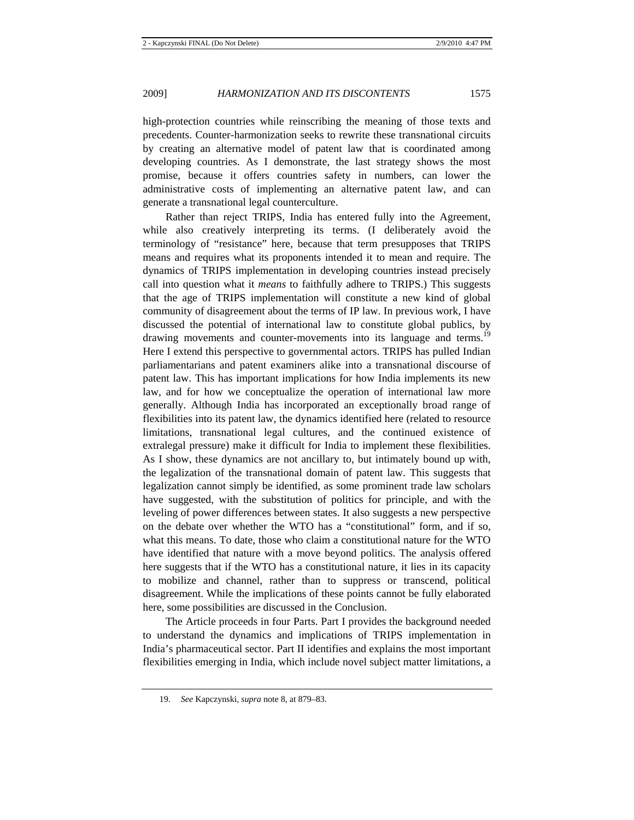high-protection countries while reinscribing the meaning of those texts and precedents. Counter-harmonization seeks to rewrite these transnational circuits by creating an alternative model of patent law that is coordinated among developing countries. As I demonstrate, the last strategy shows the most promise, because it offers countries safety in numbers, can lower the administrative costs of implementing an alternative patent law, and can generate a transnational legal counterculture.

Rather than reject TRIPS, India has entered fully into the Agreement, while also creatively interpreting its terms. (I deliberately avoid the terminology of "resistance" here, because that term presupposes that TRIPS means and requires what its proponents intended it to mean and require. The dynamics of TRIPS implementation in developing countries instead precisely call into question what it *means* to faithfully adhere to TRIPS.) This suggests that the age of TRIPS implementation will constitute a new kind of global community of disagreement about the terms of IP law. In previous work, I have discussed the potential of international law to constitute global publics, by drawing movements and counter-movements into its language and terms.<sup>19</sup> Here I extend this perspective to governmental actors. TRIPS has pulled Indian parliamentarians and patent examiners alike into a transnational discourse of patent law. This has important implications for how India implements its new law, and for how we conceptualize the operation of international law more generally. Although India has incorporated an exceptionally broad range of flexibilities into its patent law, the dynamics identified here (related to resource limitations, transnational legal cultures, and the continued existence of extralegal pressure) make it difficult for India to implement these flexibilities. As I show, these dynamics are not ancillary to, but intimately bound up with, the legalization of the transnational domain of patent law. This suggests that legalization cannot simply be identified, as some prominent trade law scholars have suggested, with the substitution of politics for principle, and with the leveling of power differences between states. It also suggests a new perspective on the debate over whether the WTO has a "constitutional" form, and if so, what this means. To date, those who claim a constitutional nature for the WTO have identified that nature with a move beyond politics. The analysis offered here suggests that if the WTO has a constitutional nature, it lies in its capacity to mobilize and channel, rather than to suppress or transcend, political disagreement. While the implications of these points cannot be fully elaborated here, some possibilities are discussed in the Conclusion.

The Article proceeds in four Parts. Part I provides the background needed to understand the dynamics and implications of TRIPS implementation in India's pharmaceutical sector. Part II identifies and explains the most important flexibilities emerging in India, which include novel subject matter limitations, a

<sup>19.</sup> *See* Kapczynski, *supra* note 8, at 879–83.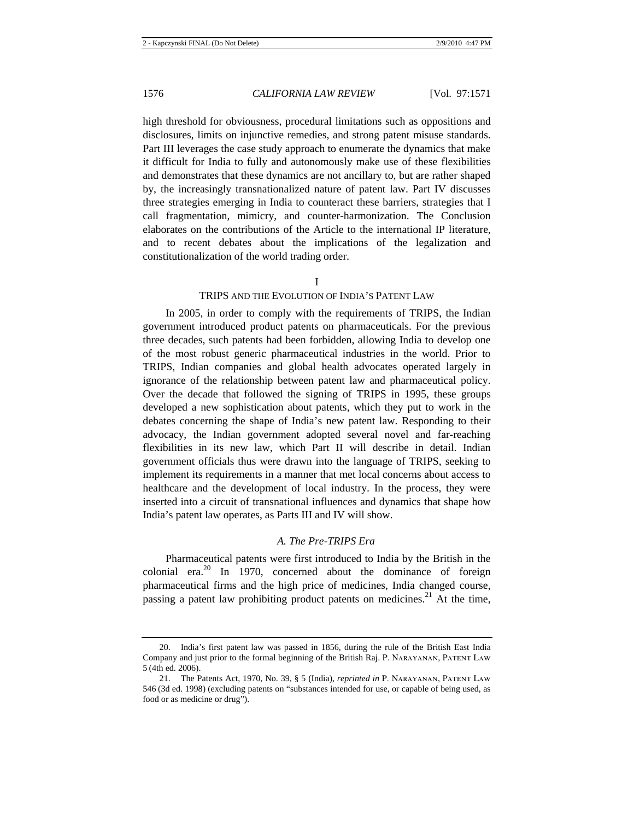high threshold for obviousness, procedural limitations such as oppositions and disclosures, limits on injunctive remedies, and strong patent misuse standards. Part III leverages the case study approach to enumerate the dynamics that make it difficult for India to fully and autonomously make use of these flexibilities and demonstrates that these dynamics are not ancillary to, but are rather shaped by, the increasingly transnationalized nature of patent law. Part IV discusses three strategies emerging in India to counteract these barriers, strategies that I call fragmentation, mimicry, and counter-harmonization. The Conclusion elaborates on the contributions of the Article to the international IP literature, and to recent debates about the implications of the legalization and constitutionalization of the world trading order.

#### I

## TRIPS AND THE EVOLUTION OF INDIA'S PATENT LAW

In 2005, in order to comply with the requirements of TRIPS, the Indian government introduced product patents on pharmaceuticals. For the previous three decades, such patents had been forbidden, allowing India to develop one of the most robust generic pharmaceutical industries in the world. Prior to TRIPS, Indian companies and global health advocates operated largely in ignorance of the relationship between patent law and pharmaceutical policy. Over the decade that followed the signing of TRIPS in 1995, these groups developed a new sophistication about patents, which they put to work in the debates concerning the shape of India's new patent law. Responding to their advocacy, the Indian government adopted several novel and far-reaching flexibilities in its new law, which Part II will describe in detail. Indian government officials thus were drawn into the language of TRIPS, seeking to implement its requirements in a manner that met local concerns about access to healthcare and the development of local industry. In the process, they were inserted into a circuit of transnational influences and dynamics that shape how India's patent law operates, as Parts III and IV will show.

## *A. The Pre-TRIPS Era*

Pharmaceutical patents were first introduced to India by the British in the colonial era.20 In 1970, concerned about the dominance of foreign pharmaceutical firms and the high price of medicines, India changed course, passing a patent law prohibiting product patents on medicines.<sup>21</sup> At the time,

<sup>20.</sup> India's first patent law was passed in 1856, during the rule of the British East India Company and just prior to the formal beginning of the British Raj. P. Narayanan, Patent Law 5 (4th ed. 2006).

<sup>21.</sup> The Patents Act, 1970, No. 39, § 5 (India), *reprinted in* P. Narayanan, Patent Law 546 (3d ed. 1998) (excluding patents on "substances intended for use, or capable of being used, as food or as medicine or drug").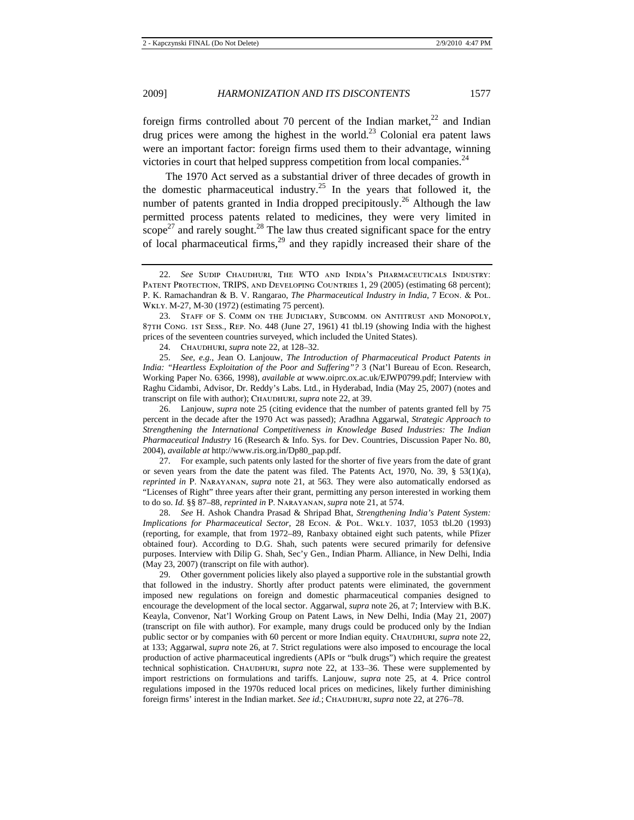foreign firms controlled about 70 percent of the Indian market, $^{22}$  and Indian drug prices were among the highest in the world.<sup>23</sup> Colonial era patent laws were an important factor: foreign firms used them to their advantage, winning victories in court that helped suppress competition from local companies.<sup>24</sup>

The 1970 Act served as a substantial driver of three decades of growth in the domestic pharmaceutical industry.<sup>25</sup> In the years that followed it, the number of patents granted in India dropped precipitously.<sup>26</sup> Although the law permitted process patents related to medicines, they were very limited in scope<sup>27</sup> and rarely sought.<sup>28</sup> The law thus created significant space for the entry of local pharmaceutical firms, $29$  and they rapidly increased their share of the

24. Chaudhuri, *supra* note 22, at 128–32.

25. *See, e.g.*, Jean O. Lanjouw, *The Introduction of Pharmaceutical Product Patents in India: "Heartless Exploitation of the Poor and Suffering"?* 3 (Nat'l Bureau of Econ. Research, Working Paper No. 6366, 1998), *available at* www.oiprc.ox.ac.uk/EJWP0799.pdf; Interview with Raghu Cidambi, Advisor, Dr. Reddy's Labs. Ltd., in Hyderabad, India (May 25, 2007) (notes and transcript on file with author); CHAUDHURI, *supra* note 22, at 39.

26. Lanjouw, *supra* note 25 (citing evidence that the number of patents granted fell by 75 percent in the decade after the 1970 Act was passed); Aradhna Aggarwal, *Strategic Approach to Strengthening the International Competitiveness in Knowledge Based Industries: The Indian Pharmaceutical Industry* 16 (Research & Info. Sys. for Dev. Countries, Discussion Paper No. 80, 2004), *available at* http://www.ris.org.in/Dp80\_pap.pdf.

27. For example, such patents only lasted for the shorter of five years from the date of grant or seven years from the date the patent was filed. The Patents Act, 1970, No. 39,  $\S$  53(1)(a), *reprinted in* P. Narayanan, *supra* note 21, at 563. They were also automatically endorsed as "Licenses of Right" three years after their grant, permitting any person interested in working them to do so. *Id.* §§ 87–88, *reprinted in* P. Narayanan, *supra* note 21, at 574.

28. *See* H. Ashok Chandra Prasad & Shripad Bhat, *Strengthening India's Patent System: Implications for Pharmaceutical Sector*, 28 Econ. & Pol. Wkly. 1037, 1053 tbl.20 (1993) (reporting, for example, that from 1972–89, Ranbaxy obtained eight such patents, while Pfizer obtained four). According to D.G. Shah, such patents were secured primarily for defensive purposes. Interview with Dilip G. Shah, Sec'y Gen., Indian Pharm. Alliance, in New Delhi, India (May 23, 2007) (transcript on file with author).

29. Other government policies likely also played a supportive role in the substantial growth that followed in the industry. Shortly after product patents were eliminated, the government imposed new regulations on foreign and domestic pharmaceutical companies designed to encourage the development of the local sector. Aggarwal, *supra* note 26, at 7; Interview with B.K. Keayla, Convenor, Nat'l Working Group on Patent Laws, in New Delhi, India (May 21, 2007) (transcript on file with author). For example, many drugs could be produced only by the Indian public sector or by companies with 60 percent or more Indian equity. CHAUDHURI, *supra* note 22, at 133; Aggarwal, *supra* note 26, at 7. Strict regulations were also imposed to encourage the local production of active pharmaceutical ingredients (APIs or "bulk drugs") which require the greatest technical sophistication. CHAUDHURI, *supra* note 22, at 133-36. These were supplemented by import restrictions on formulations and tariffs. Lanjouw, *supra* note 25, at 4. Price control regulations imposed in the 1970s reduced local prices on medicines, likely further diminishing foreign firms' interest in the Indian market. *See id.*; Chaudhuri, *supra* note 22, at 276–78.

<sup>22.</sup> *See* Sudip Chaudhuri, The WTO and India's Pharmaceuticals Industry: PATENT PROTECTION, TRIPS, AND DEVELOPING COUNTRIES 1, 29 (2005) (estimating 68 percent); P. K. Ramachandran & B. V. Rangarao, *The Pharmaceutical Industry in India*, 7 Econ. & Pol. Wkly. M-27, M-30 (1972) (estimating 75 percent).

<sup>23.</sup> Staff of S. Comm on the Judiciary, Subcomm. on Antitrust and Monopoly, 87th Cong. 1st Sess., Rep. No. 448 (June 27, 1961) 41 tbl.19 (showing India with the highest prices of the seventeen countries surveyed, which included the United States).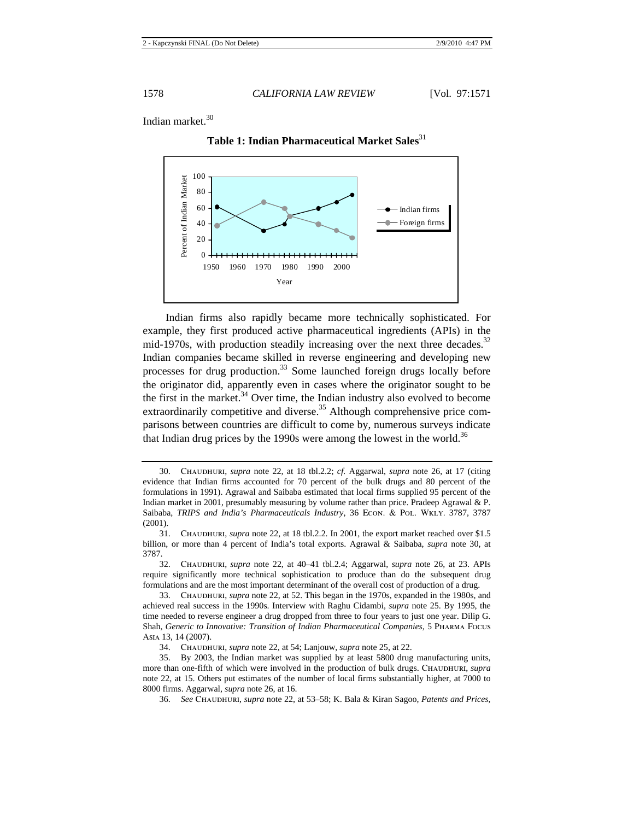Indian market.<sup>30</sup>



**Table 1: Indian Pharmaceutical Market Sales**<sup>31</sup>

Indian firms also rapidly became more technically sophisticated. For example, they first produced active pharmaceutical ingredients (APIs) in the mid-1970s, with production steadily increasing over the next three decades.<sup>32</sup> Indian companies became skilled in reverse engineering and developing new processes for drug production.<sup>33</sup> Some launched foreign drugs locally before the originator did, apparently even in cases where the originator sought to be the first in the market. $34$  Over time, the Indian industry also evolved to become extraordinarily competitive and diverse.<sup>35</sup> Although comprehensive price comparisons between countries are difficult to come by, numerous surveys indicate that Indian drug prices by the 1990s were among the lowest in the world.<sup>36</sup>

33. Chaudhuri, *supra* note 22, at 52. This began in the 1970s, expanded in the 1980s, and achieved real success in the 1990s. Interview with Raghu Cidambi, *supra* note 25. By 1995, the time needed to reverse engineer a drug dropped from three to four years to just one year. Dilip G. Shah, *Generic to Innovative: Transition of Indian Pharmaceutical Companies*, 5 Pharma Focus Asia 13, 14 (2007).

34. Chaudhuri, *supra* note 22, at 54; Lanjouw, *supra* note 25, at 22.

<sup>30.</sup> Chaudhuri, *supra* note 22, at 18 tbl.2.2; *cf.* Aggarwal, *supra* note 26, at 17 (citing evidence that Indian firms accounted for 70 percent of the bulk drugs and 80 percent of the formulations in 1991). Agrawal and Saibaba estimated that local firms supplied 95 percent of the Indian market in 2001, presumably measuring by volume rather than price. Pradeep Agrawal & P. Saibaba, *TRIPS and India's Pharmaceuticals Industry*, 36 Econ. & Pol. Wkly. 3787, 3787 (2001).

<sup>31.</sup> Chaudhuri, *supra* note 22, at 18 tbl.2.2. In 2001, the export market reached over \$1.5 billion, or more than 4 percent of India's total exports. Agrawal & Saibaba, *supra* note 30, at 3787.

<sup>32.</sup> Chaudhuri, *supra* note 22, at 40–41 tbl.2.4; Aggarwal, *supra* note 26, at 23. APIs require significantly more technical sophistication to produce than do the subsequent drug formulations and are the most important determinant of the overall cost of production of a drug.

<sup>35.</sup> By 2003, the Indian market was supplied by at least 5800 drug manufacturing units, more than one-fifth of which were involved in the production of bulk drugs. CHAUDHURI, *supra* note 22, at 15. Others put estimates of the number of local firms substantially higher, at 7000 to 8000 firms. Aggarwal, *supra* note 26, at 16.

<sup>36.</sup> *See* Chaudhuri, *supra* note 22, at 53–58; K. Bala & Kiran Sagoo, *Patents and Prices*,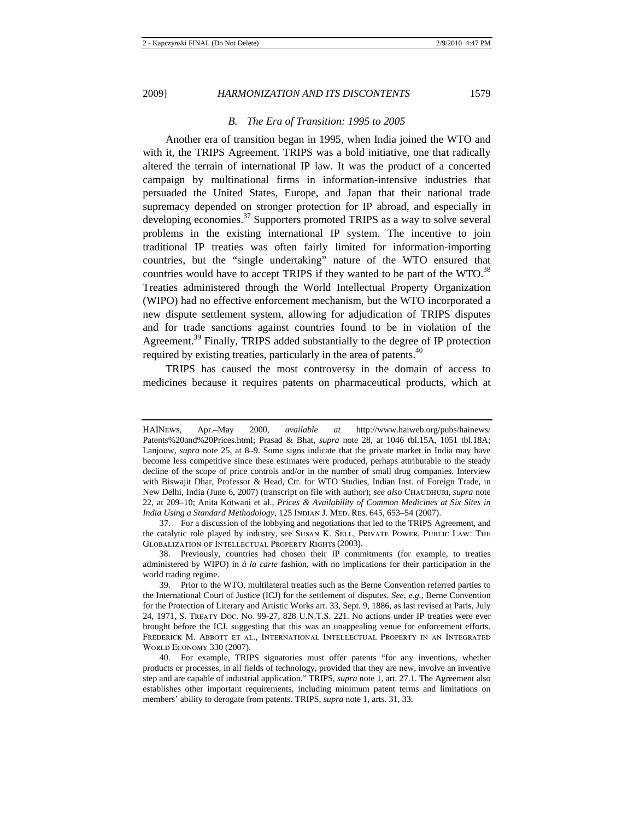#### *B. The Era of Transition: 1995 to 2005*

Another era of transition began in 1995, when India joined the WTO and with it, the TRIPS Agreement. TRIPS was a bold initiative, one that radically altered the terrain of international IP law. It was the product of a concerted campaign by multinational firms in information-intensive industries that persuaded the United States, Europe, and Japan that their national trade supremacy depended on stronger protection for IP abroad, and especially in developing economies.37 Supporters promoted TRIPS as a way to solve several problems in the existing international IP system. The incentive to join traditional IP treaties was often fairly limited for information-importing countries, but the "single undertaking" nature of the WTO ensured that countries would have to accept TRIPS if they wanted to be part of the  $WTO$ <sup>38</sup> Treaties administered through the World Intellectual Property Organization (WIPO) had no effective enforcement mechanism, but the WTO incorporated a new dispute settlement system, allowing for adjudication of TRIPS disputes and for trade sanctions against countries found to be in violation of the Agreement.<sup>39</sup> Finally, TRIPS added substantially to the degree of IP protection required by existing treaties, particularly in the area of patents. $40$ 

TRIPS has caused the most controversy in the domain of access to medicines because it requires patents on pharmaceutical products, which at

HAINews, Apr.–May 2000, *available at* http://www.haiweb.org/pubs/hainews/ Patents%20and%20Prices.html; Prasad & Bhat, *supra* note 28, at 1046 tbl.15A, 1051 tbl.18A; Lanjouw, *supra* note 25, at 8–9. Some signs indicate that the private market in India may have become less competitive since these estimates were produced, perhaps attributable to the steady decline of the scope of price controls and/or in the number of small drug companies. Interview with Biswajit Dhar, Professor & Head, Ctr. for WTO Studies, Indian Inst. of Foreign Trade, in New Delhi, India (June 6, 2007) (transcript on file with author); *see also* Chaudhuri, *supra* note 22, at 209–10; Anita Kotwani et al., *Prices & Availability of Common Medicines at Six Sites in India Using a Standard Methodology*, 125 Indian J. Med. Res. 645, 653–54 (2007).

<sup>37.</sup> For a discussion of the lobbying and negotiations that led to the TRIPS Agreement, and the catalytic role played by industry, see Susan K. Sell, Private Power, Public Law: The Globalization of Intellectual Property Rights (2003).

<sup>38.</sup> Previously, countries had chosen their IP commitments (for example, to treaties administered by WIPO) in *à la carte* fashion, with no implications for their participation in the world trading regime.

<sup>39.</sup> Prior to the WTO, multilateral treaties such as the Berne Convention referred parties to the International Court of Justice (ICJ) for the settlement of disputes. *See, e.g.*, Berne Convention for the Protection of Literary and Artistic Works art. 33, Sept. 9, 1886, as last revised at Paris, July 24, 1971, S. Treaty Doc. No. 99-27, 828 U.N.T.S. 221. No actions under IP treaties were ever brought before the ICJ, suggesting that this was an unappealing venue for enforcement efforts. Frederick M. Abbott et al., International Intellectual Property in an Integrated World Economy 330 (2007).

<sup>40.</sup> For example, TRIPS signatories must offer patents "for any inventions, whether products or processes, in all fields of technology, provided that they are new, involve an inventive step and are capable of industrial application." TRIPS, *supra* note 1, art. 27.1. The Agreement also establishes other important requirements, including minimum patent terms and limitations on members' ability to derogate from patents. TRIPS, *supra* note 1, arts. 31, 33.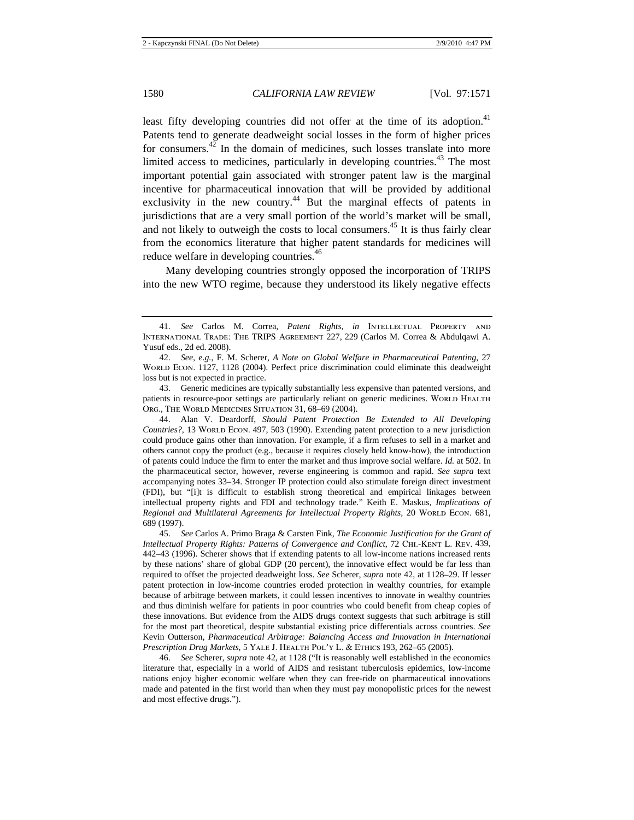least fifty developing countries did not offer at the time of its adoption.<sup>41</sup> Patents tend to generate deadweight social losses in the form of higher prices for consumers.<sup>42</sup> In the domain of medicines, such losses translate into more limited access to medicines, particularly in developing countries.<sup>43</sup> The most important potential gain associated with stronger patent law is the marginal incentive for pharmaceutical innovation that will be provided by additional exclusivity in the new country.<sup>44</sup> But the marginal effects of patents in jurisdictions that are a very small portion of the world's market will be small, and not likely to outweigh the costs to local consumers.<sup>45</sup> It is thus fairly clear from the economics literature that higher patent standards for medicines will reduce welfare in developing countries.<sup>46</sup>

Many developing countries strongly opposed the incorporation of TRIPS into the new WTO regime, because they understood its likely negative effects

43. Generic medicines are typically substantially less expensive than patented versions, and patients in resource-poor settings are particularly reliant on generic medicines. World HEALTH Org., The World Medicines Situation 31, 68–69 (2004).

44. Alan V. Deardorff, *Should Patent Protection Be Extended to All Developing Countries?*, 13 WORLD ECON. 497, 503 (1990). Extending patent protection to a new jurisdiction could produce gains other than innovation. For example, if a firm refuses to sell in a market and others cannot copy the product (e.g., because it requires closely held know-how), the introduction of patents could induce the firm to enter the market and thus improve social welfare. *Id.* at 502. In the pharmaceutical sector, however, reverse engineering is common and rapid. *See supra* text accompanying notes 33–34. Stronger IP protection could also stimulate foreign direct investment (FDI), but "[i]t is difficult to establish strong theoretical and empirical linkages between intellectual property rights and FDI and technology trade." Keith E. Maskus, *Implications of*  Regional and Multilateral Agreements for Intellectual Property Rights, 20 WORLD ECON. 681, 689 (1997).

45. *See* Carlos A. Primo Braga & Carsten Fink, *The Economic Justification for the Grant of Intellectual Property Rights: Patterns of Convergence and Conflict*, 72 CHI.-KENT L. REV. 439, 442–43 (1996). Scherer shows that if extending patents to all low-income nations increased rents by these nations' share of global GDP (20 percent), the innovative effect would be far less than required to offset the projected deadweight loss. *See* Scherer, *supra* note 42, at 1128–29. If lesser patent protection in low-income countries eroded protection in wealthy countries, for example because of arbitrage between markets, it could lessen incentives to innovate in wealthy countries and thus diminish welfare for patients in poor countries who could benefit from cheap copies of these innovations. But evidence from the AIDS drugs context suggests that such arbitrage is still for the most part theoretical, despite substantial existing price differentials across countries. *See* Kevin Outterson, *Pharmaceutical Arbitrage: Balancing Access and Innovation in International Prescription Drug Markets*, 5 Yale J. Health Pol'y L. & Ethics 193, 262–65 (2005).

46. *See* Scherer*, supra* note 42, at 1128 ("It is reasonably well established in the economics literature that, especially in a world of AIDS and resistant tuberculosis epidemics, low-income nations enjoy higher economic welfare when they can free-ride on pharmaceutical innovations made and patented in the first world than when they must pay monopolistic prices for the newest and most effective drugs.").

<sup>41.</sup> *See* Carlos M. Correa, *Patent Rights*, *in* Intellectual Property and International Trade: The TRIPS Agreement 227, 229 (Carlos M. Correa & Abdulqawi A. Yusuf eds., 2d ed. 2008).

<sup>42.</sup> *See, e.g.*, F. M. Scherer, *A Note on Global Welfare in Pharmaceutical Patenting*, 27 WORLD ECON. 1127, 1128 (2004). Perfect price discrimination could eliminate this deadweight loss but is not expected in practice.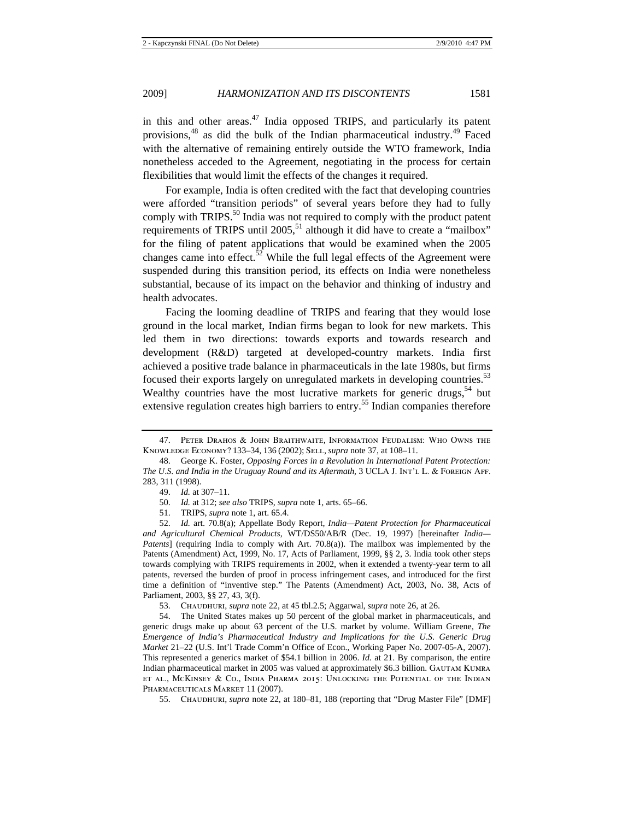in this and other areas. $^{47}$  India opposed TRIPS, and particularly its patent provisions,48 as did the bulk of the Indian pharmaceutical industry.49 Faced with the alternative of remaining entirely outside the WTO framework, India nonetheless acceded to the Agreement, negotiating in the process for certain flexibilities that would limit the effects of the changes it required.

For example, India is often credited with the fact that developing countries were afforded "transition periods" of several years before they had to fully comply with TRIPS. $50$  India was not required to comply with the product patent requirements of TRIPS until 2005,<sup>51</sup> although it did have to create a "mailbox" for the filing of patent applications that would be examined when the 2005 changes came into effect.<sup>52</sup> While the full legal effects of the Agreement were suspended during this transition period, its effects on India were nonetheless substantial, because of its impact on the behavior and thinking of industry and health advocates.

Facing the looming deadline of TRIPS and fearing that they would lose ground in the local market, Indian firms began to look for new markets. This led them in two directions: towards exports and towards research and development (R&D) targeted at developed-country markets. India first achieved a positive trade balance in pharmaceuticals in the late 1980s, but firms focused their exports largely on unregulated markets in developing countries.<sup>53</sup> Wealthy countries have the most lucrative markets for generic drugs,  $54$  but extensive regulation creates high barriers to entry.<sup>55</sup> Indian companies therefore

54. The United States makes up 50 percent of the global market in pharmaceuticals, and generic drugs make up about 63 percent of the U.S. market by volume. William Greene, *The Emergence of India's Pharmaceutical Industry and Implications for the U*.*S*. *Generic Drug Market* 21–22 (U.S. Int'l Trade Comm'n Office of Econ., Working Paper No. 2007-05-A, 2007). This represented a generics market of \$54.1 billion in 2006. *Id.* at 21. By comparison, the entire Indian pharmaceutical market in 2005 was valued at approximately \$6.3 billion. Gautam Kumra et al., McKinsey & Co., India Pharma 2015: Unlocking the Potential of the Indian PHARMACEUTICALS MARKET 11 (2007).

55. Chaudhuri, *supra* note 22, at 180–81, 188 (reporting that "Drug Master File" [DMF]

<sup>47.</sup> Peter Drahos & John Braithwaite, Information Feudalism: Who Owns the Knowledge Economy? 133–34, 136 (2002); Sell, *supra* note 37, at 108–11.

<sup>48.</sup> George K. Foster, *Opposing Forces in a Revolution in International Patent Protection: The U.S. and India in the Uruguay Round and its Aftermath, 3 UCLA J. INT'L L. & FOREIGN AFF.* 283, 311 (1998).

<sup>49.</sup> *Id.* at 307–11.

<sup>50.</sup> *Id.* at 312; *see also* TRIPS, *supra* note 1, arts. 65–66.

<sup>51.</sup> TRIPS, *supra* note 1, art. 65.4.

<sup>52.</sup> *Id.* art. 70.8(a); Appellate Body Report, *India—Patent Protection for Pharmaceutical and Agricultural Chemical Products*, WT/DS50/AB/R (Dec. 19, 1997) [hereinafter *India— Patents*] (requiring India to comply with Art. 70.8(a)). The mailbox was implemented by the Patents (Amendment) Act, 1999, No. 17, Acts of Parliament, 1999, §§ 2, 3. India took other steps towards complying with TRIPS requirements in 2002, when it extended a twenty-year term to all patents, reversed the burden of proof in process infringement cases, and introduced for the first time a definition of "inventive step." The Patents (Amendment) Act, 2003, No. 38, Acts of Parliament, 2003, §§ 27, 43, 3(f).

<sup>53.</sup> Chaudhuri, *supra* note 22, at 45 tbl.2.5; Aggarwal, *supra* note 26, at 26.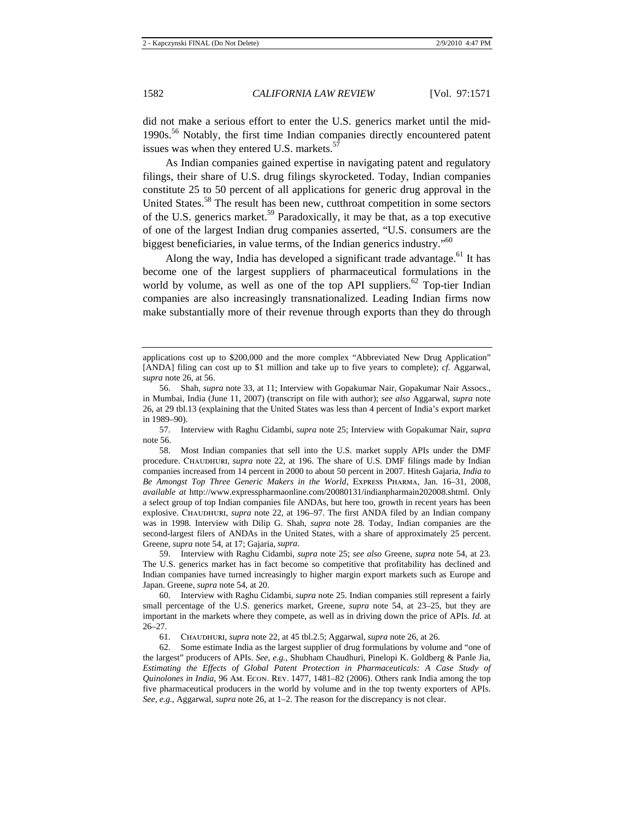did not make a serious effort to enter the U.S. generics market until the mid-1990s.<sup>56</sup> Notably, the first time Indian companies directly encountered patent issues was when they entered U.S. markets. $57$ 

As Indian companies gained expertise in navigating patent and regulatory filings, their share of U.S. drug filings skyrocketed. Today, Indian companies constitute 25 to 50 percent of all applications for generic drug approval in the United States.<sup>58</sup> The result has been new, cutthroat competition in some sectors of the U.S. generics market.<sup>59</sup> Paradoxically, it may be that, as a top executive of one of the largest Indian drug companies asserted, "U.S. consumers are the biggest beneficiaries, in value terms, of the Indian generics industry."<sup>60</sup>

Along the way, India has developed a significant trade advantage.<sup>61</sup> It has become one of the largest suppliers of pharmaceutical formulations in the world by volume, as well as one of the top API suppliers.<sup>62</sup> Top-tier Indian companies are also increasingly transnationalized. Leading Indian firms now make substantially more of their revenue through exports than they do through

61. Chaudhuri, *supra* note 22, at 45 tbl.2.5; Aggarwal, *supra* note 26, at 26.

applications cost up to \$200,000 and the more complex "Abbreviated New Drug Application" [ANDA] filing can cost up to \$1 million and take up to five years to complete); *cf.* Aggarwal, *supra* note 26, at 56.

<sup>56.</sup> Shah, *supra* note 33, at 11; Interview with Gopakumar Nair, Gopakumar Nair Assocs., in Mumbai, India (June 11, 2007) (transcript on file with author); *see also* Aggarwal, *supra* note 26, at 29 tbl.13 (explaining that the United States was less than 4 percent of India's export market in 1989–90).

<sup>57.</sup> Interview with Raghu Cidambi, *supra* note 25; Interview with Gopakumar Nair, *supra* note 56.

<sup>58.</sup> Most Indian companies that sell into the U.S. market supply APIs under the DMF procedure. Chaudhuri, *supra* note 22, at 196. The share of U.S. DMF filings made by Indian companies increased from 14 percent in 2000 to about 50 percent in 2007. Hitesh Gajaria, *India to Be Amongst Top Three Generic Makers in the World*, Express Pharma, Jan. 16–31, 2008, *available at* http://www.expresspharmaonline.com/20080131/indianpharmain202008.shtml. Only a select group of top Indian companies file ANDAs, but here too, growth in recent years has been explosive. Chaudhuri, *supra* note 22, at 196–97. The first ANDA filed by an Indian company was in 1998. Interview with Dilip G. Shah, *supra* note 28. Today, Indian companies are the second-largest filers of ANDAs in the United States, with a share of approximately 25 percent. Greene, *supra* note 54, at 17; Gajaria, *supra*.

<sup>59.</sup> Interview with Raghu Cidambi, *supra* note 25; *see also* Greene, *supra* note 54, at 23. The U.S. generics market has in fact become so competitive that profitability has declined and Indian companies have turned increasingly to higher margin export markets such as Europe and Japan. Greene, *supra* note 54, at 20.

<sup>60.</sup> Interview with Raghu Cidambi, *supra* note 25. Indian companies still represent a fairly small percentage of the U.S. generics market, Greene, *supra* note 54, at 23–25, but they are important in the markets where they compete, as well as in driving down the price of APIs. *Id.* at 26–27.

<sup>62.</sup> Some estimate India as the largest supplier of drug formulations by volume and "one of the largest" producers of APIs. *See, e.g.*, Shubham Chaudhuri, Pinelopi K. Goldberg & Panle Jia, *Estimating the Effects of Global Patent Protection in Pharmaceuticals: A Case Study of Quinolones in India*, 96 Am. Econ. Rev. 1477, 1481–82 (2006). Others rank India among the top five pharmaceutical producers in the world by volume and in the top twenty exporters of APIs. *See, e.g.*, Aggarwal, *supra* note 26, at 1–2. The reason for the discrepancy is not clear.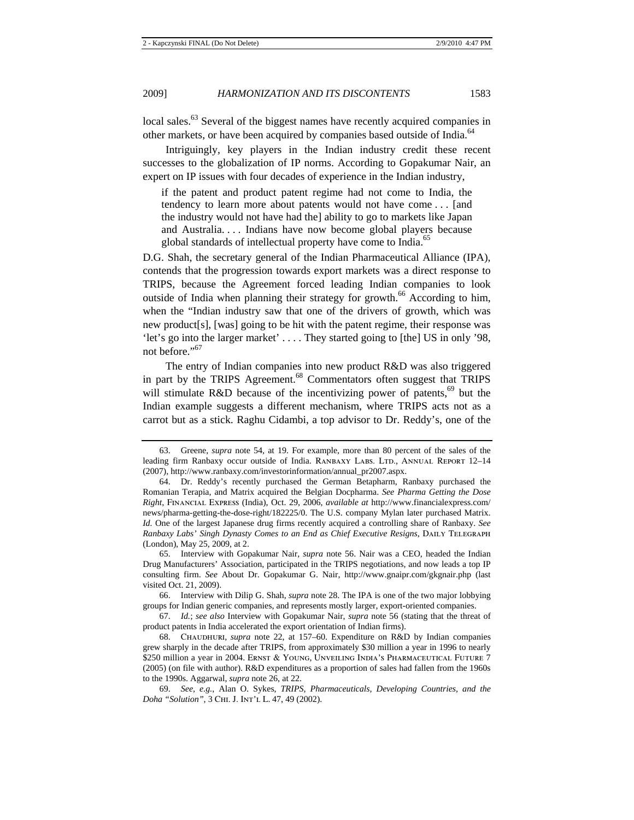local sales.<sup>63</sup> Several of the biggest names have recently acquired companies in other markets, or have been acquired by companies based outside of India.<sup>64</sup>

Intriguingly, key players in the Indian industry credit these recent successes to the globalization of IP norms. According to Gopakumar Nair, an expert on IP issues with four decades of experience in the Indian industry,

if the patent and product patent regime had not come to India, the tendency to learn more about patents would not have come . . . [and the industry would not have had the] ability to go to markets like Japan and Australia. . . . Indians have now become global players because global standards of intellectual property have come to India.<sup>65</sup>

D.G. Shah, the secretary general of the Indian Pharmaceutical Alliance (IPA), contends that the progression towards export markets was a direct response to TRIPS, because the Agreement forced leading Indian companies to look outside of India when planning their strategy for growth.<sup>66</sup> According to him, when the "Indian industry saw that one of the drivers of growth, which was new product[s], [was] going to be hit with the patent regime, their response was 'let's go into the larger market' . . . . They started going to [the] US in only '98, not before."<sup>67</sup>

The entry of Indian companies into new product R&D was also triggered in part by the TRIPS Agreement.<sup>68</sup> Commentators often suggest that TRIPS will stimulate R&D because of the incentivizing power of patents,<sup>69</sup> but the Indian example suggests a different mechanism, where TRIPS acts not as a carrot but as a stick. Raghu Cidambi, a top advisor to Dr. Reddy's, one of the

<sup>63.</sup> Greene, *supra* note 54, at 19. For example, more than 80 percent of the sales of the leading firm Ranbaxy occur outside of India. RANBAXY LABS. LTD., ANNUAL REPORT 12–14 (2007), http://www.ranbaxy.com/investorinformation/annual\_pr2007.aspx.

<sup>64.</sup> Dr. Reddy's recently purchased the German Betapharm, Ranbaxy purchased the Romanian Terapia, and Matrix acquired the Belgian Docpharma. *See Pharma Getting the Dose Right*, Financial Express (India), Oct. 29, 2006, *available at* http://www.financialexpress.com/ news/pharma-getting-the-dose-right/182225/0. The U.S. company Mylan later purchased Matrix. *Id.* One of the largest Japanese drug firms recently acquired a controlling share of Ranbaxy. *See Ranbaxy Labs' Singh Dynasty Comes to an End as Chief Executive Resigns*, Daily Telegraph (London), May 25, 2009, at 2.

<sup>65.</sup> Interview with Gopakumar Nair, *supra* note 56. Nair was a CEO, headed the Indian Drug Manufacturers' Association, participated in the TRIPS negotiations, and now leads a top IP consulting firm. *See* About Dr. Gopakumar G. Nair, http://www.gnaipr.com/gkgnair.php (last visited Oct. 21, 2009).

<sup>66.</sup> Interview with Dilip G. Shah, *supra* note 28. The IPA is one of the two major lobbying groups for Indian generic companies, and represents mostly larger, export-oriented companies.

<sup>67.</sup> *Id.*; *see also* Interview with Gopakumar Nair, *supra* note 56 (stating that the threat of product patents in India accelerated the export orientation of Indian firms).

<sup>68.</sup> Chaudhuri, *supra* note 22, at 157–60. Expenditure on R&D by Indian companies grew sharply in the decade after TRIPS, from approximately \$30 million a year in 1996 to nearly \$250 million a year in 2004. ERNST & YOUNG, UNVEILING INDIA'S PHARMACEUTICAL FUTURE 7 (2005) (on file with author). R&D expenditures as a proportion of sales had fallen from the 1960s to the 1990s. Aggarwal, *supra* note 26, at 22.

<sup>69.</sup> *See, e.g.*, Alan O. Sykes, *TRIPS, Pharmaceuticals, Developing Countries, and the Doha "Solution"*, 3 Chi. J. Int'l L. 47, 49 (2002).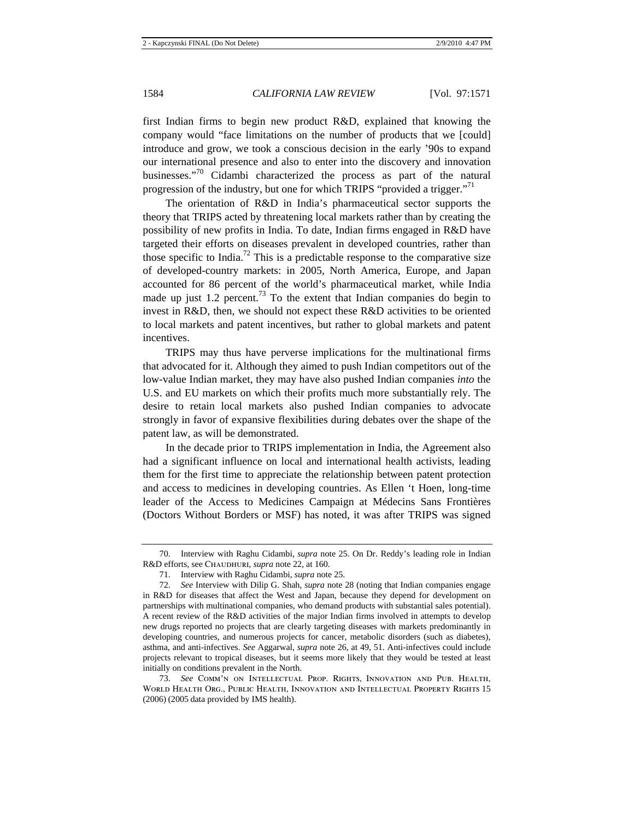first Indian firms to begin new product R&D, explained that knowing the company would "face limitations on the number of products that we [could] introduce and grow, we took a conscious decision in the early '90s to expand our international presence and also to enter into the discovery and innovation businesses."<sup>70</sup> Cidambi characterized the process as part of the natural progression of the industry, but one for which TRIPS "provided a trigger."<sup>71</sup>

The orientation of R&D in India's pharmaceutical sector supports the theory that TRIPS acted by threatening local markets rather than by creating the possibility of new profits in India. To date, Indian firms engaged in R&D have targeted their efforts on diseases prevalent in developed countries, rather than those specific to India.<sup>72</sup> This is a predictable response to the comparative size of developed-country markets: in 2005, North America, Europe, and Japan accounted for 86 percent of the world's pharmaceutical market, while India made up just 1.2 percent.<sup>73</sup> To the extent that Indian companies do begin to invest in R&D, then, we should not expect these R&D activities to be oriented to local markets and patent incentives, but rather to global markets and patent incentives.

TRIPS may thus have perverse implications for the multinational firms that advocated for it. Although they aimed to push Indian competitors out of the low-value Indian market, they may have also pushed Indian companies *into* the U.S. and EU markets on which their profits much more substantially rely. The desire to retain local markets also pushed Indian companies to advocate strongly in favor of expansive flexibilities during debates over the shape of the patent law, as will be demonstrated.

In the decade prior to TRIPS implementation in India, the Agreement also had a significant influence on local and international health activists, leading them for the first time to appreciate the relationship between patent protection and access to medicines in developing countries. As Ellen 't Hoen, long-time leader of the Access to Medicines Campaign at Médecins Sans Frontières (Doctors Without Borders or MSF) has noted, it was after TRIPS was signed

<sup>70.</sup> Interview with Raghu Cidambi, *supra* note 25. On Dr. Reddy's leading role in Indian R&D efforts, see Chaudhuri, *supra* note 22, at 160.

<sup>71.</sup> Interview with Raghu Cidambi, *supra* note 25.

<sup>72.</sup> *See* Interview with Dilip G. Shah, *supra* note 28 (noting that Indian companies engage in R&D for diseases that affect the West and Japan, because they depend for development on partnerships with multinational companies, who demand products with substantial sales potential). A recent review of the R&D activities of the major Indian firms involved in attempts to develop new drugs reported no projects that are clearly targeting diseases with markets predominantly in developing countries, and numerous projects for cancer, metabolic disorders (such as diabetes), asthma, and anti-infectives. *See* Aggarwal, *supra* note 26, at 49, 51. Anti-infectives could include projects relevant to tropical diseases, but it seems more likely that they would be tested at least initially on conditions prevalent in the North.

<sup>73.</sup> *See* Comm'n on Intellectual Prop. Rights, Innovation and Pub. Health, World Health Org., Public Health, Innovation and Intellectual Property Rights 15 (2006) (2005 data provided by IMS health).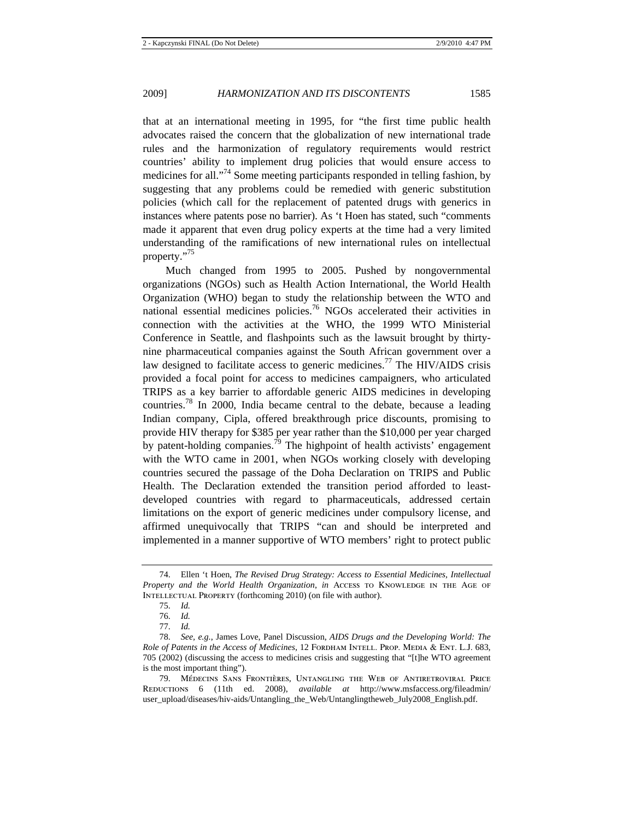that at an international meeting in 1995, for "the first time public health advocates raised the concern that the globalization of new international trade rules and the harmonization of regulatory requirements would restrict countries' ability to implement drug policies that would ensure access to medicines for all."<sup>74</sup> Some meeting participants responded in telling fashion, by suggesting that any problems could be remedied with generic substitution policies (which call for the replacement of patented drugs with generics in instances where patents pose no barrier). As 't Hoen has stated, such "comments made it apparent that even drug policy experts at the time had a very limited understanding of the ramifications of new international rules on intellectual property."75

Much changed from 1995 to 2005. Pushed by nongovernmental organizations (NGOs) such as Health Action International, the World Health Organization (WHO) began to study the relationship between the WTO and national essential medicines policies.76 NGOs accelerated their activities in connection with the activities at the WHO, the 1999 WTO Ministerial Conference in Seattle, and flashpoints such as the lawsuit brought by thirtynine pharmaceutical companies against the South African government over a law designed to facilitate access to generic medicines.<sup>77</sup> The HIV/AIDS crisis provided a focal point for access to medicines campaigners, who articulated TRIPS as a key barrier to affordable generic AIDS medicines in developing countries.78 In 2000, India became central to the debate, because a leading Indian company, Cipla, offered breakthrough price discounts, promising to provide HIV therapy for \$385 per year rather than the \$10,000 per year charged by patent-holding companies.<sup>79</sup> The highpoint of health activists' engagement with the WTO came in 2001, when NGOs working closely with developing countries secured the passage of the Doha Declaration on TRIPS and Public Health. The Declaration extended the transition period afforded to leastdeveloped countries with regard to pharmaceuticals, addressed certain limitations on the export of generic medicines under compulsory license, and affirmed unequivocally that TRIPS "can and should be interpreted and implemented in a manner supportive of WTO members' right to protect public

<sup>74.</sup> Ellen 't Hoen, *The Revised Drug Strategy: Access to Essential Medicines, Intellectual*  Property and the World Health Organization, in Access to KNOWLEDGE IN THE AGE OF Intellectual Property (forthcoming 2010) (on file with author).

<sup>75.</sup> *Id.*

<sup>76.</sup> *Id.*

<sup>77.</sup> *Id.*

<sup>78.</sup> *See, e.g.*, James Love, Panel Discussion, *AIDS Drugs and the Developing World: The Role of Patents in the Access of Medicines*, 12 FORDHAM INTELL. PROP. MEDIA & ENT. L.J. 683, 705 (2002) (discussing the access to medicines crisis and suggesting that "[t]he WTO agreement is the most important thing").

<sup>79.</sup> Médecins Sans Frontières, Untangling the Web of Antiretroviral Price Reductions 6 (11th ed. 2008), *available at* http://www.msfaccess.org/fileadmin/ user\_upload/diseases/hiv-aids/Untangling\_the\_Web/Untanglingtheweb\_July2008\_English.pdf.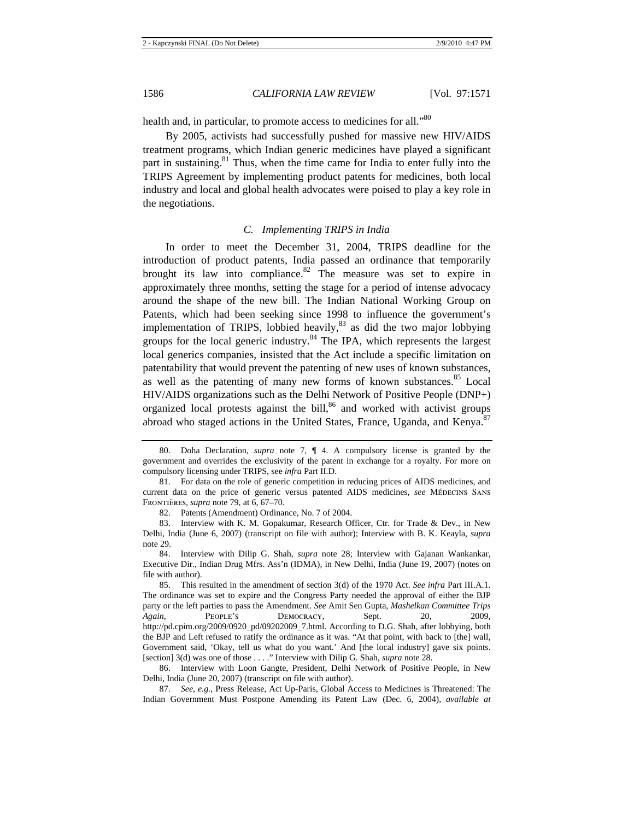health and, in particular, to promote access to medicines for all."<sup>80</sup>

By 2005, activists had successfully pushed for massive new HIV/AIDS treatment programs, which Indian generic medicines have played a significant part in sustaining. $81$  Thus, when the time came for India to enter fully into the TRIPS Agreement by implementing product patents for medicines, both local industry and local and global health advocates were poised to play a key role in the negotiations.

## *C. Implementing TRIPS in India*

In order to meet the December 31, 2004, TRIPS deadline for the introduction of product patents, India passed an ordinance that temporarily brought its law into compliance.<sup>82</sup> The measure was set to expire in approximately three months, setting the stage for a period of intense advocacy around the shape of the new bill. The Indian National Working Group on Patents, which had been seeking since 1998 to influence the government's implementation of TRIPS, lobbied heavily, $83$  as did the two major lobbying groups for the local generic industry.84 The IPA, which represents the largest local generics companies, insisted that the Act include a specific limitation on patentability that would prevent the patenting of new uses of known substances, as well as the patenting of many new forms of known substances.<sup>85</sup> Local HIV/AIDS organizations such as the Delhi Network of Positive People (DNP+) organized local protests against the bill,<sup>86</sup> and worked with activist groups abroad who staged actions in the United States, France, Uganda, and Kenya.<sup>87</sup>

<sup>80.</sup> Doha Declaration, *supra* note 7, ¶ 4. A compulsory license is granted by the government and overrides the exclusivity of the patent in exchange for a royalty. For more on compulsory licensing under TRIPS, see *infra* Part II.D.

<sup>81.</sup> For data on the role of generic competition in reducing prices of AIDS medicines, and current data on the price of generic versus patented AIDS medicines, *see* Médecins Sans Frontières, *supra* note 79, at 6, 67–70.

<sup>82.</sup> Patents (Amendment) Ordinance, No. 7 of 2004.

<sup>83.</sup> Interview with K. M. Gopakumar, Research Officer, Ctr. for Trade & Dev., in New Delhi, India (June 6, 2007) (transcript on file with author); Interview with B. K. Keayla, *supra* note 29.

<sup>84.</sup> Interview with Dilip G. Shah, *supra* note 28; Interview with Gajanan Wankankar, Executive Dir., Indian Drug Mfrs. Ass'n (IDMA), in New Delhi, India (June 19, 2007) (notes on file with author).

<sup>85.</sup> This resulted in the amendment of section 3(d) of the 1970 Act. *See infra* Part III.A.1. The ordinance was set to expire and the Congress Party needed the approval of either the BJP party or the left parties to pass the Amendment. *See* Amit Sen Gupta, *Mashelkan Committee Trips Again*, People's Democracy, Sept. 20, 2009, http://pd.cpim.org/2009/0920\_pd/09202009\_7.html. According to D.G. Shah, after lobbying, both the BJP and Left refused to ratify the ordinance as it was. "At that point, with back to [the] wall, Government said, 'Okay, tell us what do you want.' And [the local industry] gave six points. [section] 3(d) was one of those . . . ." Interview with Dilip G. Shah, *supra* note 28.

<sup>86.</sup> Interview with Loon Gangte, President, Delhi Network of Positive People, in New Delhi, India (June 20, 2007) (transcript on file with author).

<sup>87.</sup> *See, e.g.*, Press Release, Act Up-Paris, Global Access to Medicines is Threatened: The Indian Government Must Postpone Amending its Patent Law (Dec. 6, 2004), *available at*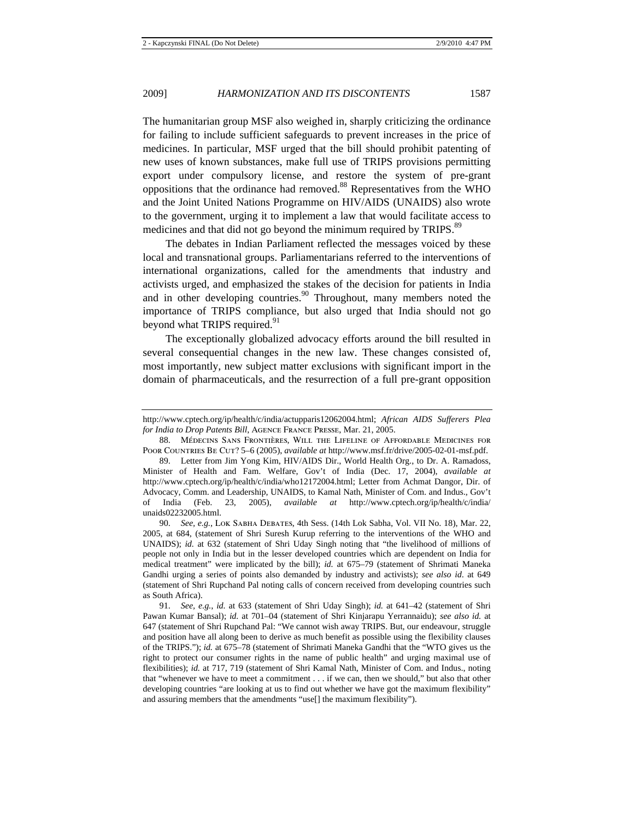The humanitarian group MSF also weighed in, sharply criticizing the ordinance for failing to include sufficient safeguards to prevent increases in the price of medicines. In particular, MSF urged that the bill should prohibit patenting of new uses of known substances, make full use of TRIPS provisions permitting export under compulsory license, and restore the system of pre-grant oppositions that the ordinance had removed.88 Representatives from the WHO and the Joint United Nations Programme on HIV/AIDS (UNAIDS) also wrote to the government, urging it to implement a law that would facilitate access to medicines and that did not go beyond the minimum required by TRIPS.<sup>89</sup>

The debates in Indian Parliament reflected the messages voiced by these local and transnational groups. Parliamentarians referred to the interventions of international organizations, called for the amendments that industry and activists urged, and emphasized the stakes of the decision for patients in India and in other developing countries.<sup>90</sup> Throughout, many members noted the importance of TRIPS compliance, but also urged that India should not go beyond what TRIPS required.<sup>91</sup>

The exceptionally globalized advocacy efforts around the bill resulted in several consequential changes in the new law. These changes consisted of, most importantly, new subject matter exclusions with significant import in the domain of pharmaceuticals, and the resurrection of a full pre-grant opposition

90. *See, e.g.*, Lok Sabha Debates, 4th Sess. (14th Lok Sabha, Vol. VII No. 18), Mar. 22, 2005, at 684, (statement of Shri Suresh Kurup referring to the interventions of the WHO and UNAIDS); *id.* at 632 (statement of Shri Uday Singh noting that "the livelihood of millions of people not only in India but in the lesser developed countries which are dependent on India for medical treatment" were implicated by the bill); *id.* at 675–79 (statement of Shrimati Maneka Gandhi urging a series of points also demanded by industry and activists); *see also id*. at 649 (statement of Shri Rupchand Pal noting calls of concern received from developing countries such as South Africa).

91. *See, e.g.*, *id.* at 633 (statement of Shri Uday Singh); *id.* at 641–42 (statement of Shri Pawan Kumar Bansal); *id.* at 701–04 (statement of Shri Kinjarapu Yerrannaidu); *see also id.* at 647 (statement of Shri Rupchand Pal: "We cannot wish away TRIPS. But, our endeavour, struggle and position have all along been to derive as much benefit as possible using the flexibility clauses of the TRIPS."); *id.* at 675–78 (statement of Shrimati Maneka Gandhi that the "WTO gives us the right to protect our consumer rights in the name of public health" and urging maximal use of flexibilities); *id.* at 717, 719 (statement of Shri Kamal Nath, Minister of Com. and Indus., noting that "whenever we have to meet a commitment . . . if we can, then we should," but also that other developing countries "are looking at us to find out whether we have got the maximum flexibility" and assuring members that the amendments "use[] the maximum flexibility").

http://www.cptech.org/ip/health/c/india/actupparis12062004.html; *African AIDS Sufferers Plea for India to Drop Patents Bill*, Agence France Presse, Mar. 21, 2005.

<sup>88.</sup> Médecins Sans Frontières, Will the Lifeline of Affordable Medicines for Poor Countries Be Cut? 5–6 (2005), *available at* http://www.msf.fr/drive/2005-02-01-msf.pdf.

<sup>89.</sup> Letter from Jim Yong Kim, HIV/AIDS Dir., World Health Org., to Dr. A. Ramadoss, Minister of Health and Fam. Welfare, Gov't of India (Dec. 17, 2004), *available at*  http://www.cptech.org/ip/health/c/india/who12172004.html; Letter from Achmat Dangor, Dir. of Advocacy, Comm. and Leadership, UNAIDS, to Kamal Nath, Minister of Com. and Indus., Gov't of India (Feb. 23, 2005), *available at* http://www.cptech.org/ip/health/c/india/ unaids02232005.html.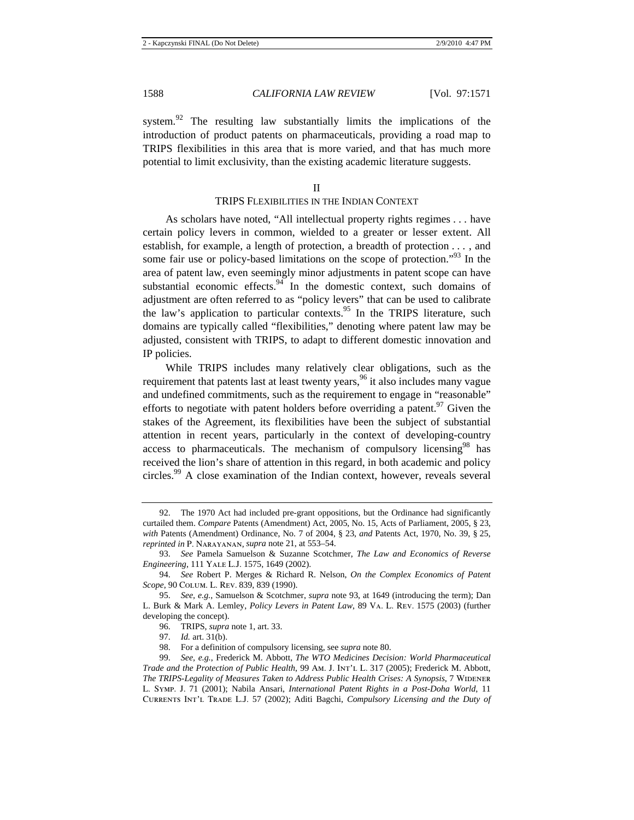system.<sup>92</sup> The resulting law substantially limits the implications of the introduction of product patents on pharmaceuticals, providing a road map to TRIPS flexibilities in this area that is more varied, and that has much more potential to limit exclusivity, than the existing academic literature suggests.

#### II

## TRIPS FLEXIBILITIES IN THE INDIAN CONTEXT

As scholars have noted, "All intellectual property rights regimes . . . have certain policy levers in common, wielded to a greater or lesser extent. All establish, for example, a length of protection, a breadth of protection . . . , and some fair use or policy-based limitations on the scope of protection."<sup>93</sup> In the area of patent law, even seemingly minor adjustments in patent scope can have substantial economic effects. $94$  In the domestic context, such domains of adjustment are often referred to as "policy levers" that can be used to calibrate the law's application to particular contexts.<sup>95</sup> In the TRIPS literature, such domains are typically called "flexibilities," denoting where patent law may be adjusted, consistent with TRIPS, to adapt to different domestic innovation and IP policies.

While TRIPS includes many relatively clear obligations, such as the requirement that patents last at least twenty years,  $96$  it also includes many vague and undefined commitments, such as the requirement to engage in "reasonable" efforts to negotiate with patent holders before overriding a patent.<sup>97</sup> Given the stakes of the Agreement, its flexibilities have been the subject of substantial attention in recent years, particularly in the context of developing-country access to pharmaceuticals. The mechanism of compulsory licensing $98$  has received the lion's share of attention in this regard, in both academic and policy circles.<sup>99</sup> A close examination of the Indian context, however, reveals several

<sup>92.</sup> The 1970 Act had included pre-grant oppositions, but the Ordinance had significantly curtailed them. *Compare* Patents (Amendment) Act, 2005, No. 15, Acts of Parliament, 2005, § 23, *with* Patents (Amendment) Ordinance, No. 7 of 2004, § 23, *and* Patents Act, 1970, No. 39, § 25, *reprinted in* P. Narayanan, *supra* note 21, at 553–54.

<sup>93.</sup> *See* Pamela Samuelson & Suzanne Scotchmer, *The Law and Economics of Reverse Engineering*, 111 Yale L.J. 1575, 1649 (2002).

<sup>94.</sup> *See* Robert P. Merges & Richard R. Nelson, *On the Complex Economics of Patent Scope*, 90 Colum. L. Rev. 839, 839 (1990).

<sup>95.</sup> *See, e.g.*, Samuelson & Scotchmer, *supra* note 93, at 1649 (introducing the term); Dan L. Burk & Mark A. Lemley, *Policy Levers in Patent Law*, 89 Va. L. Rev. 1575 (2003) (further developing the concept).

<sup>96.</sup> TRIPS, *supra* note 1, art. 33.

<sup>97.</sup> *Id.* art. 31(b).

<sup>98.</sup> For a definition of compulsory licensing, see *supra* note 80.

<sup>99.</sup> *See, e.g.*, Frederick M. Abbott, *The WTO Medicines Decision: World Pharmaceutical Trade and the Protection of Public Health*, 99 Am. J. Int'l L. 317 (2005); Frederick M. Abbott, *The TRIPS-Legality of Measures Taken to Address Public Health Crises: A Synopsis, 7 WIDENER* L. Symp. J. 71 (2001); Nabila Ansari, *International Patent Rights in a Post-Doha World*, 11 Currents Int'l Trade L.J. 57 (2002); Aditi Bagchi, *Compulsory Licensing and the Duty of*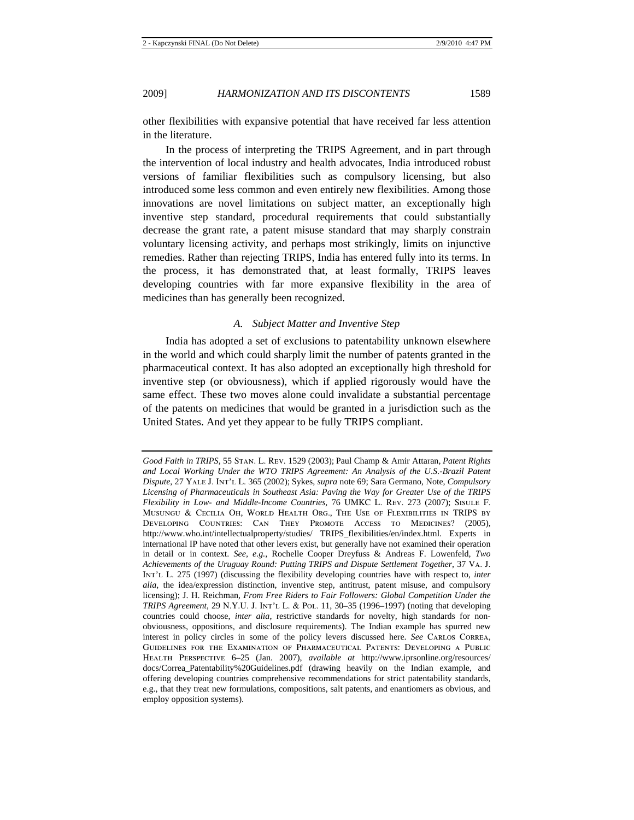other flexibilities with expansive potential that have received far less attention in the literature.

In the process of interpreting the TRIPS Agreement, and in part through the intervention of local industry and health advocates, India introduced robust versions of familiar flexibilities such as compulsory licensing, but also introduced some less common and even entirely new flexibilities. Among those innovations are novel limitations on subject matter, an exceptionally high inventive step standard, procedural requirements that could substantially decrease the grant rate, a patent misuse standard that may sharply constrain voluntary licensing activity, and perhaps most strikingly, limits on injunctive remedies. Rather than rejecting TRIPS, India has entered fully into its terms. In the process, it has demonstrated that, at least formally, TRIPS leaves developing countries with far more expansive flexibility in the area of medicines than has generally been recognized.

## *A. Subject Matter and Inventive Step*

India has adopted a set of exclusions to patentability unknown elsewhere in the world and which could sharply limit the number of patents granted in the pharmaceutical context. It has also adopted an exceptionally high threshold for inventive step (or obviousness), which if applied rigorously would have the same effect. These two moves alone could invalidate a substantial percentage of the patents on medicines that would be granted in a jurisdiction such as the United States. And yet they appear to be fully TRIPS compliant.

*Good Faith in TRIPS*, 55 Stan. L. Rev. 1529 (2003); Paul Champ & Amir Attaran, *Patent Rights and Local Working Under the WTO TRIPS Agreement: An Analysis of the U*.*S*.*-Brazil Patent Dispute*, 27 Yale J. Int'l L. 365 (2002); Sykes, *supra* note 69; Sara Germano, Note, *Compulsory Licensing of Pharmaceuticals in Southeast Asia: Paving the Way for Greater Use of the TRIPS Flexibility in Low- and Middle-Income Countries*, 76 UMKC L. Rev. 273 (2007); Sisule F. Musungu & Cecilia Oh, World Health Org., The Use of Flexibilities in TRIPS by Developing Countries: Can They Promote Access to Medicines? (2005), http://www.who.int/intellectualproperty/studies/ TRIPS\_flexibilities/en/index.html. Experts in international IP have noted that other levers exist, but generally have not examined their operation in detail or in context. *See, e.g.*, Rochelle Cooper Dreyfuss & Andreas F. Lowenfeld, *Two Achievements of the Uruguay Round: Putting TRIPS and Dispute Settlement Together*, 37 Va. J. Int'l L. 275 (1997) (discussing the flexibility developing countries have with respect to, *inter alia*, the idea/expression distinction, inventive step, antitrust, patent misuse, and compulsory licensing); J. H. Reichman, *From Free Riders to Fair Followers: Global Competition Under the TRIPS Agreement*, 29 N.Y.U. J. Int'l L. & Pol. 11, 30–35 (1996–1997) (noting that developing countries could choose, *inter alia*, restrictive standards for novelty, high standards for nonobviousness, oppositions, and disclosure requirements). The Indian example has spurred new interest in policy circles in some of the policy levers discussed here. *See* CARLOS CORREA, Guidelines for the Examination of Pharmaceutical Patents: Developing a Public Health Perspective 6–25 (Jan. 2007), *available at* http://www.iprsonline.org/resources/ docs/Correa\_Patentability%20Guidelines.pdf (drawing heavily on the Indian example, and offering developing countries comprehensive recommendations for strict patentability standards, e.g., that they treat new formulations, compositions, salt patents, and enantiomers as obvious, and employ opposition systems).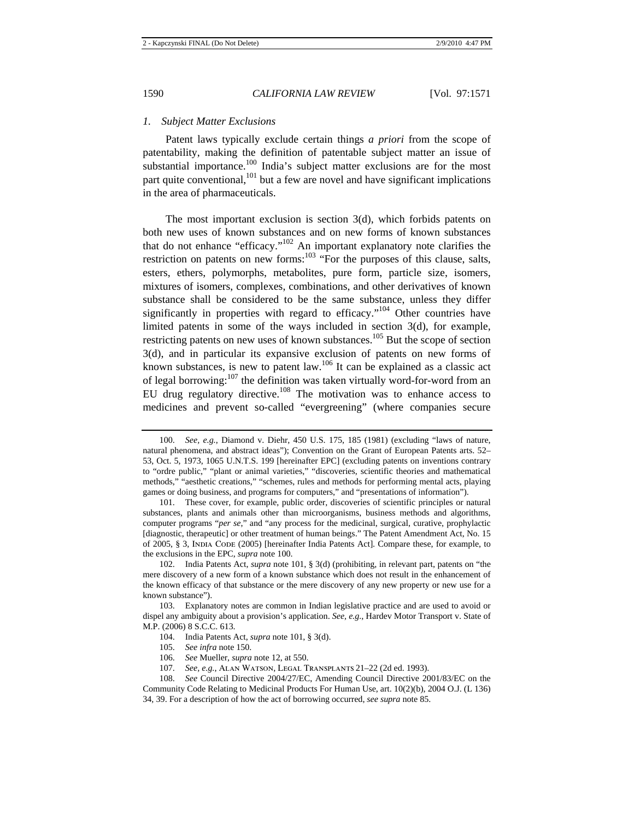## *1. Subject Matter Exclusions*

Patent laws typically exclude certain things *a priori* from the scope of patentability, making the definition of patentable subject matter an issue of substantial importance.<sup>100</sup> India's subject matter exclusions are for the most part quite conventional,<sup>101</sup> but a few are novel and have significant implications in the area of pharmaceuticals.

The most important exclusion is section 3(d), which forbids patents on both new uses of known substances and on new forms of known substances that do not enhance "efficacy."102 An important explanatory note clarifies the restriction on patents on new forms: $103$  "For the purposes of this clause, salts, esters, ethers, polymorphs, metabolites, pure form, particle size, isomers, mixtures of isomers, complexes, combinations, and other derivatives of known substance shall be considered to be the same substance, unless they differ significantly in properties with regard to efficacy."<sup>104</sup> Other countries have limited patents in some of the ways included in section 3(d), for example, restricting patents on new uses of known substances.<sup>105</sup> But the scope of section 3(d), and in particular its expansive exclusion of patents on new forms of known substances, is new to patent law.<sup>106</sup> It can be explained as a classic act of legal borrowing: $107$  the definition was taken virtually word-for-word from an EU drug regulatory directive.108 The motivation was to enhance access to medicines and prevent so-called "evergreening" (where companies secure

- 106. *See* Mueller, *supra* note 12, at 550.
- 107. *See, e.g.*, Alan Watson, Legal Transplants 21–22 (2d ed. 1993).

<sup>100.</sup> *See, e.g.*, Diamond v. Diehr, 450 U.S. 175, 185 (1981) (excluding "laws of nature, natural phenomena, and abstract ideas"); Convention on the Grant of European Patents arts. 52– 53, Oct. 5, 1973, 1065 U.N.T.S. 199 [hereinafter EPC] (excluding patents on inventions contrary to "ordre public," "plant or animal varieties," "discoveries, scientific theories and mathematical methods," "aesthetic creations," "schemes, rules and methods for performing mental acts, playing games or doing business, and programs for computers," and "presentations of information").

<sup>101.</sup> These cover, for example, public order, discoveries of scientific principles or natural substances, plants and animals other than microorganisms, business methods and algorithms, computer programs "*per se*," and "any process for the medicinal, surgical, curative, prophylactic [diagnostic, therapeutic] or other treatment of human beings." The Patent Amendment Act, No. 15 of 2005, § 3, India Code (2005) [hereinafter India Patents Act]. Compare these, for example, to the exclusions in the EPC, *supra* note 100.

<sup>102.</sup> India Patents Act, *supra* note 101, § 3(d) (prohibiting, in relevant part, patents on "the mere discovery of a new form of a known substance which does not result in the enhancement of the known efficacy of that substance or the mere discovery of any new property or new use for a known substance").

<sup>103.</sup> Explanatory notes are common in Indian legislative practice and are used to avoid or dispel any ambiguity about a provision's application. *See, e.g.*, Hardev Motor Transport v. State of M.P. (2006) 8 S.C.C. 613.

<sup>104.</sup> India Patents Act, *supra* note 101, § 3(d).

<sup>105.</sup> *See infra* note 150.

<sup>108.</sup> *See* Council Directive 2004/27/EC, Amending Council Directive 2001/83/EC on the Community Code Relating to Medicinal Products For Human Use, art. 10(2)(b), 2004 O.J. (L 136) 34, 39. For a description of how the act of borrowing occurred, *see supra* note 85.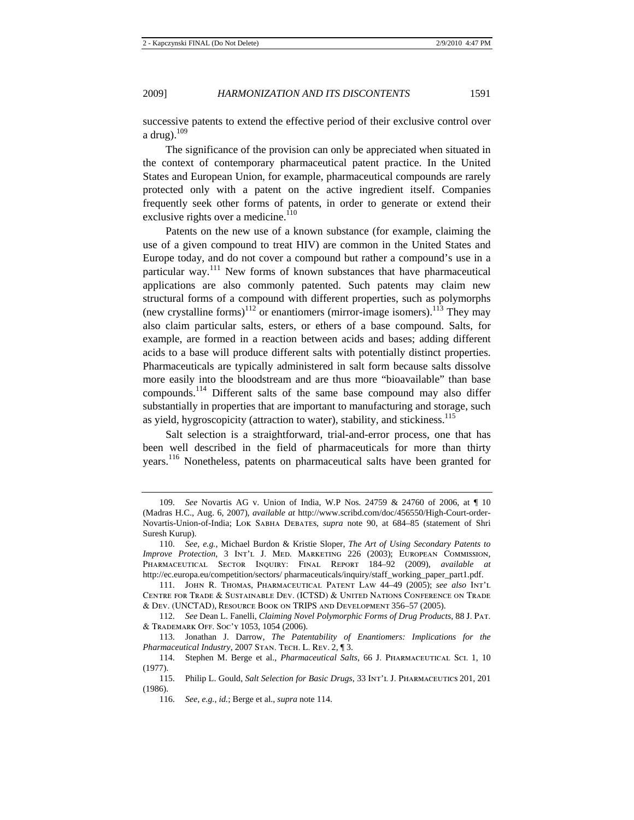successive patents to extend the effective period of their exclusive control over a drug). $109$ 

The significance of the provision can only be appreciated when situated in the context of contemporary pharmaceutical patent practice. In the United States and European Union, for example, pharmaceutical compounds are rarely protected only with a patent on the active ingredient itself. Companies frequently seek other forms of patents, in order to generate or extend their exclusive rights over a medicine.<sup>110</sup>

Patents on the new use of a known substance (for example, claiming the use of a given compound to treat HIV) are common in the United States and Europe today, and do not cover a compound but rather a compound's use in a particular way.<sup>111</sup> New forms of known substances that have pharmaceutical applications are also commonly patented. Such patents may claim new structural forms of a compound with different properties, such as polymorphs (new crystalline forms)<sup>112</sup> or enantiomers (mirror-image isomers).<sup>113</sup> They may also claim particular salts, esters, or ethers of a base compound. Salts, for example, are formed in a reaction between acids and bases; adding different acids to a base will produce different salts with potentially distinct properties. Pharmaceuticals are typically administered in salt form because salts dissolve more easily into the bloodstream and are thus more "bioavailable" than base compounds.<sup>114</sup> Different salts of the same base compound may also differ substantially in properties that are important to manufacturing and storage, such as yield, hygroscopicity (attraction to water), stability, and stickiness.<sup>115</sup>

Salt selection is a straightforward, trial-and-error process, one that has been well described in the field of pharmaceuticals for more than thirty years.<sup>116</sup> Nonetheless, patents on pharmaceutical salts have been granted for

<sup>109.</sup> *See* Novartis AG v. Union of India, W.P Nos. 24759 & 24760 of 2006, at ¶ 10 (Madras H.C., Aug. 6, 2007), *available at* http://www.scribd.com/doc/456550/High-Court-order-Novartis-Union-of-India; Lok Sabha Debates, *supra* note 90, at 684–85 (statement of Shri Suresh Kurup).

<sup>110.</sup> *See, e.g.*, Michael Burdon & Kristie Sloper, *The Art of Using Secondary Patents to Improve Protection*, 3 Int'l J. Med. Marketing 226 (2003); European Commission, Pharmaceutical Sector Inquiry: Final Report 184–92 (2009), *available at* http://ec.europa.eu/competition/sectors/ pharmaceuticals/inquiry/staff\_working\_paper\_part1.pdf.

<sup>111.</sup> John R. Thomas, Pharmaceutical Patent Law 44–49 (2005); *see also* Int'l Centre for Trade & Sustainable Dev. (ICTSD) & United Nations Conference on Trade & Dev. (UNCTAD), Resource Book on TRIPS and Development 356–57 (2005).

<sup>112.</sup> *See* Dean L. Fanelli, *Claiming Novel Polymorphic Forms of Drug Products*, 88 J. Pat. & Trademark Off. Soc'y 1053, 1054 (2006).

<sup>113.</sup> Jonathan J. Darrow, *The Patentability of Enantiomers: Implications for the Pharmaceutical Industry*, 2007 Stan. Tech. L. Rev. 2, ¶ 3.

<sup>114.</sup> Stephen M. Berge et al., *Pharmaceutical Salts*, 66 J. Pharmaceutical Sci. 1, 10 (1977).

<sup>115.</sup> Philip L. Gould, *Salt Selection for Basic Drugs*, 33 Int'l J. Pharmaceutics 201, 201 (1986).

<sup>116.</sup> *See, e.g.*, *id.*; Berge et al., *supra* note 114.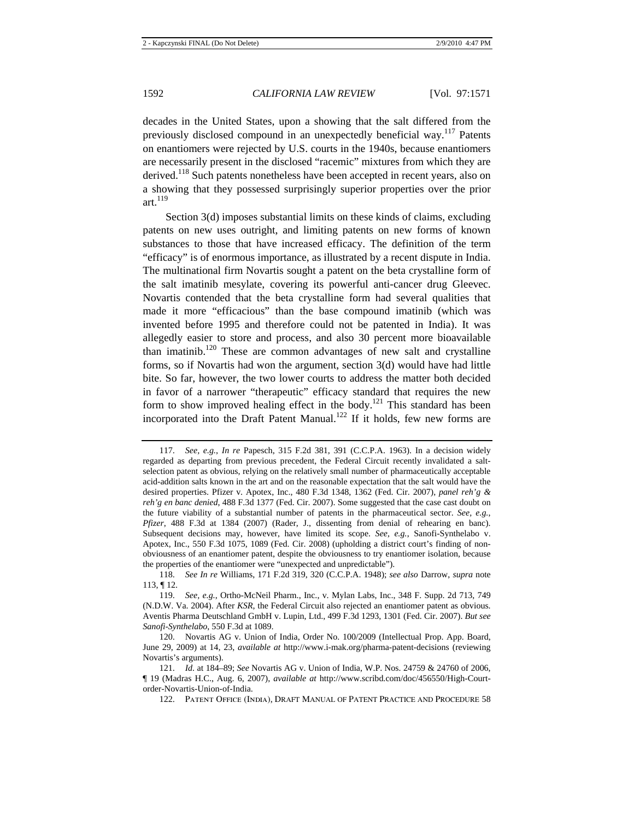decades in the United States, upon a showing that the salt differed from the previously disclosed compound in an unexpectedly beneficial way.<sup>117</sup> Patents on enantiomers were rejected by U.S. courts in the 1940s, because enantiomers are necessarily present in the disclosed "racemic" mixtures from which they are derived.<sup>118</sup> Such patents nonetheless have been accepted in recent years, also on a showing that they possessed surprisingly superior properties over the prior art. $119$ 

Section 3(d) imposes substantial limits on these kinds of claims, excluding patents on new uses outright, and limiting patents on new forms of known substances to those that have increased efficacy. The definition of the term "efficacy" is of enormous importance, as illustrated by a recent dispute in India. The multinational firm Novartis sought a patent on the beta crystalline form of the salt imatinib mesylate, covering its powerful anti-cancer drug Gleevec. Novartis contended that the beta crystalline form had several qualities that made it more "efficacious" than the base compound imatinib (which was invented before 1995 and therefore could not be patented in India). It was allegedly easier to store and process, and also 30 percent more bioavailable than imatinib.<sup>120</sup> These are common advantages of new salt and crystalline forms, so if Novartis had won the argument, section 3(d) would have had little bite. So far, however, the two lower courts to address the matter both decided in favor of a narrower "therapeutic" efficacy standard that requires the new form to show improved healing effect in the body.<sup>121</sup> This standard has been incorporated into the Draft Patent Manual.<sup>122</sup> If it holds, few new forms are

<sup>117.</sup> *See, e.g.*, *In re* Papesch, 315 F.2d 381, 391 (C.C.P.A. 1963). In a decision widely regarded as departing from previous precedent, the Federal Circuit recently invalidated a saltselection patent as obvious, relying on the relatively small number of pharmaceutically acceptable acid-addition salts known in the art and on the reasonable expectation that the salt would have the desired properties. Pfizer v. Apotex, Inc., 480 F.3d 1348, 1362 (Fed. Cir. 2007), *panel reh'g & reh'g en banc denied*, 488 F.3d 1377 (Fed. Cir. 2007). Some suggested that the case cast doubt on the future viability of a substantial number of patents in the pharmaceutical sector. *See, e.g.*, *Pfizer*, 488 F.3d at 1384 (2007) (Rader, J., dissenting from denial of rehearing en banc). Subsequent decisions may, however, have limited its scope. *See, e.g.*, Sanofi-Synthelabo v. Apotex, Inc., 550 F.3d 1075, 1089 (Fed. Cir. 2008) (upholding a district court's finding of nonobviousness of an enantiomer patent, despite the obviousness to try enantiomer isolation, because the properties of the enantiomer were "unexpected and unpredictable").

<sup>118.</sup> *See In re* Williams, 171 F.2d 319, 320 (C.C.P.A. 1948); *see also* Darrow, *supra* note 113, ¶ 12.

<sup>119.</sup> *See, e.g.*, Ortho-McNeil Pharm., Inc., v. Mylan Labs, Inc., 348 F. Supp. 2d 713, 749 (N.D.W. Va. 2004). After *KSR*, the Federal Circuit also rejected an enantiomer patent as obvious. Aventis Pharma Deutschland GmbH v. Lupin, Ltd., 499 F.3d 1293, 1301 (Fed. Cir. 2007). *But see Sanofi-Synthelabo*, 550 F.3d at 1089.

<sup>120.</sup> Novartis AG v. Union of India, Order No. 100/2009 (Intellectual Prop. App. Board, June 29, 2009) at 14, 23, *available at* http://www.i-mak.org/pharma-patent-decisions (reviewing Novartis's arguments).

<sup>121.</sup> *Id.* at 184–89; *See* Novartis AG v. Union of India, W.P. Nos. 24759 & 24760 of 2006, ¶ 19 (Madras H.C., Aug. 6, 2007), *available at* http://www.scribd.com/doc/456550/High-Courtorder-Novartis-Union-of-India.

<sup>122.</sup> Patent Office (India), DRAFT MANUAL OF PATENT PRACTICE AND PROCEDURE 58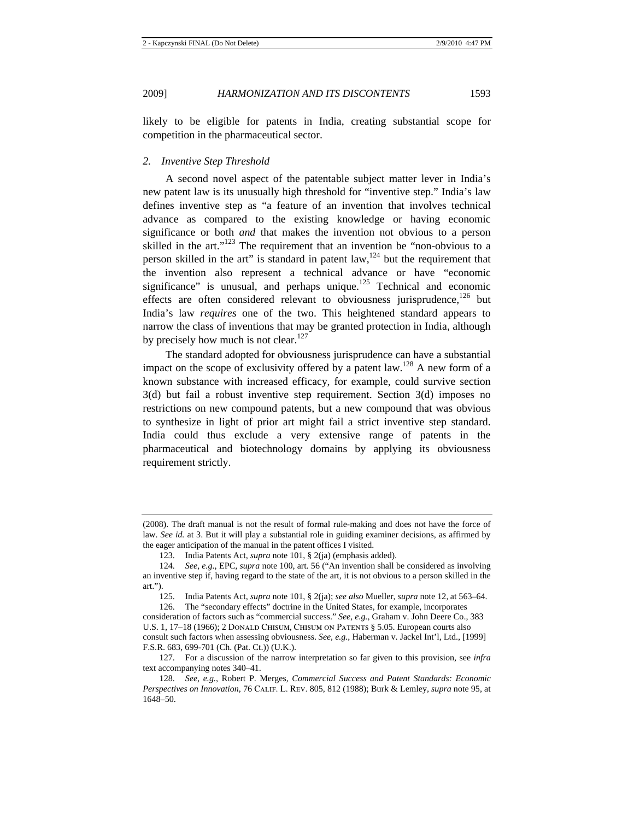likely to be eligible for patents in India, creating substantial scope for competition in the pharmaceutical sector.

## *2. Inventive Step Threshold*

A second novel aspect of the patentable subject matter lever in India's new patent law is its unusually high threshold for "inventive step." India's law defines inventive step as "a feature of an invention that involves technical advance as compared to the existing knowledge or having economic significance or both *and* that makes the invention not obvious to a person skilled in the art." $123$  The requirement that an invention be "non-obvious to a person skilled in the art" is standard in patent law, $124$  but the requirement that the invention also represent a technical advance or have "economic significance" is unusual, and perhaps unique.<sup>125</sup> Technical and economic effects are often considered relevant to obviousness jurisprudence,  $^{126}$  but India's law *requires* one of the two. This heightened standard appears to narrow the class of inventions that may be granted protection in India, although by precisely how much is not clear.<sup>127</sup>

The standard adopted for obviousness jurisprudence can have a substantial impact on the scope of exclusivity offered by a patent law.<sup>128</sup> A new form of a known substance with increased efficacy, for example, could survive section 3(d) but fail a robust inventive step requirement. Section 3(d) imposes no restrictions on new compound patents, but a new compound that was obvious to synthesize in light of prior art might fail a strict inventive step standard. India could thus exclude a very extensive range of patents in the pharmaceutical and biotechnology domains by applying its obviousness requirement strictly.

<sup>(2008).</sup> The draft manual is not the result of formal rule-making and does not have the force of law. *See id.* at 3. But it will play a substantial role in guiding examiner decisions, as affirmed by the eager anticipation of the manual in the patent offices I visited.

<sup>123.</sup> India Patents Act, *supra* note 101, § 2(ja) (emphasis added).

<sup>124.</sup> *See, e.g.*, EPC, *supra* note 100, art. 56 ("An invention shall be considered as involving an inventive step if, having regard to the state of the art, it is not obvious to a person skilled in the art.").

<sup>125.</sup> India Patents Act, *supra* note 101, § 2(ja); *see also* Mueller, *supra* note 12, at 563–64.

<sup>126.</sup> The "secondary effects" doctrine in the United States, for example, incorporates consideration of factors such as "commercial success." *See, e.g.*, Graham v. John Deere Co., 383 U.S. 1, 17–18 (1966); 2 DONALD CHISUM, CHISUM ON PATENTS § 5.05. European courts also consult such factors when assessing obviousness. *See, e.g.*, Haberman v. Jackel Int'l, Ltd., [1999] F.S.R. 683, 699-701 (Ch. (Pat. Ct.)) (U.K.).

<sup>127.</sup> For a discussion of the narrow interpretation so far given to this provision, see *infra* text accompanying notes 340–41.

<sup>128.</sup> *See, e.g.*, Robert P. Merges, *Commercial Success and Patent Standards: Economic Perspectives on Innovation*, 76 Calif. L. Rev. 805, 812 (1988); Burk & Lemley, *supra* note 95, at 1648–50.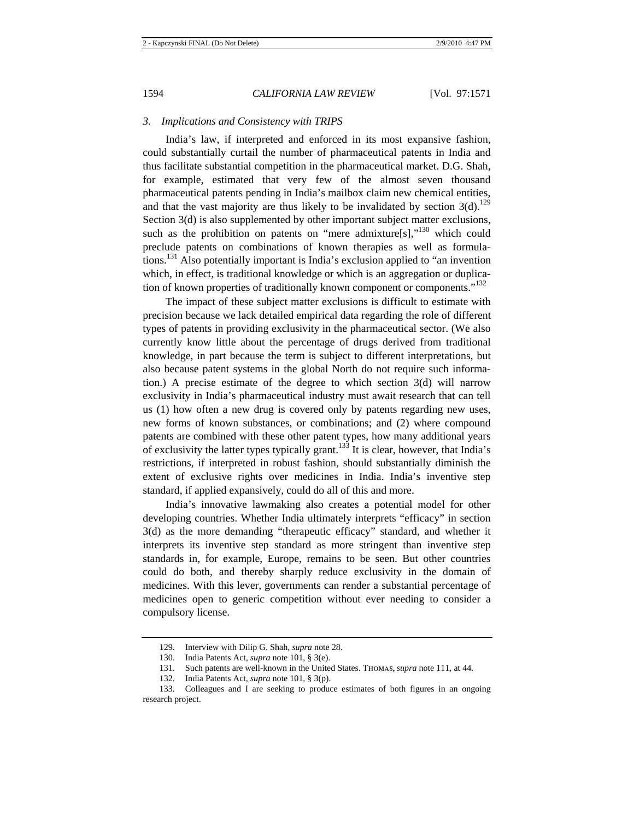## *3. Implications and Consistency with TRIPS*

India's law, if interpreted and enforced in its most expansive fashion, could substantially curtail the number of pharmaceutical patents in India and thus facilitate substantial competition in the pharmaceutical market. D.G. Shah, for example, estimated that very few of the almost seven thousand pharmaceutical patents pending in India's mailbox claim new chemical entities, and that the vast majority are thus likely to be invalidated by section  $3(d)$ .<sup>129</sup> Section 3(d) is also supplemented by other important subject matter exclusions, such as the prohibition on patents on "mere admixture[s],"<sup>130</sup> which could preclude patents on combinations of known therapies as well as formulations.131 Also potentially important is India's exclusion applied to "an invention which, in effect, is traditional knowledge or which is an aggregation or duplication of known properties of traditionally known component or components."<sup>132</sup>

The impact of these subject matter exclusions is difficult to estimate with precision because we lack detailed empirical data regarding the role of different types of patents in providing exclusivity in the pharmaceutical sector. (We also currently know little about the percentage of drugs derived from traditional knowledge, in part because the term is subject to different interpretations, but also because patent systems in the global North do not require such information.) A precise estimate of the degree to which section 3(d) will narrow exclusivity in India's pharmaceutical industry must await research that can tell us (1) how often a new drug is covered only by patents regarding new uses, new forms of known substances, or combinations; and (2) where compound patents are combined with these other patent types, how many additional years of exclusivity the latter types typically grant.133 It is clear, however, that India's restrictions, if interpreted in robust fashion, should substantially diminish the extent of exclusive rights over medicines in India. India's inventive step standard, if applied expansively, could do all of this and more.

India's innovative lawmaking also creates a potential model for other developing countries. Whether India ultimately interprets "efficacy" in section 3(d) as the more demanding "therapeutic efficacy" standard, and whether it interprets its inventive step standard as more stringent than inventive step standards in, for example, Europe, remains to be seen. But other countries could do both, and thereby sharply reduce exclusivity in the domain of medicines. With this lever, governments can render a substantial percentage of medicines open to generic competition without ever needing to consider a compulsory license.

<sup>129.</sup> Interview with Dilip G. Shah, *supra* note 28.

<sup>130.</sup> India Patents Act, *supra* note 101, § 3(e).

<sup>131.</sup> Such patents are well-known in the United States. Thomas, *supra* note 111, at 44.

<sup>132.</sup> India Patents Act, *supra* note 101, § 3(p).

<sup>133.</sup> Colleagues and I are seeking to produce estimates of both figures in an ongoing research project.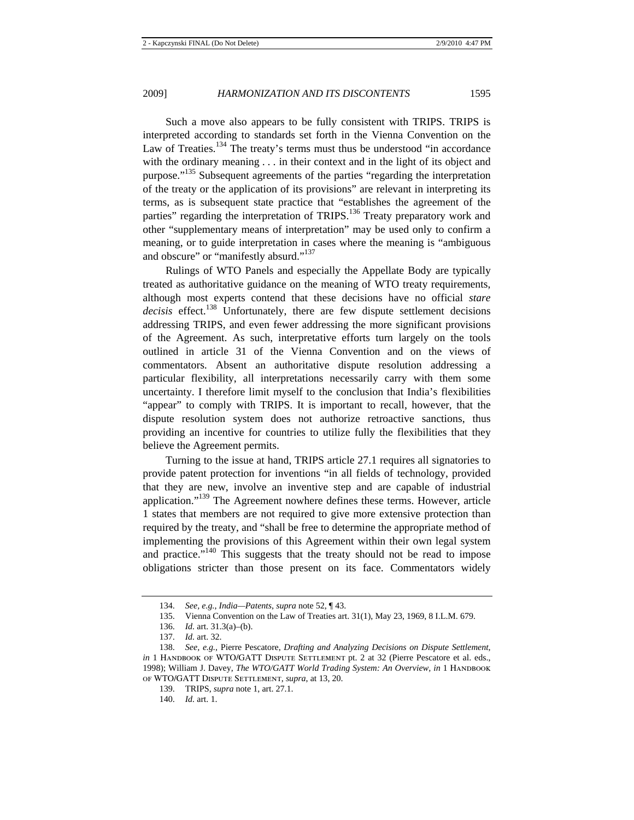Such a move also appears to be fully consistent with TRIPS. TRIPS is interpreted according to standards set forth in the Vienna Convention on the Law of Treaties.<sup>134</sup> The treaty's terms must thus be understood "in accordance with the ordinary meaning . . . in their context and in the light of its object and purpose."<sup>135</sup> Subsequent agreements of the parties "regarding the interpretation of the treaty or the application of its provisions" are relevant in interpreting its terms, as is subsequent state practice that "establishes the agreement of the parties" regarding the interpretation of TRIPS.<sup>136</sup> Treaty preparatory work and other "supplementary means of interpretation" may be used only to confirm a meaning, or to guide interpretation in cases where the meaning is "ambiguous and obscure" or "manifestly absurd."<sup>137</sup>

Rulings of WTO Panels and especially the Appellate Body are typically treated as authoritative guidance on the meaning of WTO treaty requirements, although most experts contend that these decisions have no official *stare*  decisis effect.<sup>138</sup> Unfortunately, there are few dispute settlement decisions addressing TRIPS, and even fewer addressing the more significant provisions of the Agreement. As such, interpretative efforts turn largely on the tools outlined in article 31 of the Vienna Convention and on the views of commentators. Absent an authoritative dispute resolution addressing a particular flexibility, all interpretations necessarily carry with them some uncertainty. I therefore limit myself to the conclusion that India's flexibilities "appear" to comply with TRIPS. It is important to recall, however, that the dispute resolution system does not authorize retroactive sanctions, thus providing an incentive for countries to utilize fully the flexibilities that they believe the Agreement permits.

Turning to the issue at hand, TRIPS article 27.1 requires all signatories to provide patent protection for inventions "in all fields of technology, provided that they are new, involve an inventive step and are capable of industrial application."139 The Agreement nowhere defines these terms. However, article 1 states that members are not required to give more extensive protection than required by the treaty, and "shall be free to determine the appropriate method of implementing the provisions of this Agreement within their own legal system and practice."<sup>140</sup> This suggests that the treaty should not be read to impose obligations stricter than those present on its face. Commentators widely

<sup>134.</sup> *See, e.g.*, *India—Patents*, *supra* note 52, ¶ 43.

<sup>135.</sup> Vienna Convention on the Law of Treaties art. 31(1), May 23, 1969, 8 I.L.M. 679.

<sup>136.</sup> *Id.* art. 31.3(a)–(b).

<sup>137.</sup> *Id.* art. 32.

<sup>138.</sup> *See, e.g.*, Pierre Pescatore, *Drafting and Analyzing Decisions on Dispute Settlement*, *in* 1 HANDBOOK OF WTO/GATT DISPUTE SETTLEMENT pt. 2 at 32 (Pierre Pescatore et al. eds., 1998); William J. Davey, *The WTO/GATT World Trading System: An Overview, in* 1 HANDBOOK of WTO/GATT Dispute Settlement, *supra*, at 13, 20.

<sup>139.</sup> TRIPS, *supra* note 1, art. 27.1.

<sup>140.</sup> *Id.* art. 1.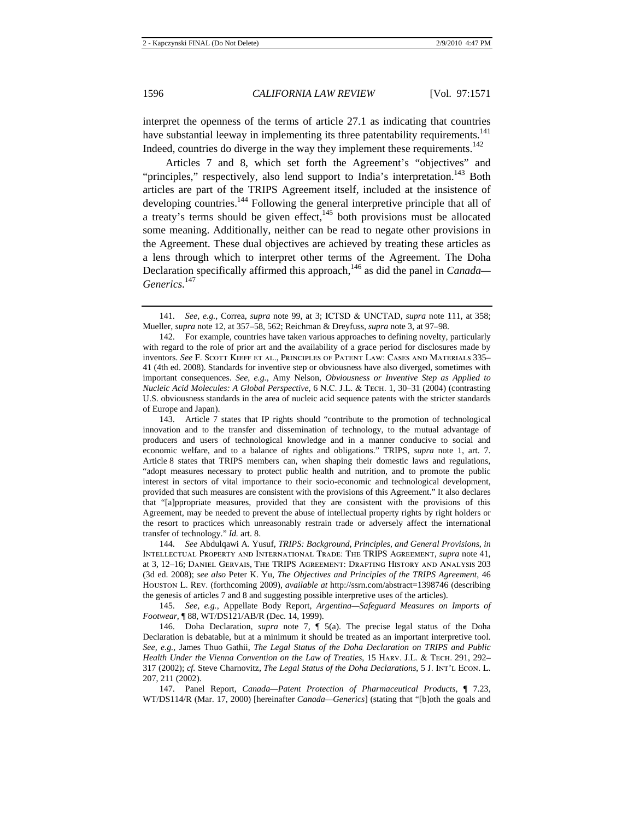interpret the openness of the terms of article 27.1 as indicating that countries have substantial leeway in implementing its three patentability requirements.<sup>141</sup> Indeed, countries do diverge in the way they implement these requirements.<sup>142</sup>

Articles 7 and 8, which set forth the Agreement's "objectives" and "principles," respectively, also lend support to India's interpretation.<sup>143</sup> Both articles are part of the TRIPS Agreement itself, included at the insistence of developing countries.<sup>144</sup> Following the general interpretive principle that all of a treaty's terms should be given effect, $145$  both provisions must be allocated some meaning. Additionally, neither can be read to negate other provisions in the Agreement. These dual objectives are achieved by treating these articles as a lens through which to interpret other terms of the Agreement. The Doha Declaration specifically affirmed this approach,<sup>146</sup> as did the panel in *Canada*— *Generics*. 147

144. *See* Abdulqawi A. Yusuf, *TRIPS: Background, Principles, and General Provisions*, *in* Intellectual Property and International Trade: The TRIPS Agreement, *supra* note 41, at 3, 12–16; Daniel Gervais, The TRIPS Agreement: Drafting History and Analysis 203 (3d ed. 2008); *see also* Peter K. Yu, *The Objectives and Principles of the TRIPS Agreement*, 46 Houston L. Rev. (forthcoming 2009), *available at* http://ssrn.com/abstract=1398746 (describing the genesis of articles 7 and 8 and suggesting possible interpretive uses of the articles).

145. *See, e.g.*, Appellate Body Report, *Argentina—Safeguard Measures on Imports of Footwear*, ¶ 88, WT/DS121/AB/R (Dec. 14, 1999).

146. Doha Declaration, *supra* note 7, ¶ 5(a). The precise legal status of the Doha Declaration is debatable, but at a minimum it should be treated as an important interpretive tool. *See, e.g.*, James Thuo Gathii, *The Legal Status of the Doha Declaration on TRIPS and Public Health Under the Vienna Convention on the Law of Treaties*, 15 HARV. J.L. & TECH. 291, 292– 317 (2002); *cf.* Steve Charnovitz, *The Legal Status of the Doha Declarations*, 5 J. Int'l Econ. L. 207, 211 (2002).

147. Panel Report, *Canada—Patent Protection of Pharmaceutical Products*, ¶ 7.23, WT/DS114/R (Mar. 17, 2000) [hereinafter *Canada—Generics*] (stating that "[b]oth the goals and

<sup>141.</sup> *See, e.g.*, Correa, *supra* note 99, at 3; ICTSD & UNCTAD, *supra* note 111, at 358; Mueller, *supra* note 12, at 357–58, 562; Reichman & Dreyfuss, *supra* note 3, at 97–98.

<sup>142.</sup> For example, countries have taken various approaches to defining novelty, particularly with regard to the role of prior art and the availability of a grace period for disclosures made by inventors. *See* F. Scott Kieff et al., Principles of Patent Law: Cases and Materials 335– 41 (4th ed. 2008). Standards for inventive step or obviousness have also diverged, sometimes with important consequences. *See, e.g.*, Amy Nelson, *Obviousness or Inventive Step as Applied to Nucleic Acid Molecules: A Global Perspective*, 6 N.C. J.L. & Tech. 1, 30–31 (2004) (contrasting U.S. obviousness standards in the area of nucleic acid sequence patents with the stricter standards of Europe and Japan).

<sup>143.</sup> Article 7 states that IP rights should "contribute to the promotion of technological innovation and to the transfer and dissemination of technology, to the mutual advantage of producers and users of technological knowledge and in a manner conducive to social and economic welfare, and to a balance of rights and obligations." TRIPS, *supra* note 1, art. 7. Article 8 states that TRIPS members can, when shaping their domestic laws and regulations, "adopt measures necessary to protect public health and nutrition, and to promote the public interest in sectors of vital importance to their socio-economic and technological development, provided that such measures are consistent with the provisions of this Agreement." It also declares that "[a]ppropriate measures, provided that they are consistent with the provisions of this Agreement, may be needed to prevent the abuse of intellectual property rights by right holders or the resort to practices which unreasonably restrain trade or adversely affect the international transfer of technology." *Id.* art. 8.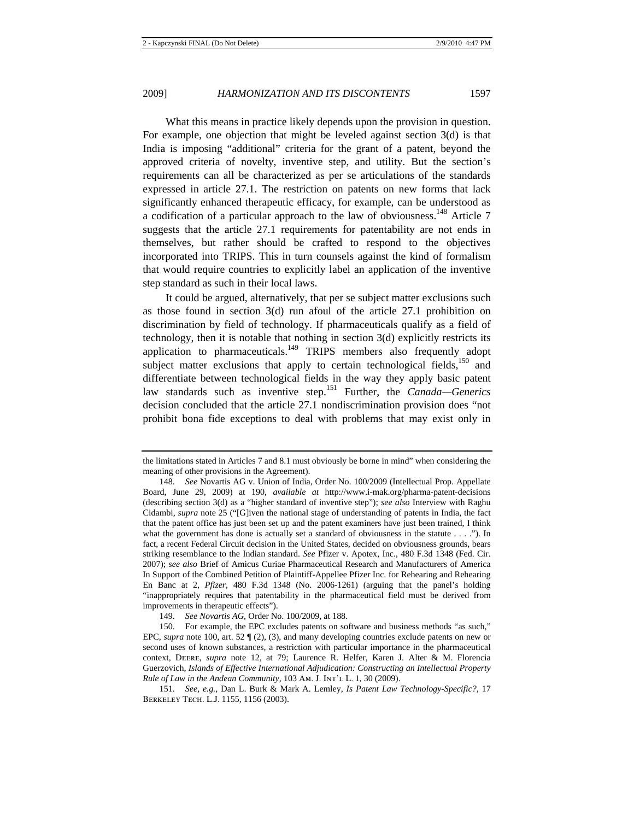What this means in practice likely depends upon the provision in question. For example, one objection that might be leveled against section 3(d) is that India is imposing "additional" criteria for the grant of a patent, beyond the approved criteria of novelty, inventive step, and utility. But the section's requirements can all be characterized as per se articulations of the standards expressed in article 27.1. The restriction on patents on new forms that lack significantly enhanced therapeutic efficacy, for example, can be understood as a codification of a particular approach to the law of obviousness.<sup>148</sup> Article 7 suggests that the article 27.1 requirements for patentability are not ends in themselves, but rather should be crafted to respond to the objectives incorporated into TRIPS. This in turn counsels against the kind of formalism that would require countries to explicitly label an application of the inventive step standard as such in their local laws.

It could be argued, alternatively, that per se subject matter exclusions such as those found in section 3(d) run afoul of the article 27.1 prohibition on discrimination by field of technology. If pharmaceuticals qualify as a field of technology, then it is notable that nothing in section 3(d) explicitly restricts its application to pharmaceuticals.<sup>149</sup> TRIPS members also frequently adopt subject matter exclusions that apply to certain technological fields,  $150$  and differentiate between technological fields in the way they apply basic patent law standards such as inventive step.151 Further, the *Canada—Generics* decision concluded that the article 27.1 nondiscrimination provision does "not prohibit bona fide exceptions to deal with problems that may exist only in

the limitations stated in Articles 7 and 8.1 must obviously be borne in mind" when considering the meaning of other provisions in the Agreement).

<sup>148.</sup> *See* Novartis AG v. Union of India, Order No. 100/2009 (Intellectual Prop. Appellate Board, June 29, 2009) at 190, *available at* http://www.i-mak.org/pharma-patent-decisions (describing section 3(d) as a "higher standard of inventive step"); *see also* Interview with Raghu Cidambi, *supra* note 25 ("[G]iven the national stage of understanding of patents in India, the fact that the patent office has just been set up and the patent examiners have just been trained, I think what the government has done is actually set a standard of obviousness in the statute  $\dots$ .  $\ddots$ ). In fact, a recent Federal Circuit decision in the United States, decided on obviousness grounds, bears striking resemblance to the Indian standard. *See* Pfizer v. Apotex, Inc., 480 F.3d 1348 (Fed. Cir. 2007); *see also* Brief of Amicus Curiae Pharmaceutical Research and Manufacturers of America In Support of the Combined Petition of Plaintiff-Appellee Pfizer Inc. for Rehearing and Rehearing En Banc at 2, *Pfizer*, 480 F.3d 1348 (No. 2006-1261) (arguing that the panel's holding "inappropriately requires that patentability in the pharmaceutical field must be derived from improvements in therapeutic effects").

<sup>149.</sup> *See Novartis AG*, Order No. 100/2009, at 188.

<sup>150.</sup> For example, the EPC excludes patents on software and business methods "as such," EPC, *supra* note 100, art. 52 ¶ (2), (3), and many developing countries exclude patents on new or second uses of known substances, a restriction with particular importance in the pharmaceutical context, Deere, *supra* note 12, at 79; Laurence R. Helfer, Karen J. Alter & M. Florencia Guerzovich, *Islands of Effective International Adjudication: Constructing an Intellectual Property Rule of Law in the Andean Community*, 103 Am. J. Int'l L. 1, 30 (2009).

<sup>151.</sup> *See, e.g.*, Dan L. Burk & Mark A. Lemley, *Is Patent Law Technology-Specific?*, 17 Berkeley Tech. L.J. 1155, 1156 (2003).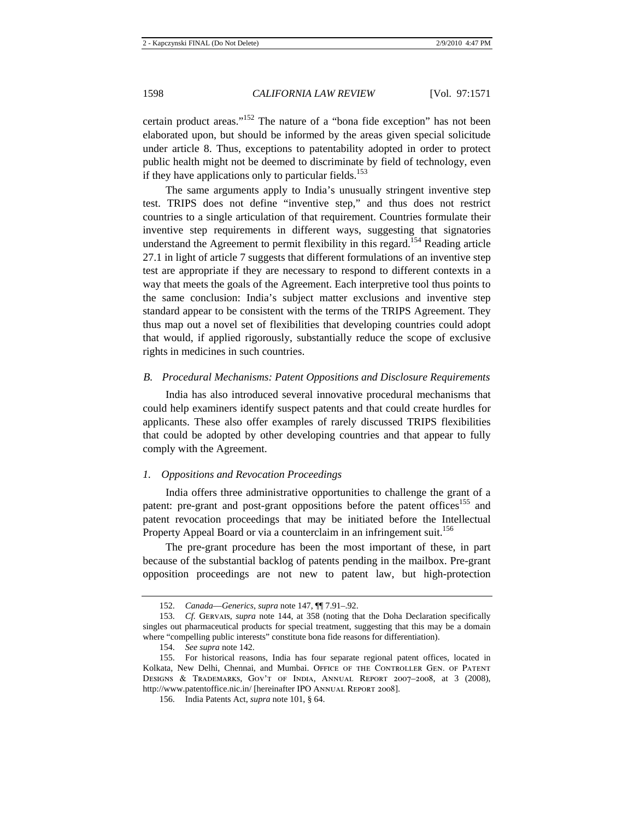certain product areas."<sup>152</sup> The nature of a "bona fide exception" has not been elaborated upon, but should be informed by the areas given special solicitude under article 8. Thus, exceptions to patentability adopted in order to protect public health might not be deemed to discriminate by field of technology, even if they have applications only to particular fields.<sup>153</sup>

The same arguments apply to India's unusually stringent inventive step test. TRIPS does not define "inventive step," and thus does not restrict countries to a single articulation of that requirement. Countries formulate their inventive step requirements in different ways, suggesting that signatories understand the Agreement to permit flexibility in this regard.<sup>154</sup> Reading article 27.1 in light of article 7 suggests that different formulations of an inventive step test are appropriate if they are necessary to respond to different contexts in a way that meets the goals of the Agreement. Each interpretive tool thus points to the same conclusion: India's subject matter exclusions and inventive step standard appear to be consistent with the terms of the TRIPS Agreement. They thus map out a novel set of flexibilities that developing countries could adopt that would, if applied rigorously, substantially reduce the scope of exclusive rights in medicines in such countries.

## *B. Procedural Mechanisms: Patent Oppositions and Disclosure Requirements*

India has also introduced several innovative procedural mechanisms that could help examiners identify suspect patents and that could create hurdles for applicants. These also offer examples of rarely discussed TRIPS flexibilities that could be adopted by other developing countries and that appear to fully comply with the Agreement.

## *1. Oppositions and Revocation Proceedings*

India offers three administrative opportunities to challenge the grant of a patent: pre-grant and post-grant oppositions before the patent offices<sup>155</sup> and patent revocation proceedings that may be initiated before the Intellectual Property Appeal Board or via a counterclaim in an infringement suit.<sup>156</sup>

The pre-grant procedure has been the most important of these, in part because of the substantial backlog of patents pending in the mailbox. Pre-grant opposition proceedings are not new to patent law, but high-protection

<sup>152.</sup> *Canada*—*Generics*, *supra* note 147, ¶¶ 7.91–.92.

<sup>153.</sup> *Cf.* Gervais, *supra* note 144, at 358 (noting that the Doha Declaration specifically singles out pharmaceutical products for special treatment, suggesting that this may be a domain where "compelling public interests" constitute bona fide reasons for differentiation).

<sup>154.</sup> *See supra* note 142.

<sup>155.</sup> For historical reasons, India has four separate regional patent offices, located in Kolkata, New Delhi, Chennai, and Mumbai. Office of the Controller Gen. of Patent Designs & Trademarks, Gov't of India, Annual Report 2007–2008, at 3 (2008), http://www.patentoffice.nic.in/ [hereinafter IPO ANNUAL REPORT 2008].

<sup>156.</sup> India Patents Act, *supra* note 101, § 64.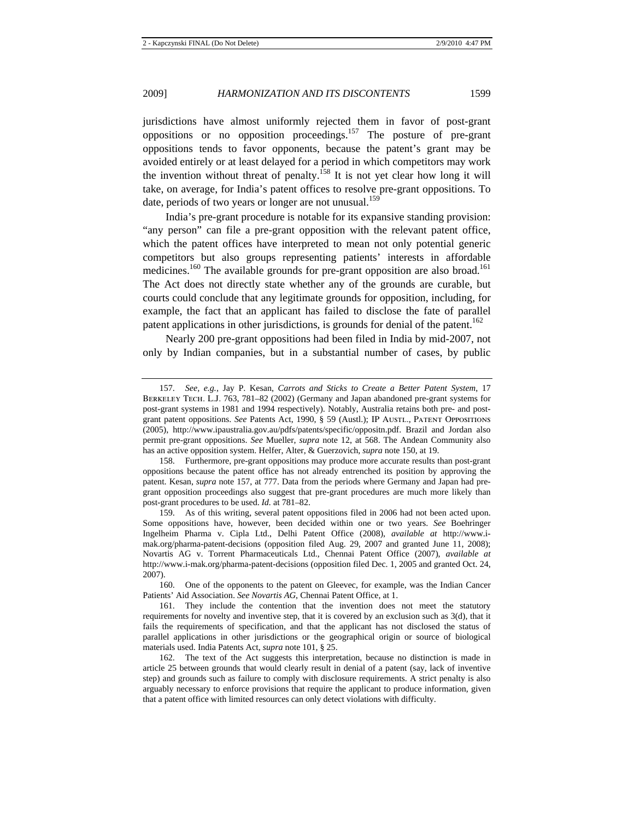jurisdictions have almost uniformly rejected them in favor of post-grant oppositions or no opposition proceedings.157 The posture of pre-grant oppositions tends to favor opponents, because the patent's grant may be avoided entirely or at least delayed for a period in which competitors may work the invention without threat of penalty.<sup>158</sup> It is not yet clear how long it will take, on average, for India's patent offices to resolve pre-grant oppositions. To date, periods of two years or longer are not unusual.<sup>159</sup>

India's pre-grant procedure is notable for its expansive standing provision: "any person" can file a pre-grant opposition with the relevant patent office, which the patent offices have interpreted to mean not only potential generic competitors but also groups representing patients' interests in affordable medicines.<sup>160</sup> The available grounds for pre-grant opposition are also broad.<sup>161</sup> The Act does not directly state whether any of the grounds are curable, but courts could conclude that any legitimate grounds for opposition, including, for example, the fact that an applicant has failed to disclose the fate of parallel patent applications in other jurisdictions, is grounds for denial of the patent.<sup>162</sup>

Nearly 200 pre-grant oppositions had been filed in India by mid-2007, not only by Indian companies, but in a substantial number of cases, by public

<sup>157.</sup> *See, e.g.*, Jay P. Kesan, *Carrots and Sticks to Create a Better Patent System*, 17 Berkeley Tech. L.J. 763, 781–82 (2002) (Germany and Japan abandoned pre-grant systems for post-grant systems in 1981 and 1994 respectively). Notably, Australia retains both pre- and postgrant patent oppositions. *See* Patents Act, 1990, § 59 (Austl.); IP Austl., Patent Oppositions (2005), http://www.ipaustralia.gov.au/pdfs/patents/specific/oppositn.pdf. Brazil and Jordan also permit pre-grant oppositions. *See* Mueller, *supra* note 12, at 568. The Andean Community also has an active opposition system. Helfer, Alter, & Guerzovich, *supra* note 150, at 19.

<sup>158.</sup> Furthermore, pre-grant oppositions may produce more accurate results than post-grant oppositions because the patent office has not already entrenched its position by approving the patent. Kesan, *supra* note 157, at 777. Data from the periods where Germany and Japan had pregrant opposition proceedings also suggest that pre-grant procedures are much more likely than post-grant procedures to be used. *Id.* at 781–82.

<sup>159.</sup> As of this writing, several patent oppositions filed in 2006 had not been acted upon. Some oppositions have, however, been decided within one or two years. *See* Boehringer Ingelheim Pharma v. Cipla Ltd., Delhi Patent Office (2008), *available at* http://www.imak.org/pharma-patent-decisions (opposition filed Aug. 29, 2007 and granted June 11, 2008); Novartis AG v. Torrent Pharmaceuticals Ltd., Chennai Patent Office (2007), *available at*  http://www.i-mak.org/pharma-patent-decisions (opposition filed Dec. 1, 2005 and granted Oct. 24, 2007).

<sup>160.</sup> One of the opponents to the patent on Gleevec, for example, was the Indian Cancer Patients' Aid Association. *See Novartis AG*, Chennai Patent Office, at 1.

<sup>161.</sup> They include the contention that the invention does not meet the statutory requirements for novelty and inventive step, that it is covered by an exclusion such as 3(d), that it fails the requirements of specification, and that the applicant has not disclosed the status of parallel applications in other jurisdictions or the geographical origin or source of biological materials used. India Patents Act, *supra* note 101, § 25.

<sup>162.</sup> The text of the Act suggests this interpretation, because no distinction is made in article 25 between grounds that would clearly result in denial of a patent (say, lack of inventive step) and grounds such as failure to comply with disclosure requirements. A strict penalty is also arguably necessary to enforce provisions that require the applicant to produce information, given that a patent office with limited resources can only detect violations with difficulty.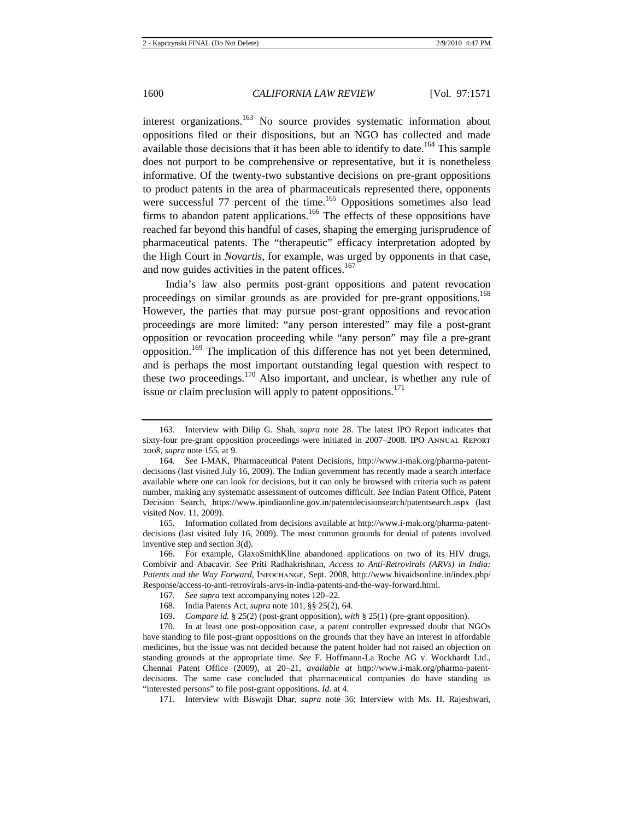interest organizations.<sup>163</sup> No source provides systematic information about oppositions filed or their dispositions, but an NGO has collected and made available those decisions that it has been able to identify to date.<sup>164</sup> This sample does not purport to be comprehensive or representative, but it is nonetheless informative. Of the twenty-two substantive decisions on pre-grant oppositions to product patents in the area of pharmaceuticals represented there, opponents were successful 77 percent of the time.<sup>165</sup> Oppositions sometimes also lead firms to abandon patent applications.<sup>166</sup> The effects of these oppositions have reached far beyond this handful of cases, shaping the emerging jurisprudence of pharmaceutical patents. The "therapeutic" efficacy interpretation adopted by the High Court in *Novartis*, for example, was urged by opponents in that case, and now guides activities in the patent offices. $167$ 

India's law also permits post-grant oppositions and patent revocation proceedings on similar grounds as are provided for pre-grant oppositions.<sup>168</sup> However, the parties that may pursue post-grant oppositions and revocation proceedings are more limited: "any person interested" may file a post-grant opposition or revocation proceeding while "any person" may file a pre-grant opposition.<sup>169</sup> The implication of this difference has not yet been determined, and is perhaps the most important outstanding legal question with respect to these two proceedings.170 Also important, and unclear, is whether any rule of issue or claim preclusion will apply to patent oppositions.<sup>171</sup>

165. Information collated from decisions available at http://www.i-mak.org/pharma-patentdecisions (last visited July 16, 2009). The most common grounds for denial of patents involved inventive step and section 3(d).

166. For example, GlaxoSmithKline abandoned applications on two of its HIV drugs, Combivir and Abacavir. *See* Priti Radhakrishnan, *Access to Anti-Retrovirals (ARVs) in India: Patents and the Way Forward*, Infochange, Sept. 2008, http://www.hivaidsonline.in/index.php/ Response/access-to-anti-retrovirals-arvs-in-india-patents-and-the-way-forward.html.

168. India Patents Act, *supra* note 101, §§ 25(2), 64.

170. In at least one post-opposition case, a patent controller expressed doubt that NGOs have standing to file post-grant oppositions on the grounds that they have an interest in affordable medicines, but the issue was not decided because the patent holder had not raised an objection on standing grounds at the appropriate time. *See* F. Hoffmann-La Roche AG v. Wockhardt Ltd., Chennai Patent Office (2009), at 20–21, *available at* http://www.i-mak.org/pharma-patentdecisions. The same case concluded that pharmaceutical companies do have standing as "interested persons" to file post-grant oppositions. *Id.* at 4.

171. Interview with Biswajit Dhar, *supra* note 36; Interview with Ms. H. Rajeshwari,

<sup>163.</sup> Interview with Dilip G. Shah, *supra* note 28. The latest IPO Report indicates that sixty-four pre-grant opposition proceedings were initiated in 2007–2008. IPO Annual Report 2008, *supra* note 155, at 9.

<sup>164.</sup> *See* I-MAK, Pharmaceutical Patent Decisions, http://www.i-mak.org/pharma-patentdecisions (last visited July 16, 2009). The Indian government has recently made a search interface available where one can look for decisions, but it can only be browsed with criteria such as patent number, making any systematic assessment of outcomes difficult. *See* Indian Patent Office, Patent Decision Search, https://www.ipindiaonline.gov.in/patentdecisionsearch/patentsearch.aspx (last visited Nov. 11, 2009).

<sup>167.</sup> *See supra* text accompanying notes 120–22.

<sup>169.</sup> *Compare id.* § 25(2) (post-grant opposition), *with* § 25(1) (pre-grant opposition).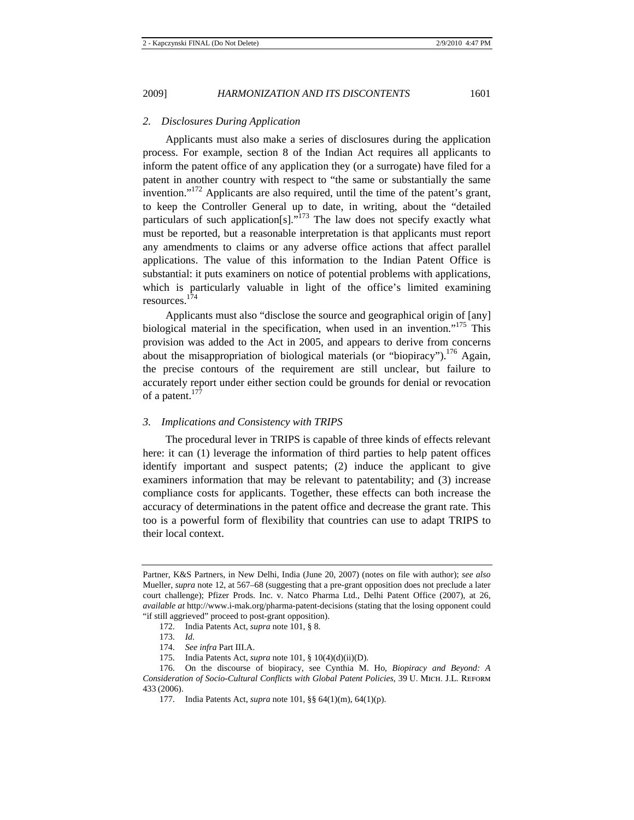*2. Disclosures During Application* 

Applicants must also make a series of disclosures during the application process. For example, section 8 of the Indian Act requires all applicants to inform the patent office of any application they (or a surrogate) have filed for a patent in another country with respect to "the same or substantially the same invention."172 Applicants are also required, until the time of the patent's grant, to keep the Controller General up to date, in writing, about the "detailed particulars of such application[s]. $\frac{1}{173}$  The law does not specify exactly what must be reported, but a reasonable interpretation is that applicants must report any amendments to claims or any adverse office actions that affect parallel applications. The value of this information to the Indian Patent Office is substantial: it puts examiners on notice of potential problems with applications, which is particularly valuable in light of the office's limited examining resources. 174

Applicants must also "disclose the source and geographical origin of [any] biological material in the specification, when used in an invention."<sup>175</sup> This provision was added to the Act in 2005, and appears to derive from concerns about the misappropriation of biological materials (or "biopiracy").<sup>176</sup> Again, the precise contours of the requirement are still unclear, but failure to accurately report under either section could be grounds for denial or revocation of a patent.<sup>177</sup>

## *3. Implications and Consistency with TRIPS*

The procedural lever in TRIPS is capable of three kinds of effects relevant here: it can  $(1)$  leverage the information of third parties to help patent offices identify important and suspect patents; (2) induce the applicant to give examiners information that may be relevant to patentability; and (3) increase compliance costs for applicants. Together, these effects can both increase the accuracy of determinations in the patent office and decrease the grant rate. This too is a powerful form of flexibility that countries can use to adapt TRIPS to their local context.

Partner, K&S Partners, in New Delhi, India (June 20, 2007) (notes on file with author); *see also*  Mueller, *supra* note 12, at 567–68 (suggesting that a pre-grant opposition does not preclude a later court challenge); Pfizer Prods. Inc. v. Natco Pharma Ltd., Delhi Patent Office (2007), at 26, *available at* http://www.i-mak.org/pharma-patent-decisions (stating that the losing opponent could "if still aggrieved" proceed to post-grant opposition).

<sup>172.</sup> India Patents Act, *supra* note 101, § 8.

<sup>173.</sup> *Id.*

<sup>174.</sup> *See infra* Part III.A.

<sup>175.</sup> India Patents Act, *supra* note 101, § 10(4)(d)(ii)(D).

<sup>176.</sup> On the discourse of biopiracy, see Cynthia M. Ho, *Biopiracy and Beyond: A Consideration of Socio-Cultural Conflicts with Global Patent Policies*, 39 U. Mich. J.L. Reform 433 (2006).

<sup>177.</sup> India Patents Act, *supra* note 101, §§ 64(1)(m), 64(1)(p).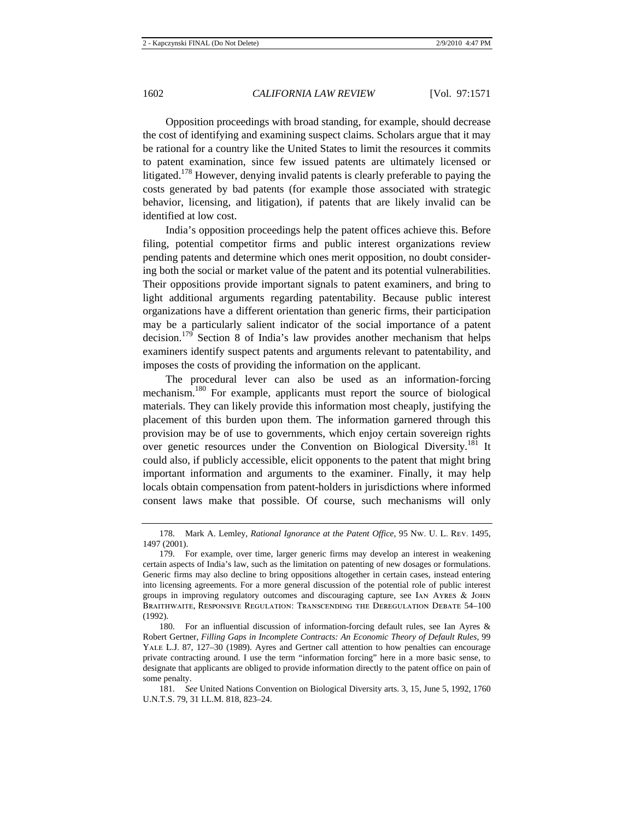Opposition proceedings with broad standing, for example, should decrease the cost of identifying and examining suspect claims. Scholars argue that it may be rational for a country like the United States to limit the resources it commits to patent examination, since few issued patents are ultimately licensed or litigated.<sup>178</sup> However, denying invalid patents is clearly preferable to paying the costs generated by bad patents (for example those associated with strategic behavior, licensing, and litigation), if patents that are likely invalid can be identified at low cost.

India's opposition proceedings help the patent offices achieve this. Before filing, potential competitor firms and public interest organizations review pending patents and determine which ones merit opposition, no doubt considering both the social or market value of the patent and its potential vulnerabilities. Their oppositions provide important signals to patent examiners, and bring to light additional arguments regarding patentability. Because public interest organizations have a different orientation than generic firms, their participation may be a particularly salient indicator of the social importance of a patent decision.<sup>179</sup> Section 8 of India's law provides another mechanism that helps examiners identify suspect patents and arguments relevant to patentability, and imposes the costs of providing the information on the applicant.

The procedural lever can also be used as an information-forcing mechanism.180 For example, applicants must report the source of biological materials. They can likely provide this information most cheaply, justifying the placement of this burden upon them. The information garnered through this provision may be of use to governments, which enjoy certain sovereign rights over genetic resources under the Convention on Biological Diversity.<sup>181</sup> It could also, if publicly accessible, elicit opponents to the patent that might bring important information and arguments to the examiner. Finally, it may help locals obtain compensation from patent-holders in jurisdictions where informed consent laws make that possible. Of course, such mechanisms will only

<sup>178.</sup> Mark A. Lemley, *Rational Ignorance at the Patent Office*, 95 Nw. U. L. Rev. 1495, 1497 (2001).

<sup>179.</sup> For example, over time, larger generic firms may develop an interest in weakening certain aspects of India's law, such as the limitation on patenting of new dosages or formulations. Generic firms may also decline to bring oppositions altogether in certain cases, instead entering into licensing agreements. For a more general discussion of the potential role of public interest groups in improving regulatory outcomes and discouraging capture, see Ian Ayres & John Braithwaite, Responsive Regulation: Transcending the Deregulation Debate 54–100 (1992).

<sup>180.</sup> For an influential discussion of information-forcing default rules, see Ian Ayres & Robert Gertner, *Filling Gaps in Incomplete Contracts: An Economic Theory of Default Rules*, 99 Yale L.J. 87, 127–30 (1989). Ayres and Gertner call attention to how penalties can encourage private contracting around. I use the term "information forcing" here in a more basic sense, to designate that applicants are obliged to provide information directly to the patent office on pain of some penalty.

<sup>181.</sup> *See* United Nations Convention on Biological Diversity arts. 3, 15, June 5, 1992, 1760 U.N.T.S. 79, 31 I.L.M. 818, 823–24.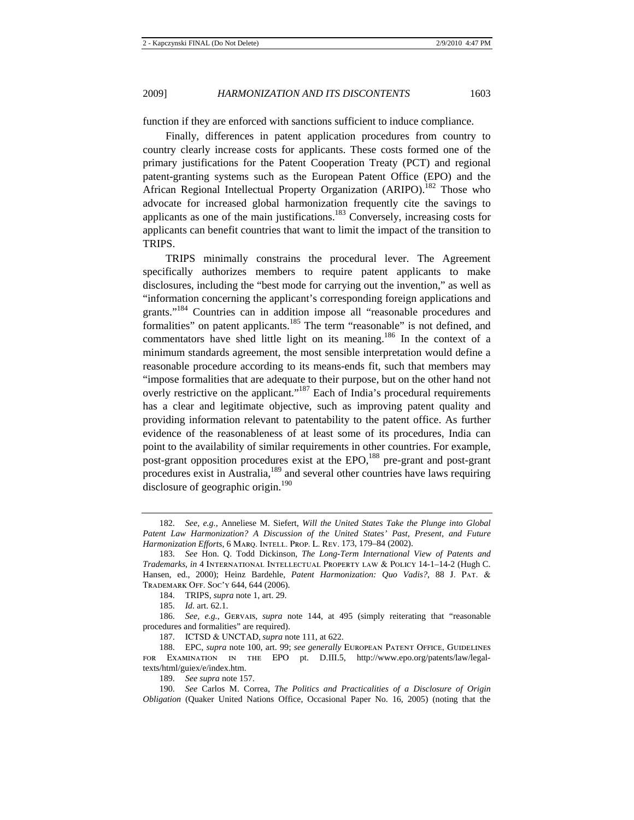function if they are enforced with sanctions sufficient to induce compliance.

Finally, differences in patent application procedures from country to country clearly increase costs for applicants. These costs formed one of the primary justifications for the Patent Cooperation Treaty (PCT) and regional patent-granting systems such as the European Patent Office (EPO) and the African Regional Intellectual Property Organization (ARIPO).<sup>182</sup> Those who advocate for increased global harmonization frequently cite the savings to applicants as one of the main justifications.183 Conversely, increasing costs for applicants can benefit countries that want to limit the impact of the transition to TRIPS.

TRIPS minimally constrains the procedural lever. The Agreement specifically authorizes members to require patent applicants to make disclosures, including the "best mode for carrying out the invention," as well as "information concerning the applicant's corresponding foreign applications and grants."<sup>184</sup> Countries can in addition impose all "reasonable procedures and formalities" on patent applicants.<sup>185</sup> The term "reasonable" is not defined, and commentators have shed little light on its meaning.<sup>186</sup> In the context of a minimum standards agreement, the most sensible interpretation would define a reasonable procedure according to its means-ends fit, such that members may "impose formalities that are adequate to their purpose, but on the other hand not overly restrictive on the applicant."<sup>187</sup> Each of India's procedural requirements has a clear and legitimate objective, such as improving patent quality and providing information relevant to patentability to the patent office. As further evidence of the reasonableness of at least some of its procedures, India can point to the availability of similar requirements in other countries. For example, post-grant opposition procedures exist at the EPO,<sup>188</sup> pre-grant and post-grant procedures exist in Australia,<sup>189</sup> and several other countries have laws requiring disclosure of geographic origin.<sup>190</sup>

189. *See supra* note 157.

<sup>182.</sup> *See, e.g.*, Anneliese M. Siefert, *Will the United States Take the Plunge into Global Patent Law Harmonization? A Discussion of the United States' Past, Present, and Future Harmonization Efforts*, 6 Marq. Intell. Prop. L. Rev. 173, 179–84 (2002).

<sup>183.</sup> *See* Hon. Q. Todd Dickinson, *The Long-Term International View of Patents and Trademarks*, *in* 4 International Intellectual Property law & Policy 14-1–14-2 (Hugh C. Hansen, ed., 2000); Heinz Bardehle, *Patent Harmonization: Quo Vadis?*, 88 J. Pat. & Trademark Off. Soc'y 644, 644 (2006).

<sup>184.</sup> TRIPS, *supra* note 1, art. 29.

<sup>185.</sup> *Id.* art. 62.1.

<sup>186.</sup> *See, e.g.*, Gervais, *supra* note 144, at 495 (simply reiterating that "reasonable procedures and formalities" are required).

<sup>187.</sup> ICTSD & UNCTAD, *supra* note 111, at 622.

<sup>188.</sup> EPC, *supra* note 100, art. 99; *see generally* European Patent Office, Guidelines for Examination in the EPO pt. D.III.5, http://www.epo.org/patents/law/legaltexts/html/guiex/e/index.htm.

<sup>190.</sup> *See* Carlos M. Correa, *The Politics and Practicalities of a Disclosure of Origin Obligation* (Quaker United Nations Office, Occasional Paper No. 16, 2005) (noting that the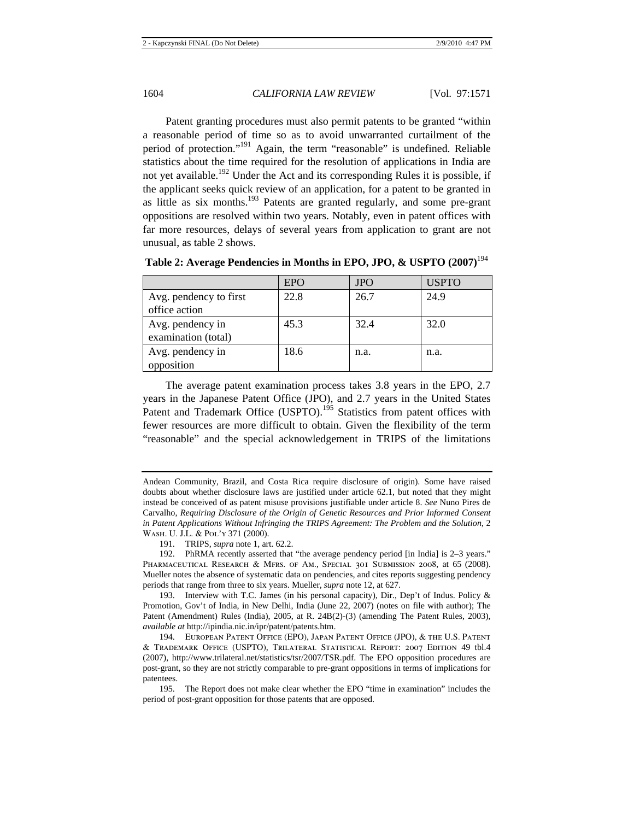Patent granting procedures must also permit patents to be granted "within a reasonable period of time so as to avoid unwarranted curtailment of the period of protection."191 Again, the term "reasonable" is undefined. Reliable statistics about the time required for the resolution of applications in India are not yet available.<sup>192</sup> Under the Act and its corresponding Rules it is possible, if the applicant seeks quick review of an application, for a patent to be granted in as little as six months.<sup>193</sup> Patents are granted regularly, and some pre-grant oppositions are resolved within two years. Notably, even in patent offices with far more resources, delays of several years from application to grant are not unusual, as table 2 shows.

|                        | <b>EPO</b> | <b>JPO</b> | <b>USPTO</b> |
|------------------------|------------|------------|--------------|
| Avg. pendency to first | 22.8       | 26.7       | 24.9         |
| office action          |            |            |              |
| Avg. pendency in       | 45.3       | 32.4       | 32.0         |
| examination (total)    |            |            |              |
| Avg. pendency in       | 18.6       | n.a.       | n.a.         |
| opposition             |            |            |              |

**Table 2: Average Pendencies in Months in EPO, JPO, & USPTO (2007)**<sup>194</sup>

The average patent examination process takes 3.8 years in the EPO, 2.7 years in the Japanese Patent Office (JPO), and 2.7 years in the United States Patent and Trademark Office (USPTO).<sup>195</sup> Statistics from patent offices with fewer resources are more difficult to obtain. Given the flexibility of the term "reasonable" and the special acknowledgement in TRIPS of the limitations

Andean Community, Brazil, and Costa Rica require disclosure of origin). Some have raised doubts about whether disclosure laws are justified under article 62.1, but noted that they might instead be conceived of as patent misuse provisions justifiable under article 8. *See* Nuno Pires de Carvalho, *Requiring Disclosure of the Origin of Genetic Resources and Prior Informed Consent in Patent Applications Without Infringing the TRIPS Agreement: The Problem and the Solution*, 2 Wash. U. J.L. & Pol'y 371 (2000).

<sup>191.</sup> TRIPS, *supra* note 1, art. 62.2.

<sup>192.</sup> PhRMA recently asserted that "the average pendency period [in India] is 2–3 years." PHARMACEUTICAL RESEARCH & MFRS. OF AM., SPECIAL 301 SUBMISSION 2008, at 65 (2008). Mueller notes the absence of systematic data on pendencies, and cites reports suggesting pendency periods that range from three to six years. Mueller, *supra* note 12, at 627.

<sup>193.</sup> Interview with T.C. James (in his personal capacity), Dir., Dep't of Indus. Policy & Promotion, Gov't of India, in New Delhi, India (June 22, 2007) (notes on file with author); The Patent (Amendment) Rules (India), 2005, at R. 24B(2)-(3) (amending The Patent Rules, 2003), *available at* http://ipindia.nic.in/ipr/patent/patents.htm.

<sup>194.</sup> European Patent Office (EPO), Japan Patent Office (JPO), & the U.S. Patent & Trademark Office (USPTO), Trilateral Statistical Report: 2007 Edition 49 tbl.4 (2007), http://www.trilateral.net/statistics/tsr/2007/TSR.pdf. The EPO opposition procedures are post-grant, so they are not strictly comparable to pre-grant oppositions in terms of implications for patentees.

<sup>195.</sup> The Report does not make clear whether the EPO "time in examination" includes the period of post-grant opposition for those patents that are opposed.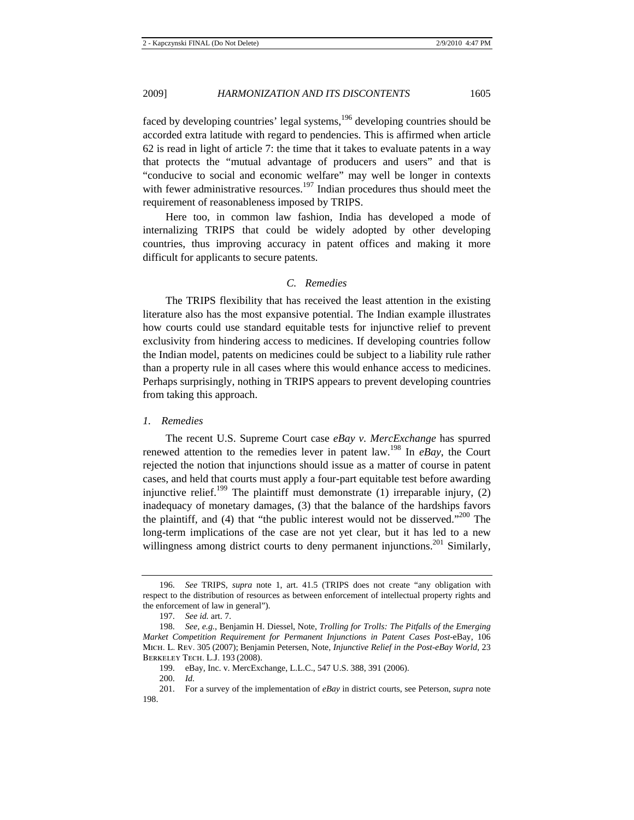faced by developing countries' legal systems,  $196$  developing countries should be accorded extra latitude with regard to pendencies. This is affirmed when article 62 is read in light of article 7: the time that it takes to evaluate patents in a way that protects the "mutual advantage of producers and users" and that is "conducive to social and economic welfare" may well be longer in contexts with fewer administrative resources.<sup>197</sup> Indian procedures thus should meet the requirement of reasonableness imposed by TRIPS.

Here too, in common law fashion, India has developed a mode of internalizing TRIPS that could be widely adopted by other developing countries, thus improving accuracy in patent offices and making it more difficult for applicants to secure patents.

## *C. Remedies*

The TRIPS flexibility that has received the least attention in the existing literature also has the most expansive potential. The Indian example illustrates how courts could use standard equitable tests for injunctive relief to prevent exclusivity from hindering access to medicines. If developing countries follow the Indian model, patents on medicines could be subject to a liability rule rather than a property rule in all cases where this would enhance access to medicines. Perhaps surprisingly, nothing in TRIPS appears to prevent developing countries from taking this approach.

#### *1. Remedies*

The recent U.S. Supreme Court case *eBay v. MercExchange* has spurred renewed attention to the remedies lever in patent law.198 In *eBay*, the Court rejected the notion that injunctions should issue as a matter of course in patent cases, and held that courts must apply a four-part equitable test before awarding injunctive relief.<sup>199</sup> The plaintiff must demonstrate (1) irreparable injury, (2) inadequacy of monetary damages, (3) that the balance of the hardships favors the plaintiff, and (4) that "the public interest would not be disserved."<sup>200</sup> The long-term implications of the case are not yet clear, but it has led to a new willingness among district courts to deny permanent injunctions.<sup>201</sup> Similarly,

<sup>196.</sup> *See* TRIPS, *supra* note 1, art. 41.5 (TRIPS does not create "any obligation with respect to the distribution of resources as between enforcement of intellectual property rights and the enforcement of law in general").

<sup>197.</sup> *See id.* art. 7.

<sup>198.</sup> *See, e.g.*, Benjamin H. Diessel, Note, *Trolling for Trolls: The Pitfalls of the Emerging Market Competition Requirement for Permanent Injunctions in Patent Cases Post-*eBay, 106 Mich. L. Rev. 305 (2007); Benjamin Petersen, Note, *Injunctive Relief in the Post-eBay World*, 23 Berkeley Tech. L.J. 193 (2008).

<sup>199.</sup> eBay, Inc. v. MercExchange, L.L.C., 547 U.S. 388, 391 (2006).

<sup>200.</sup> *Id.*

<sup>201.</sup> For a survey of the implementation of *eBay* in district courts, see Peterson, *supra* note 198.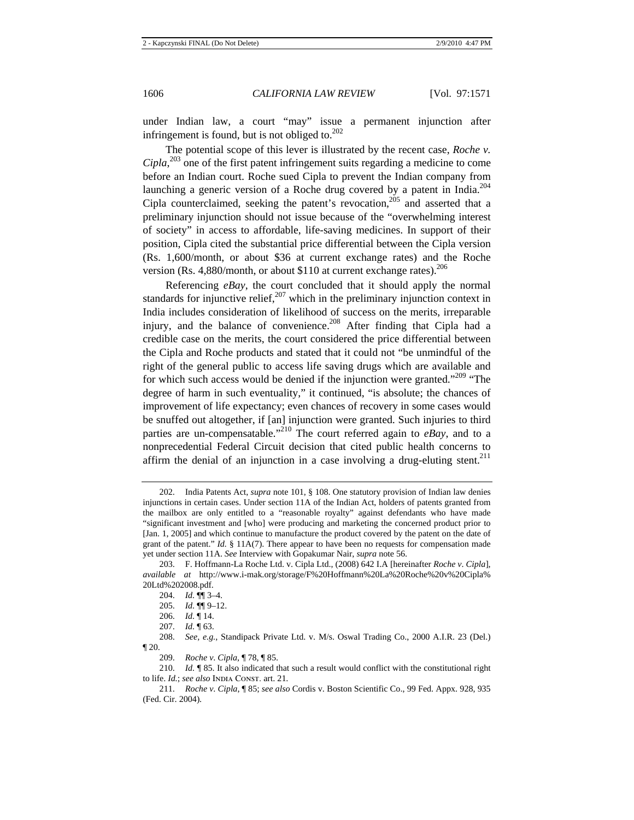under Indian law, a court "may" issue a permanent injunction after infringement is found, but is not obliged to.<sup>202</sup>

The potential scope of this lever is illustrated by the recent case, *Roche v. Cipla*, 203 one of the first patent infringement suits regarding a medicine to come before an Indian court. Roche sued Cipla to prevent the Indian company from launching a generic version of a Roche drug covered by a patent in India.<sup>204</sup> Cipla counterclaimed, seeking the patent's revocation,<sup>205</sup> and asserted that a preliminary injunction should not issue because of the "overwhelming interest of society" in access to affordable, life-saving medicines. In support of their position, Cipla cited the substantial price differential between the Cipla version (Rs. 1,600/month, or about \$36 at current exchange rates) and the Roche version (Rs. 4,880/month, or about \$110 at current exchange rates).  $206$ 

Referencing *eBay*, the court concluded that it should apply the normal standards for injunctive relief,  $207$  which in the preliminary injunction context in India includes consideration of likelihood of success on the merits, irreparable injury, and the balance of convenience.<sup>208</sup> After finding that Cipla had a credible case on the merits, the court considered the price differential between the Cipla and Roche products and stated that it could not "be unmindful of the right of the general public to access life saving drugs which are available and for which such access would be denied if the injunction were granted."<sup>209</sup> "The degree of harm in such eventuality," it continued, "is absolute; the chances of improvement of life expectancy; even chances of recovery in some cases would be snuffed out altogether, if [an] injunction were granted. Such injuries to third parties are un-compensatable."210 The court referred again to *eBay*, and to a nonprecedential Federal Circuit decision that cited public health concerns to affirm the denial of an injunction in a case involving a drug-eluting stent.<sup>211</sup>

<sup>202.</sup> India Patents Act, *supra* note 101, § 108. One statutory provision of Indian law denies injunctions in certain cases. Under section 11A of the Indian Act, holders of patents granted from the mailbox are only entitled to a "reasonable royalty" against defendants who have made "significant investment and [who] were producing and marketing the concerned product prior to [Jan. 1, 2005] and which continue to manufacture the product covered by the patent on the date of grant of the patent." *Id.*  $\S$  11A(7). There appear to have been no requests for compensation made yet under section 11A. *See* Interview with Gopakumar Nair, *supra* note 56.

<sup>203.</sup> F. Hoffmann-La Roche Ltd. v. Cipla Ltd., (2008) 642 I.A [hereinafter *Roche v*. *Cipla*], *available at* http://www.i-mak.org/storage/F%20Hoffmann%20La%20Roche%20v%20Cipla% 20Ltd%202008.pdf.

<sup>204.</sup> *Id.* ¶¶ 3–4.

<sup>205.</sup> *Id.* ¶¶ 9–12.

<sup>206.</sup> *Id.* ¶ 14.

<sup>207.</sup> *Id.* ¶ 63.

<sup>208.</sup> *See, e.g.*, Standipack Private Ltd. v. M/s. Oswal Trading Co., 2000 A.I.R. 23 (Del.) ¶ 20.

<sup>209.</sup> *Roche v*. *Cipla*, ¶ 78, ¶ 85.

<sup>210.</sup> *Id.* ¶ 85. It also indicated that such a result would conflict with the constitutional right to life. *Id.*; see also INDIA CONST. art. 21.

<sup>211.</sup> *Roche v*. *Cipla*, ¶ 85; *see also* Cordis v. Boston Scientific Co., 99 Fed. Appx. 928, 935 (Fed. Cir. 2004).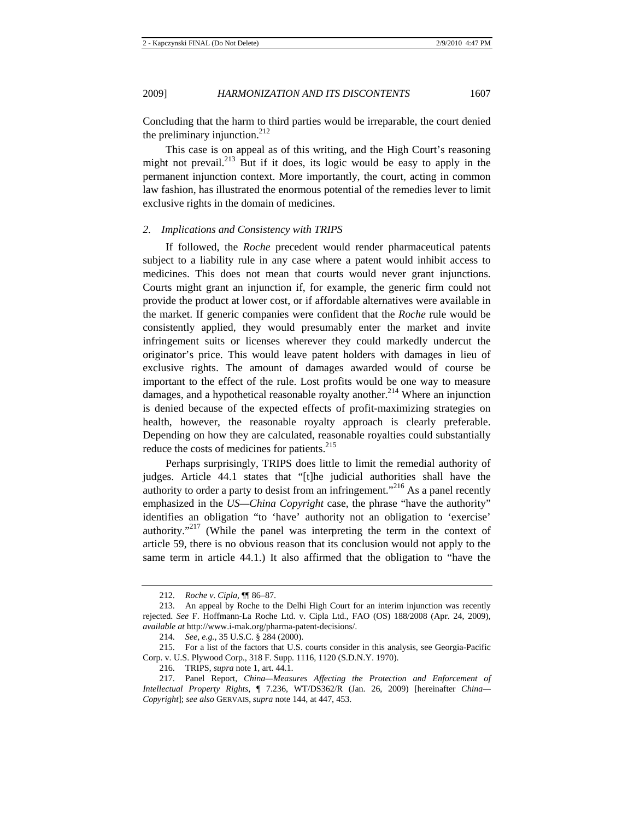Concluding that the harm to third parties would be irreparable, the court denied the preliminary injunction. $^{212}$ 

This case is on appeal as of this writing, and the High Court's reasoning might not prevail.213 But if it does, its logic would be easy to apply in the permanent injunction context. More importantly, the court, acting in common law fashion, has illustrated the enormous potential of the remedies lever to limit exclusive rights in the domain of medicines.

## *2. Implications and Consistency with TRIPS*

If followed, the *Roche* precedent would render pharmaceutical patents subject to a liability rule in any case where a patent would inhibit access to medicines. This does not mean that courts would never grant injunctions. Courts might grant an injunction if, for example, the generic firm could not provide the product at lower cost, or if affordable alternatives were available in the market. If generic companies were confident that the *Roche* rule would be consistently applied, they would presumably enter the market and invite infringement suits or licenses wherever they could markedly undercut the originator's price. This would leave patent holders with damages in lieu of exclusive rights. The amount of damages awarded would of course be important to the effect of the rule. Lost profits would be one way to measure damages, and a hypothetical reasonable royalty another.<sup>214</sup> Where an injunction is denied because of the expected effects of profit-maximizing strategies on health, however, the reasonable royalty approach is clearly preferable. Depending on how they are calculated, reasonable royalties could substantially reduce the costs of medicines for patients.<sup>215</sup>

Perhaps surprisingly, TRIPS does little to limit the remedial authority of judges. Article 44.1 states that "[t]he judicial authorities shall have the authority to order a party to desist from an infringement."<sup>216</sup> As a panel recently emphasized in the *US—China Copyright* case, the phrase "have the authority" identifies an obligation "to 'have' authority not an obligation to 'exercise' authority."217 (While the panel was interpreting the term in the context of article 59, there is no obvious reason that its conclusion would not apply to the same term in article 44.1.) It also affirmed that the obligation to "have the

<sup>212.</sup> *Roche v*. *Cipla*, ¶¶ 86–87.

<sup>213.</sup> An appeal by Roche to the Delhi High Court for an interim injunction was recently rejected. *See* F. Hoffmann-La Roche Ltd. v. Cipla Ltd., FAO (OS) 188/2008 (Apr. 24, 2009), *available at* http://www.i-mak.org/pharma-patent-decisions/.

<sup>214.</sup> *See, e.g.*, 35 U.S.C. § 284 (2000).

<sup>215.</sup> For a list of the factors that U.S. courts consider in this analysis, see Georgia-Pacific Corp. v. U.S. Plywood Corp., 318 F. Supp. 1116, 1120 (S.D.N.Y. 1970).

<sup>216.</sup> TRIPS, *supra* note 1, art. 44.1.

<sup>217.</sup> Panel Report, *China—Measures Affecting the Protection and Enforcement of Intellectual Property Rights*, ¶ 7.236, WT/DS362/R (Jan. 26, 2009) [hereinafter *China— Copyright*]; *see also* GERVAIS, *supra* note 144, at 447, 453.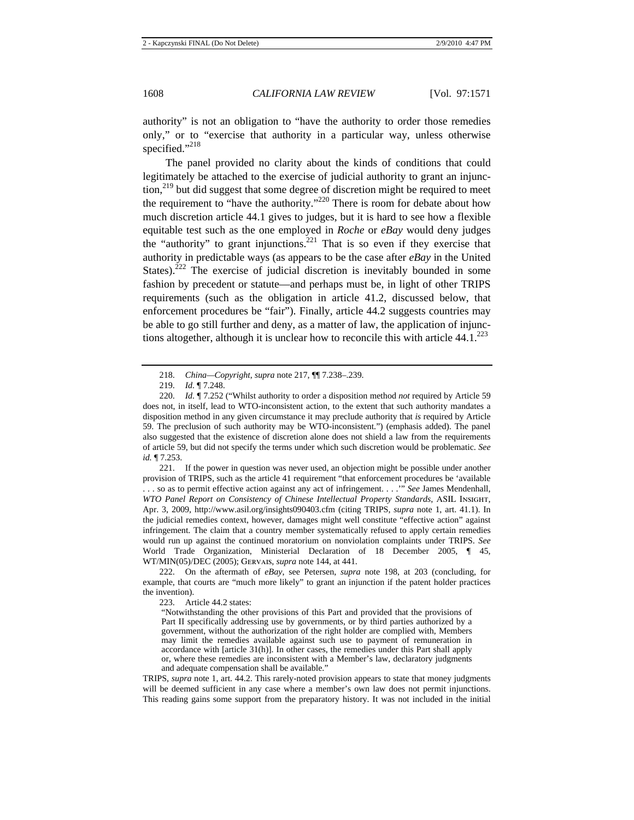authority" is not an obligation to "have the authority to order those remedies only," or to "exercise that authority in a particular way, unless otherwise specified."<sup>218</sup>

The panel provided no clarity about the kinds of conditions that could legitimately be attached to the exercise of judicial authority to grant an injunction,<sup>219</sup> but did suggest that some degree of discretion might be required to meet the requirement to "have the authority."220 There is room for debate about how much discretion article 44.1 gives to judges, but it is hard to see how a flexible equitable test such as the one employed in *Roche* or *eBay* would deny judges the "authority" to grant injunctions.<sup>221</sup> That is so even if they exercise that authority in predictable ways (as appears to be the case after *eBay* in the United States).<sup>222</sup> The exercise of judicial discretion is inevitably bounded in some fashion by precedent or statute—and perhaps must be, in light of other TRIPS requirements (such as the obligation in article 41.2, discussed below, that enforcement procedures be "fair"). Finally, article 44.2 suggests countries may be able to go still further and deny, as a matter of law, the application of injunctions altogether, although it is unclear how to reconcile this with article  $44.1^{223}$ 

221. If the power in question was never used, an objection might be possible under another provision of TRIPS, such as the article 41 requirement "that enforcement procedures be 'available . . . so as to permit effective action against any act of infringement. . . .'" *See* James Mendenhall, *WTO Panel Report on Consistency of Chinese Intellectual Property Standards*, ASIL Insight, Apr. 3, 2009, http://www.asil.org/insights090403.cfm (citing TRIPS, *supra* note 1, art. 41.1). In the judicial remedies context, however, damages might well constitute "effective action" against infringement. The claim that a country member systematically refused to apply certain remedies would run up against the continued moratorium on nonviolation complaints under TRIPS. *See* World Trade Organization, Ministerial Declaration of 18 December 2005, ¶ 45, WT/MIN(05)/DEC (2005); Gervais, *supra* note 144, at 441.

222. On the aftermath of *eBay*, see Petersen, *supra* note 198, at 203 (concluding, for example, that courts are "much more likely" to grant an injunction if the patent holder practices the invention).

223. Article 44.2 states:

"Notwithstanding the other provisions of this Part and provided that the provisions of Part II specifically addressing use by governments, or by third parties authorized by a government, without the authorization of the right holder are complied with, Members may limit the remedies available against such use to payment of remuneration in accordance with  $[article 31(h)]$ . In other cases, the remedies under this Part shall apply or, where these remedies are inconsistent with a Member's law, declaratory judgments and adequate compensation shall be available."

TRIPS, *supra* note 1, art. 44.2. This rarely-noted provision appears to state that money judgments will be deemed sufficient in any case where a member's own law does not permit injunctions. This reading gains some support from the preparatory history. It was not included in the initial

<sup>218.</sup> *China—Copyright*, *supra* note 217, ¶¶ 7.238–.239.

<sup>219.</sup> *Id.* ¶ 7.248.

<sup>220.</sup> *Id.* ¶ 7.252 ("Whilst authority to order a disposition method *not* required by Article 59 does not, in itself, lead to WTO-inconsistent action, to the extent that such authority mandates a disposition method in any given circumstance it may preclude authority that *is* required by Article 59. The preclusion of such authority may be WTO-inconsistent.") (emphasis added). The panel also suggested that the existence of discretion alone does not shield a law from the requirements of article 59, but did not specify the terms under which such discretion would be problematic. *See id.* ¶ 7.253.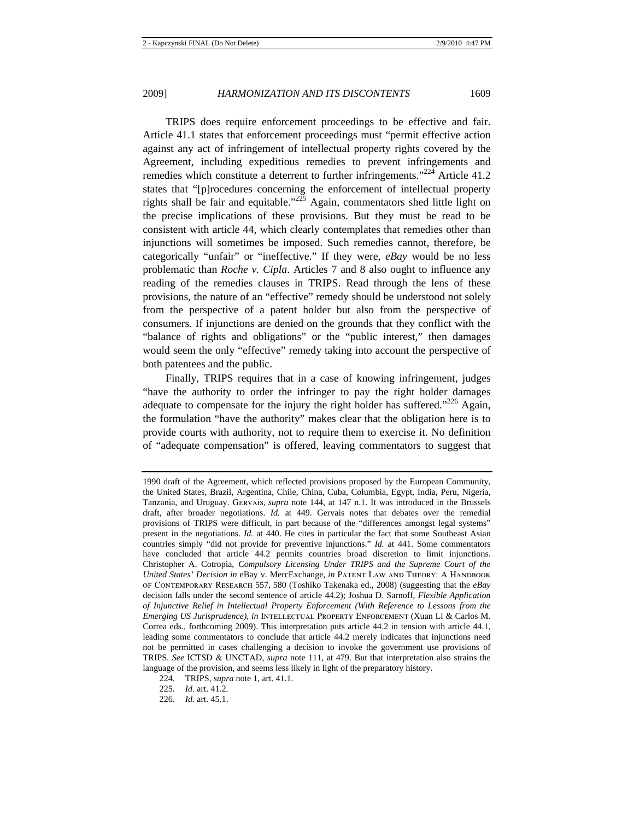TRIPS does require enforcement proceedings to be effective and fair. Article 41.1 states that enforcement proceedings must "permit effective action against any act of infringement of intellectual property rights covered by the Agreement, including expeditious remedies to prevent infringements and remedies which constitute a deterrent to further infringements."<sup>224</sup> Article 41.2 states that "[p]rocedures concerning the enforcement of intellectual property rights shall be fair and equitable."<sup>225</sup> Again, commentators shed little light on the precise implications of these provisions. But they must be read to be consistent with article 44, which clearly contemplates that remedies other than injunctions will sometimes be imposed. Such remedies cannot, therefore, be categorically "unfair" or "ineffective." If they were, *eBay* would be no less problematic than *Roche v. Cipla*. Articles 7 and 8 also ought to influence any reading of the remedies clauses in TRIPS. Read through the lens of these provisions, the nature of an "effective" remedy should be understood not solely from the perspective of a patent holder but also from the perspective of consumers. If injunctions are denied on the grounds that they conflict with the "balance of rights and obligations" or the "public interest," then damages would seem the only "effective" remedy taking into account the perspective of both patentees and the public.

Finally, TRIPS requires that in a case of knowing infringement, judges "have the authority to order the infringer to pay the right holder damages adequate to compensate for the injury the right holder has suffered."<sup>226</sup> Again, the formulation "have the authority" makes clear that the obligation here is to provide courts with authority, not to require them to exercise it. No definition of "adequate compensation" is offered, leaving commentators to suggest that

<sup>1990</sup> draft of the Agreement, which reflected provisions proposed by the European Community, the United States, Brazil, Argentina, Chile, China, Cuba, Columbia, Egypt, India, Peru, Nigeria, Tanzania, and Uruguay. Gervais, *supra* note 144, at 147 n.1. It was introduced in the Brussels draft, after broader negotiations. *Id.* at 449. Gervais notes that debates over the remedial provisions of TRIPS were difficult, in part because of the "differences amongst legal systems" present in the negotiations. *Id.* at 440. He cites in particular the fact that some Southeast Asian countries simply "did not provide for preventive injunctions." *Id.* at 441. Some commentators have concluded that article 44.2 permits countries broad discretion to limit injunctions. Christopher A. Cotropia, *Compulsory Licensing Under TRIPS and the Supreme Court of the United States' Decision in eBay v. MercExchange, in PATENT LAW AND THEORY: A HANDBOOK* of Contemporary Research 557, 580 (Toshiko Takenaka ed., 2008) (suggesting that the *eBay* decision falls under the second sentence of article 44.2); Joshua D. Sarnoff, *Flexible Application of Injunctive Relief in Intellectual Property Enforcement (With Reference to Lessons from the Emerging US Jurisprudence)*, *in* Intellectual Property Enforcement (Xuan Li & Carlos M. Correa eds., forthcoming 2009). This interpretation puts article 44.2 in tension with article 44.1, leading some commentators to conclude that article 44.2 merely indicates that injunctions need not be permitted in cases challenging a decision to invoke the government use provisions of TRIPS. *See* ICTSD & UNCTAD, *supra* note 111, at 479. But that interpretation also strains the language of the provision, and seems less likely in light of the preparatory history.

<sup>224.</sup> TRIPS, *supra* note 1, art. 41.1.

<sup>225.</sup> *Id.* art. 41.2.

<sup>226.</sup> *Id.* art. 45.1.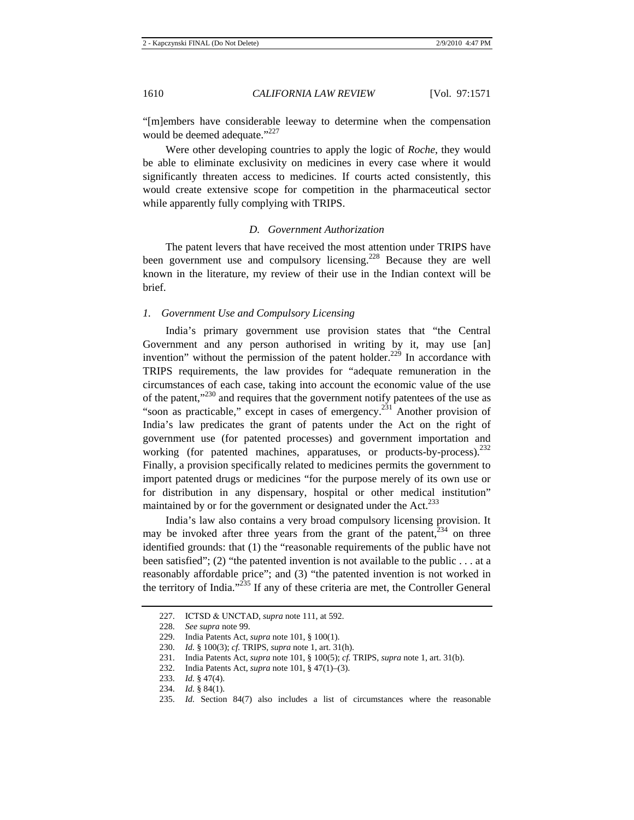"[m]embers have considerable leeway to determine when the compensation would be deemed adequate."<sup>227</sup>

Were other developing countries to apply the logic of *Roche*, they would be able to eliminate exclusivity on medicines in every case where it would significantly threaten access to medicines. If courts acted consistently, this would create extensive scope for competition in the pharmaceutical sector while apparently fully complying with TRIPS.

#### *D. Government Authorization*

The patent levers that have received the most attention under TRIPS have been government use and compulsory licensing.<sup>228</sup> Because they are well known in the literature, my review of their use in the Indian context will be brief.

# *1. Government Use and Compulsory Licensing*

India's primary government use provision states that "the Central Government and any person authorised in writing by it, may use [an] invention" without the permission of the patent holder.<sup>229</sup> In accordance with TRIPS requirements, the law provides for "adequate remuneration in the circumstances of each case, taking into account the economic value of the use of the patent,"<sup>230</sup> and requires that the government notify patentees of the use as "soon as practicable," except in cases of emergency. $^{231}$  Another provision of India's law predicates the grant of patents under the Act on the right of government use (for patented processes) and government importation and working (for patented machines, apparatuses, or products-by-process).<sup>232</sup> Finally, a provision specifically related to medicines permits the government to import patented drugs or medicines "for the purpose merely of its own use or for distribution in any dispensary, hospital or other medical institution" maintained by or for the government or designated under the Act.<sup>233</sup>

India's law also contains a very broad compulsory licensing provision. It may be invoked after three years from the grant of the patent, $234$  on three identified grounds: that (1) the "reasonable requirements of the public have not been satisfied"; (2) "the patented invention is not available to the public . . . at a reasonably affordable price"; and (3) "the patented invention is not worked in the territory of India."235 If any of these criteria are met, the Controller General

<sup>227.</sup> ICTSD & UNCTAD, *supra* note 111, at 592.

<sup>228.</sup> *See supra* note 99.

<sup>229.</sup> India Patents Act, *supra* note 101, § 100(1).

<sup>230.</sup> *Id.* § 100(3); *cf.* TRIPS, *supra* note 1, art. 31(h).

<sup>231.</sup> India Patents Act, *supra* note 101, § 100(5); *cf.* TRIPS, *supra* note 1, art. 31(b).

<sup>232.</sup> India Patents Act, *supra* note 101, § 47(1)–(3).

<sup>233.</sup> *Id.* § 47(4).

<sup>234.</sup> *Id.* § 84(1).

<sup>235.</sup> *Id.* Section 84(7) also includes a list of circumstances where the reasonable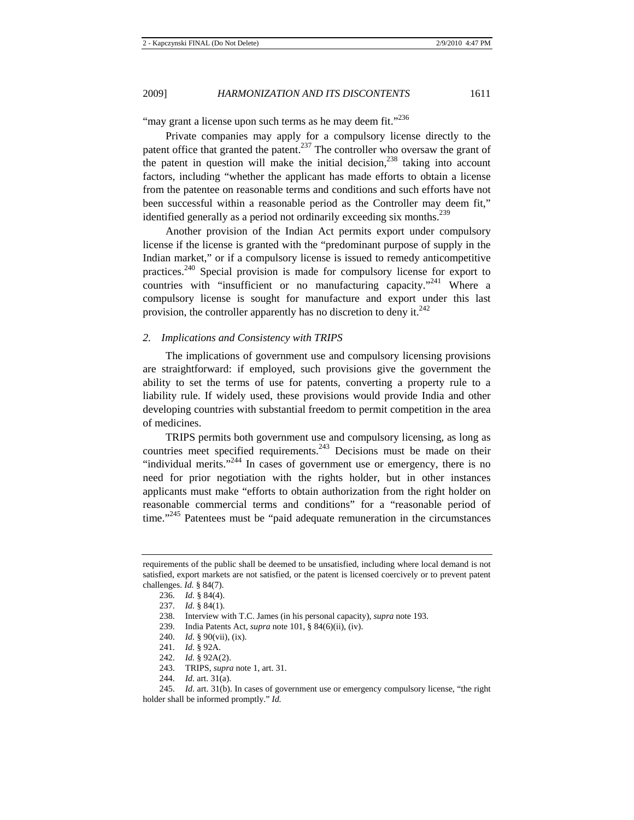"may grant a license upon such terms as he may deem fit."<sup>236</sup>

Private companies may apply for a compulsory license directly to the patent office that granted the patent.<sup>237</sup> The controller who oversaw the grant of the patent in question will make the initial decision, $^{238}$  taking into account factors, including "whether the applicant has made efforts to obtain a license from the patentee on reasonable terms and conditions and such efforts have not been successful within a reasonable period as the Controller may deem fit," identified generally as a period not ordinarily exceeding six months.<sup>239</sup>

Another provision of the Indian Act permits export under compulsory license if the license is granted with the "predominant purpose of supply in the Indian market," or if a compulsory license is issued to remedy anticompetitive practices.240 Special provision is made for compulsory license for export to countries with "insufficient or no manufacturing capacity."<sup>241</sup> Where a compulsory license is sought for manufacture and export under this last provision, the controller apparently has no discretion to deny it. $242$ 

## *2. Implications and Consistency with TRIPS*

The implications of government use and compulsory licensing provisions are straightforward: if employed, such provisions give the government the ability to set the terms of use for patents, converting a property rule to a liability rule. If widely used, these provisions would provide India and other developing countries with substantial freedom to permit competition in the area of medicines.

TRIPS permits both government use and compulsory licensing, as long as countries meet specified requirements.<sup>243</sup> Decisions must be made on their "individual merits."<sup>244</sup> In cases of government use or emergency, there is no need for prior negotiation with the rights holder, but in other instances applicants must make "efforts to obtain authorization from the right holder on reasonable commercial terms and conditions" for a "reasonable period of time."<sup>245</sup> Patentees must be "paid adequate remuneration in the circumstances"

- 243. TRIPS, *supra* note 1, art. 31.
- 244. *Id.* art. 31(a).

requirements of the public shall be deemed to be unsatisfied, including where local demand is not satisfied, export markets are not satisfied, or the patent is licensed coercively or to prevent patent challenges. *Id.* § 84(7).

<sup>236.</sup> *Id.* § 84(4).

<sup>237.</sup> *Id.* § 84(1).

<sup>238.</sup> Interview with T.C. James (in his personal capacity), *supra* note 193.

<sup>239.</sup> India Patents Act, *supra* note 101, § 84(6)(ii), (iv).

<sup>240.</sup> *Id.* § 90(vii), (ix).

<sup>241.</sup> *Id.* § 92A.

<sup>242.</sup> *Id.* § 92A(2).

<sup>245.</sup> *Id.* art. 31(b). In cases of government use or emergency compulsory license, "the right holder shall be informed promptly." *Id.*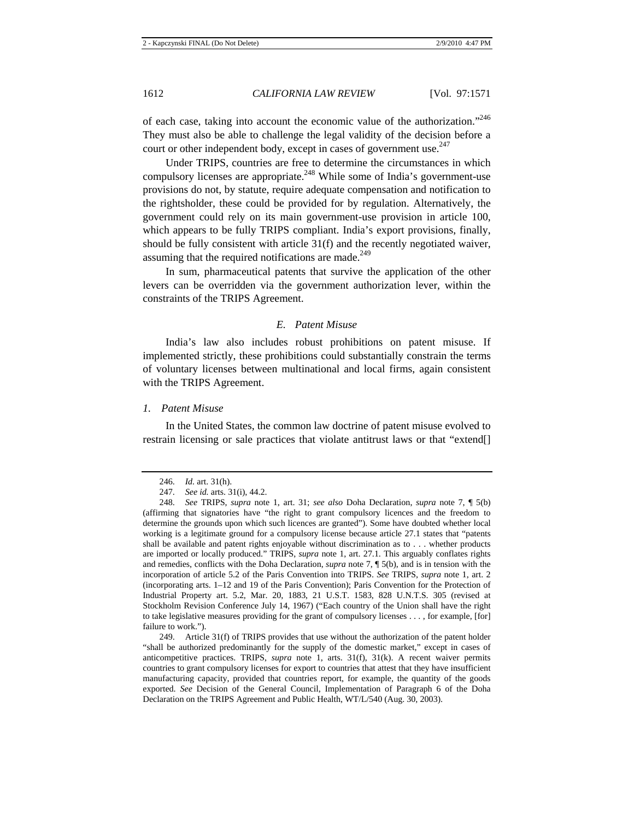of each case, taking into account the economic value of the authorization."<sup>246</sup> They must also be able to challenge the legal validity of the decision before a court or other independent body, except in cases of government use.<sup>247</sup>

Under TRIPS, countries are free to determine the circumstances in which compulsory licenses are appropriate.<sup>248</sup> While some of India's government-use provisions do not, by statute, require adequate compensation and notification to the rightsholder, these could be provided for by regulation. Alternatively, the government could rely on its main government-use provision in article 100, which appears to be fully TRIPS compliant. India's export provisions, finally, should be fully consistent with article 31(f) and the recently negotiated waiver, assuming that the required notifications are made.<sup>249</sup>

In sum, pharmaceutical patents that survive the application of the other levers can be overridden via the government authorization lever, within the constraints of the TRIPS Agreement.

## *E. Patent Misuse*

India's law also includes robust prohibitions on patent misuse. If implemented strictly, these prohibitions could substantially constrain the terms of voluntary licenses between multinational and local firms, again consistent with the TRIPS Agreement.

## *1. Patent Misuse*

In the United States, the common law doctrine of patent misuse evolved to restrain licensing or sale practices that violate antitrust laws or that "extend[]

249. Article 31(f) of TRIPS provides that use without the authorization of the patent holder "shall be authorized predominantly for the supply of the domestic market," except in cases of anticompetitive practices. TRIPS, *supra* note 1, arts. 31(f), 31(k). A recent waiver permits countries to grant compulsory licenses for export to countries that attest that they have insufficient manufacturing capacity, provided that countries report, for example, the quantity of the goods exported. *See* Decision of the General Council, Implementation of Paragraph 6 of the Doha Declaration on the TRIPS Agreement and Public Health, WT/L/540 (Aug. 30, 2003).

<sup>246.</sup> *Id.* art. 31(h).

<sup>247.</sup> *See id.* arts. 31(i), 44.2.

<sup>248.</sup> *See* TRIPS, *supra* note 1, art. 31; *see also* Doha Declaration, *supra* note 7, ¶ 5(b) (affirming that signatories have "the right to grant compulsory licences and the freedom to determine the grounds upon which such licences are granted"). Some have doubted whether local working is a legitimate ground for a compulsory license because article 27.1 states that "patents shall be available and patent rights enjoyable without discrimination as to . . . whether products are imported or locally produced." TRIPS, *supra* note 1, art. 27.1. This arguably conflates rights and remedies, conflicts with the Doha Declaration, *supra* note 7, ¶ 5(b), and is in tension with the incorporation of article 5.2 of the Paris Convention into TRIPS. *See* TRIPS, *supra* note 1, art. 2 (incorporating arts. 1–12 and 19 of the Paris Convention); Paris Convention for the Protection of Industrial Property art. 5.2, Mar. 20, 1883, 21 U.S.T. 1583, 828 U.N.T.S. 305 (revised at Stockholm Revision Conference July 14, 1967) ("Each country of the Union shall have the right to take legislative measures providing for the grant of compulsory licenses . . . , for example, [for] failure to work.").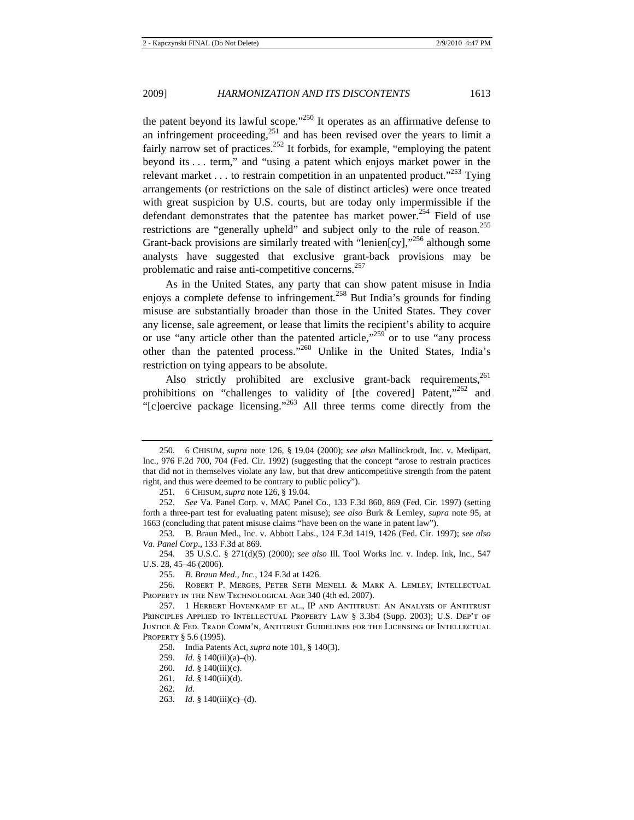the patent beyond its lawful scope."<sup>250</sup> It operates as an affirmative defense to an infringement proceeding,  $251$  and has been revised over the years to limit a fairly narrow set of practices.<sup>252</sup> It forbids, for example, "employing the patent beyond its . . . term," and "using a patent which enjoys market power in the relevant market . . . to restrain competition in an unpatented product.<sup> $253$ </sup> Tying arrangements (or restrictions on the sale of distinct articles) were once treated with great suspicion by U.S. courts, but are today only impermissible if the defendant demonstrates that the patentee has market power.<sup>254</sup> Field of use restrictions are "generally upheld" and subject only to the rule of reason.<sup>255</sup> Grant-back provisions are similarly treated with "lenien $[cy]$ ,"<sup>256</sup> although some analysts have suggested that exclusive grant-back provisions may be problematic and raise anti-competitive concerns.<sup>257</sup>

As in the United States, any party that can show patent misuse in India enjoys a complete defense to infringement*.* <sup>258</sup> But India's grounds for finding misuse are substantially broader than those in the United States. They cover any license, sale agreement, or lease that limits the recipient's ability to acquire or use "any article other than the patented article,"<sup>259</sup> or to use "any process" other than the patented process."260 Unlike in the United States, India's restriction on tying appears to be absolute.

Also strictly prohibited are exclusive grant-back requirements.<sup>261</sup> prohibitions on "challenges to validity of [the covered] Patent,"<sup>262</sup> and "[c]oercive package licensing."<sup>263</sup> All three terms come directly from the

<sup>250. 6</sup> CHISUM, *supra* note 126, § 19.04 (2000); *see also* Mallinckrodt, Inc. v. Medipart, Inc., 976 F.2d 700, 704 (Fed. Cir. 1992) (suggesting that the concept "arose to restrain practices that did not in themselves violate any law, but that drew anticompetitive strength from the patent right, and thus were deemed to be contrary to public policy").

<sup>251. 6</sup> CHISUM, *supra* note 126, § 19.04.

<sup>252.</sup> *See* Va. Panel Corp. v. MAC Panel Co., 133 F.3d 860, 869 (Fed. Cir. 1997) (setting forth a three-part test for evaluating patent misuse); *see also* Burk & Lemley, *supra* note 95, at 1663 (concluding that patent misuse claims "have been on the wane in patent law").

<sup>253.</sup> B. Braun Med., Inc. v. Abbott Labs., 124 F.3d 1419, 1426 (Fed. Cir. 1997); *see also Va*. *Panel Corp*., 133 F.3d at 869.

<sup>254. 35</sup> U.S.C. § 271(d)(5) (2000); *see also* Ill. Tool Works Inc. v. Indep. Ink, Inc., 547 U.S. 28, 45–46 (2006).

<sup>255.</sup> *B*. *Braun Med*.*, Inc*., 124 F.3d at 1426.

<sup>256.</sup> Robert P. Merges, Peter Seth Menell & Mark A. Lemley, Intellectual PROPERTY IN THE NEW TECHNOLOGICAL AGE 340 (4th ed. 2007).

<sup>257. 1</sup> Herbert Hovenkamp et al., IP and Antitrust: An Analysis of Antitrust Principles Applied to Intellectual Property Law § 3.3b4 (Supp. 2003); U.S. Dep't of Justice & Fed. Trade Comm'n, Antitrust Guidelines for the Licensing of Intellectual PROPERTY § 5.6 (1995).

<sup>258.</sup> India Patents Act, *supra* note 101, § 140(3).

<sup>259.</sup> *Id.* § 140(iii)(a)–(b).

<sup>260.</sup> *Id.* § 140(iii)(c).

<sup>261.</sup> *Id.* § 140(iii)(d).

<sup>262.</sup> *Id.* 

<sup>263.</sup> *Id.* § 140(iii)(c)–(d).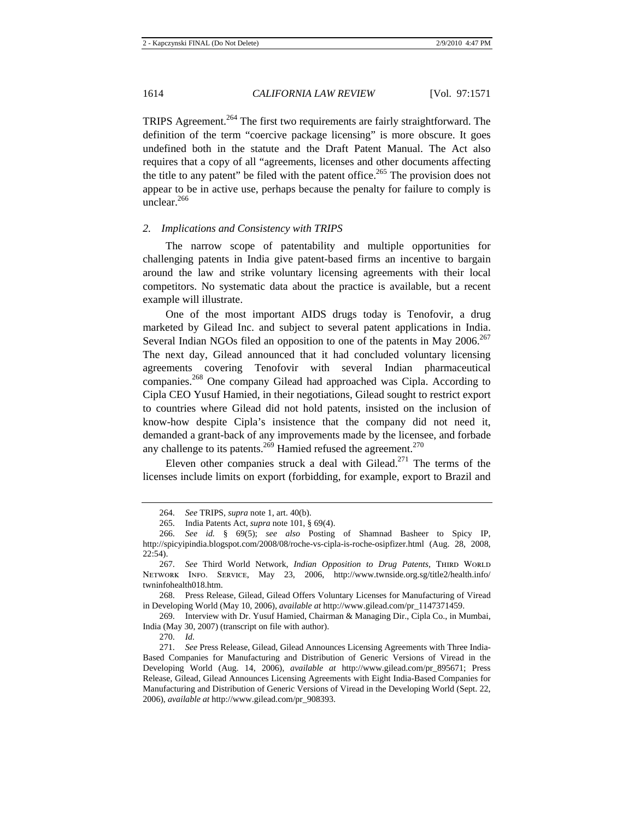TRIPS Agreement.<sup>264</sup> The first two requirements are fairly straightforward. The definition of the term "coercive package licensing" is more obscure. It goes undefined both in the statute and the Draft Patent Manual. The Act also requires that a copy of all "agreements, licenses and other documents affecting the title to any patent" be filed with the patent office.<sup>265</sup> The provision does not appear to be in active use, perhaps because the penalty for failure to comply is unclear. $266$ 

## *2. Implications and Consistency with TRIPS*

The narrow scope of patentability and multiple opportunities for challenging patents in India give patent-based firms an incentive to bargain around the law and strike voluntary licensing agreements with their local competitors. No systematic data about the practice is available, but a recent example will illustrate.

One of the most important AIDS drugs today is Tenofovir, a drug marketed by Gilead Inc. and subject to several patent applications in India. Several Indian NGOs filed an opposition to one of the patents in May  $2006$ <sup>267</sup> The next day, Gilead announced that it had concluded voluntary licensing agreements covering Tenofovir with several Indian pharmaceutical companies.268 One company Gilead had approached was Cipla. According to Cipla CEO Yusuf Hamied, in their negotiations, Gilead sought to restrict export to countries where Gilead did not hold patents, insisted on the inclusion of know-how despite Cipla's insistence that the company did not need it, demanded a grant-back of any improvements made by the licensee, and forbade any challenge to its patents.<sup>269</sup> Hamied refused the agreement.<sup>270</sup>

Eleven other companies struck a deal with Gilead.<sup>271</sup> The terms of the licenses include limits on export (forbidding, for example, export to Brazil and

268. Press Release, Gilead, Gilead Offers Voluntary Licenses for Manufacturing of Viread in Developing World (May 10, 2006), *available at* http://www.gilead.com/pr\_1147371459.

269. Interview with Dr. Yusuf Hamied, Chairman & Managing Dir., Cipla Co., in Mumbai, India (May 30, 2007) (transcript on file with author).

270. *Id.*

<sup>264.</sup> *See* TRIPS, *supra* note 1, art. 40(b).

<sup>265.</sup> India Patents Act, *supra* note 101, § 69(4).

<sup>266.</sup> *See id.* § 69(5); *see also* Posting of Shamnad Basheer to Spicy IP, http://spicyipindia.blogspot.com/2008/08/roche-vs-cipla-is-roche-osipfizer.html (Aug. 28, 2008, 22:54).

<sup>267.</sup> See Third World Network, Indian Opposition to Drug Patents, THIRD WORLD Network Info. Service, May 23, 2006, http://www.twnside.org.sg/title2/health.info/ twninfohealth018.htm.

<sup>271.</sup> *See* Press Release, Gilead, Gilead Announces Licensing Agreements with Three India-Based Companies for Manufacturing and Distribution of Generic Versions of Viread in the Developing World (Aug. 14, 2006), *available at* http://www.gilead.com/pr\_895671; Press Release, Gilead, Gilead Announces Licensing Agreements with Eight India-Based Companies for Manufacturing and Distribution of Generic Versions of Viread in the Developing World (Sept. 22, 2006), *available at* http://www.gilead.com/pr\_908393.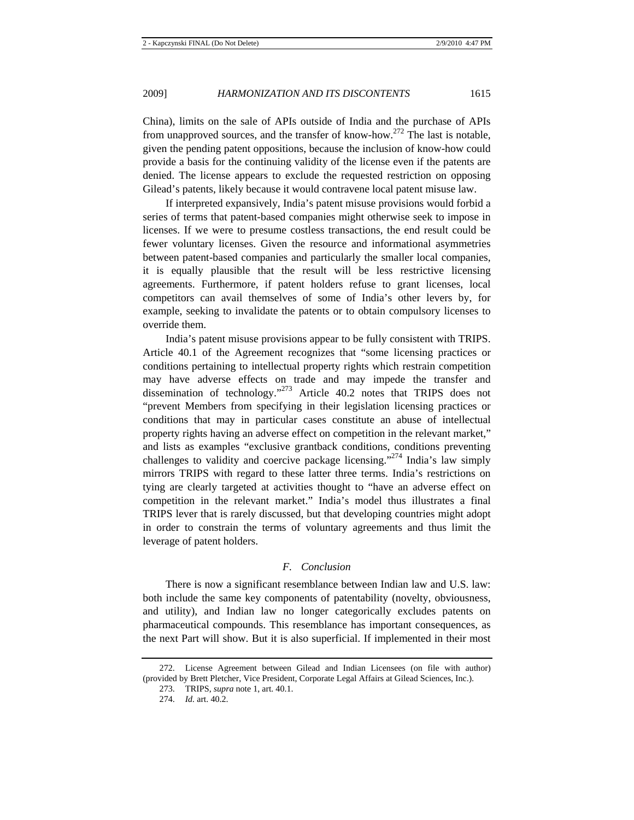China), limits on the sale of APIs outside of India and the purchase of APIs from unapproved sources, and the transfer of know-how.<sup>272</sup> The last is notable, given the pending patent oppositions, because the inclusion of know-how could provide a basis for the continuing validity of the license even if the patents are denied. The license appears to exclude the requested restriction on opposing Gilead's patents, likely because it would contravene local patent misuse law.

If interpreted expansively, India's patent misuse provisions would forbid a series of terms that patent-based companies might otherwise seek to impose in licenses. If we were to presume costless transactions, the end result could be fewer voluntary licenses. Given the resource and informational asymmetries between patent-based companies and particularly the smaller local companies, it is equally plausible that the result will be less restrictive licensing agreements. Furthermore, if patent holders refuse to grant licenses, local competitors can avail themselves of some of India's other levers by, for example, seeking to invalidate the patents or to obtain compulsory licenses to override them.

India's patent misuse provisions appear to be fully consistent with TRIPS. Article 40.1 of the Agreement recognizes that "some licensing practices or conditions pertaining to intellectual property rights which restrain competition may have adverse effects on trade and may impede the transfer and dissemination of technology."273 Article 40.2 notes that TRIPS does not "prevent Members from specifying in their legislation licensing practices or conditions that may in particular cases constitute an abuse of intellectual property rights having an adverse effect on competition in the relevant market," and lists as examples "exclusive grantback conditions, conditions preventing challenges to validity and coercive package licensing."<sup>274</sup> India's law simply mirrors TRIPS with regard to these latter three terms. India's restrictions on tying are clearly targeted at activities thought to "have an adverse effect on competition in the relevant market." India's model thus illustrates a final TRIPS lever that is rarely discussed, but that developing countries might adopt in order to constrain the terms of voluntary agreements and thus limit the leverage of patent holders.

## *F. Conclusion*

There is now a significant resemblance between Indian law and U.S. law: both include the same key components of patentability (novelty, obviousness, and utility), and Indian law no longer categorically excludes patents on pharmaceutical compounds. This resemblance has important consequences, as the next Part will show. But it is also superficial. If implemented in their most

<sup>272.</sup> License Agreement between Gilead and Indian Licensees (on file with author) (provided by Brett Pletcher, Vice President, Corporate Legal Affairs at Gilead Sciences, Inc.).

<sup>273.</sup> TRIPS, *supra* note 1, art. 40.1.

<sup>274.</sup> *Id.* art. 40.2.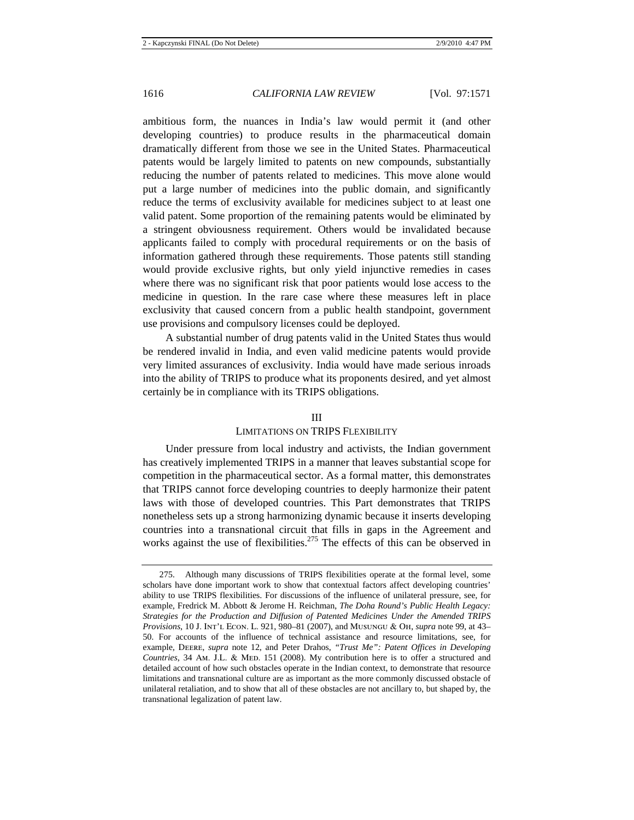ambitious form, the nuances in India's law would permit it (and other developing countries) to produce results in the pharmaceutical domain dramatically different from those we see in the United States. Pharmaceutical patents would be largely limited to patents on new compounds, substantially reducing the number of patents related to medicines. This move alone would put a large number of medicines into the public domain, and significantly reduce the terms of exclusivity available for medicines subject to at least one valid patent. Some proportion of the remaining patents would be eliminated by a stringent obviousness requirement. Others would be invalidated because applicants failed to comply with procedural requirements or on the basis of information gathered through these requirements. Those patents still standing would provide exclusive rights, but only yield injunctive remedies in cases where there was no significant risk that poor patients would lose access to the medicine in question. In the rare case where these measures left in place exclusivity that caused concern from a public health standpoint, government use provisions and compulsory licenses could be deployed.

A substantial number of drug patents valid in the United States thus would be rendered invalid in India, and even valid medicine patents would provide very limited assurances of exclusivity. India would have made serious inroads into the ability of TRIPS to produce what its proponents desired, and yet almost certainly be in compliance with its TRIPS obligations.

## III

#### LIMITATIONS ON TRIPS FLEXIBILITY

Under pressure from local industry and activists, the Indian government has creatively implemented TRIPS in a manner that leaves substantial scope for competition in the pharmaceutical sector. As a formal matter, this demonstrates that TRIPS cannot force developing countries to deeply harmonize their patent laws with those of developed countries. This Part demonstrates that TRIPS nonetheless sets up a strong harmonizing dynamic because it inserts developing countries into a transnational circuit that fills in gaps in the Agreement and works against the use of flexibilities.<sup>275</sup> The effects of this can be observed in

<sup>275.</sup> Although many discussions of TRIPS flexibilities operate at the formal level, some scholars have done important work to show that contextual factors affect developing countries' ability to use TRIPS flexibilities. For discussions of the influence of unilateral pressure, see, for example, Fredrick M. Abbott & Jerome H. Reichman, *The Doha Round's Public Health Legacy: Strategies for the Production and Diffusion of Patented Medicines Under the Amended TRIPS Provisions*, 10 J. Int'l Econ. L. 921, 980–81 (2007), and Musungu & Oh, *supra* note 99, at 43– 50. For accounts of the influence of technical assistance and resource limitations, see, for example, Deere, *supra* note 12, and Peter Drahos, *"Trust Me": Patent Offices in Developing Countries*, 34 Am. J.L. & MED. 151 (2008). My contribution here is to offer a structured and detailed account of how such obstacles operate in the Indian context, to demonstrate that resource limitations and transnational culture are as important as the more commonly discussed obstacle of unilateral retaliation, and to show that all of these obstacles are not ancillary to, but shaped by, the transnational legalization of patent law.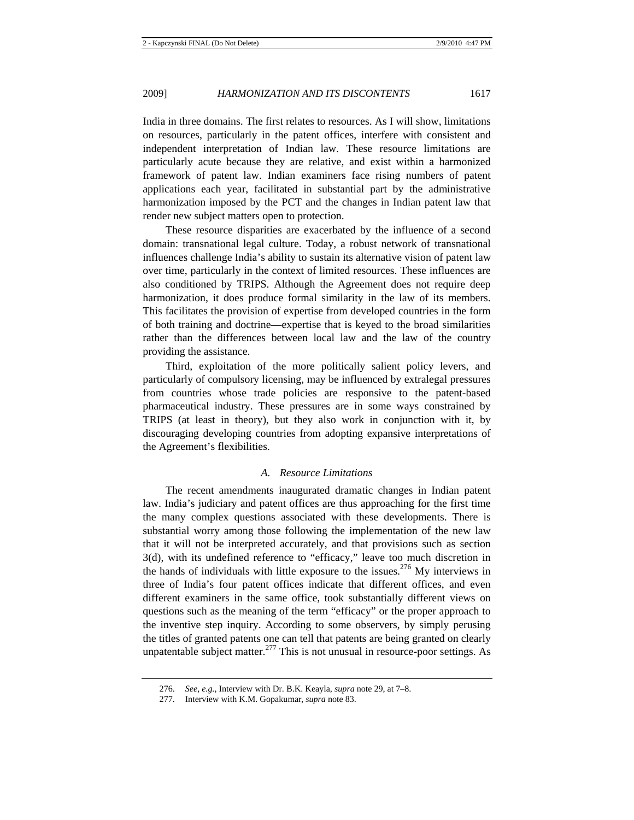India in three domains. The first relates to resources. As I will show, limitations on resources, particularly in the patent offices, interfere with consistent and independent interpretation of Indian law. These resource limitations are particularly acute because they are relative, and exist within a harmonized framework of patent law. Indian examiners face rising numbers of patent applications each year, facilitated in substantial part by the administrative harmonization imposed by the PCT and the changes in Indian patent law that render new subject matters open to protection.

These resource disparities are exacerbated by the influence of a second domain: transnational legal culture. Today, a robust network of transnational influences challenge India's ability to sustain its alternative vision of patent law over time, particularly in the context of limited resources. These influences are also conditioned by TRIPS. Although the Agreement does not require deep harmonization, it does produce formal similarity in the law of its members. This facilitates the provision of expertise from developed countries in the form of both training and doctrine—expertise that is keyed to the broad similarities rather than the differences between local law and the law of the country providing the assistance.

Third, exploitation of the more politically salient policy levers, and particularly of compulsory licensing, may be influenced by extralegal pressures from countries whose trade policies are responsive to the patent-based pharmaceutical industry. These pressures are in some ways constrained by TRIPS (at least in theory), but they also work in conjunction with it, by discouraging developing countries from adopting expansive interpretations of the Agreement's flexibilities.

## *A. Resource Limitations*

The recent amendments inaugurated dramatic changes in Indian patent law. India's judiciary and patent offices are thus approaching for the first time the many complex questions associated with these developments. There is substantial worry among those following the implementation of the new law that it will not be interpreted accurately, and that provisions such as section 3(d), with its undefined reference to "efficacy," leave too much discretion in the hands of individuals with little exposure to the issues.<sup>276</sup> My interviews in three of India's four patent offices indicate that different offices, and even different examiners in the same office, took substantially different views on questions such as the meaning of the term "efficacy" or the proper approach to the inventive step inquiry. According to some observers, by simply perusing the titles of granted patents one can tell that patents are being granted on clearly unpatentable subject matter. $277$  This is not unusual in resource-poor settings. As

<sup>276.</sup> *See, e.g.*, Interview with Dr. B.K. Keayla, *supra* note 29, at 7–8.

<sup>277.</sup> Interview with K.M. Gopakumar, *supra* note 83.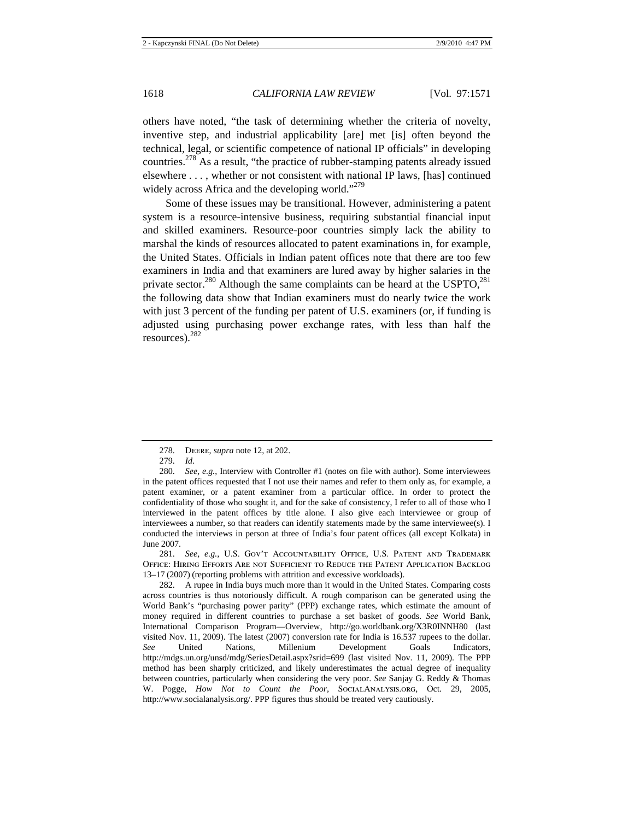others have noted, "the task of determining whether the criteria of novelty, inventive step, and industrial applicability [are] met [is] often beyond the technical, legal, or scientific competence of national IP officials" in developing countries.278 As a result, "the practice of rubber-stamping patents already issued elsewhere . . . , whether or not consistent with national IP laws, [has] continued widely across Africa and the developing world."<sup>279</sup>

Some of these issues may be transitional. However, administering a patent system is a resource-intensive business, requiring substantial financial input and skilled examiners. Resource-poor countries simply lack the ability to marshal the kinds of resources allocated to patent examinations in, for example, the United States. Officials in Indian patent offices note that there are too few examiners in India and that examiners are lured away by higher salaries in the private sector.<sup>280</sup> Although the same complaints can be heard at the USPTO,<sup>281</sup> the following data show that Indian examiners must do nearly twice the work with just 3 percent of the funding per patent of U.S. examiners (or, if funding is adjusted using purchasing power exchange rates, with less than half the resources).282

281. *See, e.g.*, U.S. Gov't Accountability Office, U.S. Patent and Trademark Office: Hiring Efforts Are not Sufficient to Reduce the Patent Application Backlog 13–17 (2007) (reporting problems with attrition and excessive workloads).

282. A rupee in India buys much more than it would in the United States. Comparing costs across countries is thus notoriously difficult. A rough comparison can be generated using the World Bank's "purchasing power parity" (PPP) exchange rates, which estimate the amount of money required in different countries to purchase a set basket of goods. *See* World Bank, International Comparison Program—Overview, http://go.worldbank.org/X3R0INNH80 (last visited Nov. 11, 2009). The latest (2007) conversion rate for India is 16.537 rupees to the dollar. *See* United Nations, Millenium Development Goals Indicators, http://mdgs.un.org/unsd/mdg/SeriesDetail.aspx?srid=699 (last visited Nov. 11, 2009). The PPP method has been sharply criticized, and likely underestimates the actual degree of inequality between countries, particularly when considering the very poor. *See* Sanjay G. Reddy & Thomas W. Pogge, *How Not to Count the Poor*, SocialAnalysis.org, Oct. 29, 2005, http://www.socialanalysis.org/. PPP figures thus should be treated very cautiously.

<sup>278.</sup> Deere, *supra* note 12, at 202.

<sup>279.</sup> *Id.*

<sup>280.</sup> *See, e.g.*, Interview with Controller #1 (notes on file with author). Some interviewees in the patent offices requested that I not use their names and refer to them only as, for example, a patent examiner, or a patent examiner from a particular office. In order to protect the confidentiality of those who sought it, and for the sake of consistency, I refer to all of those who I interviewed in the patent offices by title alone. I also give each interviewee or group of interviewees a number, so that readers can identify statements made by the same interviewee(s). I conducted the interviews in person at three of India's four patent offices (all except Kolkata) in June 2007.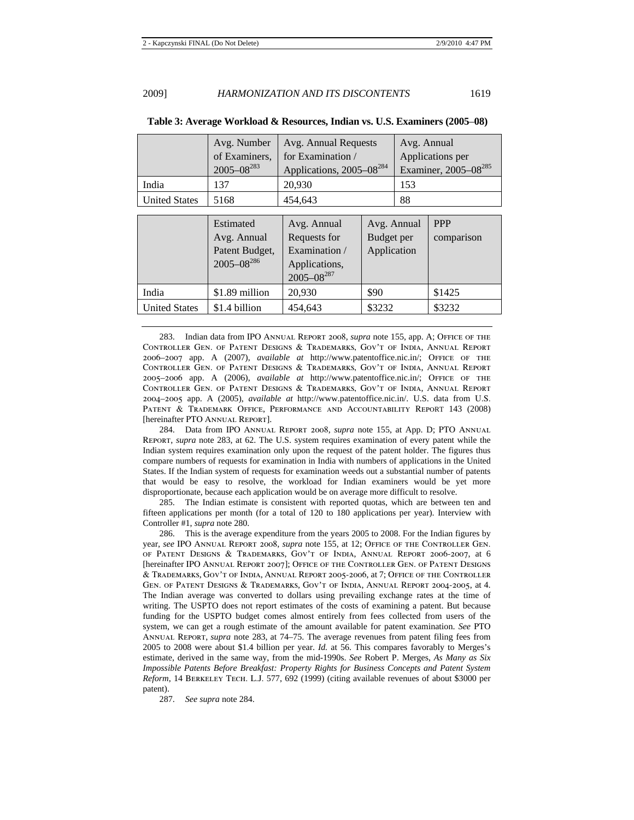|                      | Avg. Number       | Avg. Annual Requests                  | Avg. Annual                      |  |
|----------------------|-------------------|---------------------------------------|----------------------------------|--|
|                      | of Examiners,     | for Examination /<br>Applications per |                                  |  |
|                      | $2005 - 08^{283}$ | Applications, 2005–08 <sup>284</sup>  | Examiner, 2005-08 <sup>285</sup> |  |
| India                | 137               | 20,930                                | 153                              |  |
| <b>United States</b> | 5168              | 454.643                               | 88                               |  |

**Table 3: Average Workload & Resources, Indian vs. U.S. Examiners (2005**–**08)**

|                      | Estimated<br>Avg. Annual<br>Patent Budget,<br>$2005 - 08^{286}$ | Avg. Annual<br>Requests for<br>Examination /<br>Applications,<br>$2005 - 08^{287}$ | Avg. Annual<br>Budget per<br>Application | <b>PPP</b><br>comparison |
|----------------------|-----------------------------------------------------------------|------------------------------------------------------------------------------------|------------------------------------------|--------------------------|
| India                | \$1.89 million                                                  | 20,930                                                                             | \$90                                     | \$1425                   |
| <b>United States</b> | \$1.4 billion                                                   | 454,643                                                                            | \$3232                                   | \$3232                   |

283. Indian data from IPO Annual Report 2008, *supra* note 155, app. A; Office of the Controller Gen. of Patent Designs & Trademarks, Gov't of India, Annual Report 2006–2007 app. A (2007), *available at* http://www.patentoffice.nic.in/; Office of the Controller Gen. of Patent Designs & Trademarks, Gov't of India, Annual Report 2005–2006 app. A (2006), *available at* http://www.patentoffice.nic.in/; Office of the Controller Gen. of Patent Designs & Trademarks, Gov't of India, Annual Report 2004–2005 app. A (2005), *available at* http://www.patentoffice.nic.in/. U.S. data from U.S. PATENT & TRADEMARK OFFICE, PERFORMANCE AND ACCOUNTABILITY REPORT 143 (2008) [hereinafter PTO Annual Report].

284. Data from IPO Annual Report 2008, *supra* note 155, at App. D; PTO Annual Report, *supra* note 283, at 62. The U.S. system requires examination of every patent while the Indian system requires examination only upon the request of the patent holder. The figures thus compare numbers of requests for examination in India with numbers of applications in the United States. If the Indian system of requests for examination weeds out a substantial number of patents that would be easy to resolve, the workload for Indian examiners would be yet more disproportionate, because each application would be on average more difficult to resolve.

285. The Indian estimate is consistent with reported quotas, which are between ten and fifteen applications per month (for a total of 120 to 180 applications per year). Interview with Controller #1, *supra* note 280.

286. This is the average expenditure from the years 2005 to 2008. For the Indian figures by year, *see* IPO Annual Report 2008, *supra* note 155, at 12; Office of the Controller Gen. of Patent Designs & Trademarks, Gov't of India, Annual Report 2006-2007, at 6 [hereinafter IPO Annual Report 2007]; Office of the Controller Gen. of Patent Designs & Trademarks, Gov't of India, Annual Report 2005-2006, at 7; Office of the Controller Gen. of Patent Designs & Trademarks, Gov't of India, Annual Report 2004-2005, at 4. The Indian average was converted to dollars using prevailing exchange rates at the time of writing. The USPTO does not report estimates of the costs of examining a patent. But because funding for the USPTO budget comes almost entirely from fees collected from users of the system, we can get a rough estimate of the amount available for patent examination. *See* PTO Annual Report, *supra* note 283, at 74–75. The average revenues from patent filing fees from 2005 to 2008 were about \$1.4 billion per year. *Id.* at 56. This compares favorably to Merges's estimate, derived in the same way, from the mid-1990s. *See* Robert P. Merges, *As Many as Six Impossible Patents Before Breakfast: Property Rights for Business Concepts and Patent System Reform*, 14 Berkeley Tech. L.J. 577, 692 (1999) (citing available revenues of about \$3000 per patent).

287. *See supra* note 284.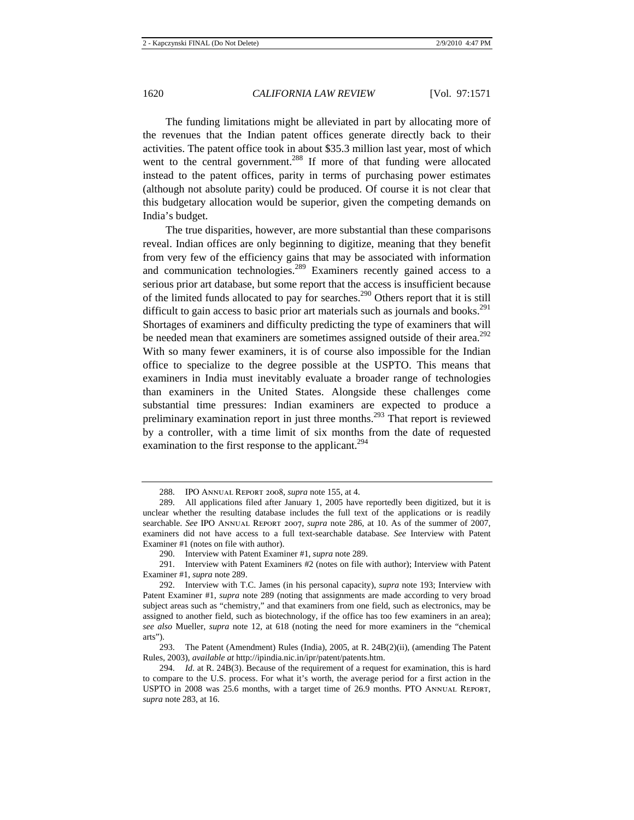The funding limitations might be alleviated in part by allocating more of the revenues that the Indian patent offices generate directly back to their activities. The patent office took in about \$35.3 million last year, most of which went to the central government.<sup>288</sup> If more of that funding were allocated instead to the patent offices, parity in terms of purchasing power estimates (although not absolute parity) could be produced. Of course it is not clear that this budgetary allocation would be superior, given the competing demands on India's budget.

The true disparities, however, are more substantial than these comparisons reveal. Indian offices are only beginning to digitize, meaning that they benefit from very few of the efficiency gains that may be associated with information and communication technologies.<sup>289</sup> Examiners recently gained access to a serious prior art database, but some report that the access is insufficient because of the limited funds allocated to pay for searches.<sup>290</sup> Others report that it is still difficult to gain access to basic prior art materials such as journals and books. $^{291}$ Shortages of examiners and difficulty predicting the type of examiners that will be needed mean that examiners are sometimes assigned outside of their area.<sup>292</sup> With so many fewer examiners, it is of course also impossible for the Indian office to specialize to the degree possible at the USPTO. This means that examiners in India must inevitably evaluate a broader range of technologies than examiners in the United States. Alongside these challenges come substantial time pressures: Indian examiners are expected to produce a preliminary examination report in just three months.<sup>293</sup> That report is reviewed by a controller, with a time limit of six months from the date of requested examination to the first response to the applicant.<sup>294</sup>

293. The Patent (Amendment) Rules (India), 2005, at R. 24B(2)(ii), (amending The Patent Rules, 2003), *available at* http://ipindia.nic.in/ipr/patent/patents.htm.

<sup>288.</sup> IPO Annual Report 2008, *supra* note 155, at 4.

<sup>289.</sup> All applications filed after January 1, 2005 have reportedly been digitized, but it is unclear whether the resulting database includes the full text of the applications or is readily searchable. *See* IPO Annual Report 2007, *supra* note 286, at 10. As of the summer of 2007, examiners did not have access to a full text-searchable database. *See* Interview with Patent Examiner #1 (notes on file with author).

<sup>290.</sup> Interview with Patent Examiner #1, *supra* note 289.

<sup>291.</sup> Interview with Patent Examiners #2 (notes on file with author); Interview with Patent Examiner #1, *supra* note 289.

<sup>292.</sup> Interview with T.C. James (in his personal capacity), *supra* note 193; Interview with Patent Examiner #1, *supra* note 289 (noting that assignments are made according to very broad subject areas such as "chemistry," and that examiners from one field, such as electronics, may be assigned to another field, such as biotechnology, if the office has too few examiners in an area); *see also* Mueller, *supra* note 12, at 618 (noting the need for more examiners in the "chemical arts").

<sup>294.</sup> *Id.* at R. 24B(3). Because of the requirement of a request for examination, this is hard to compare to the U.S. process. For what it's worth, the average period for a first action in the USPTO in 2008 was 25.6 months, with a target time of 26.9 months. PTO Annual Report, *supra* note 283, at 16.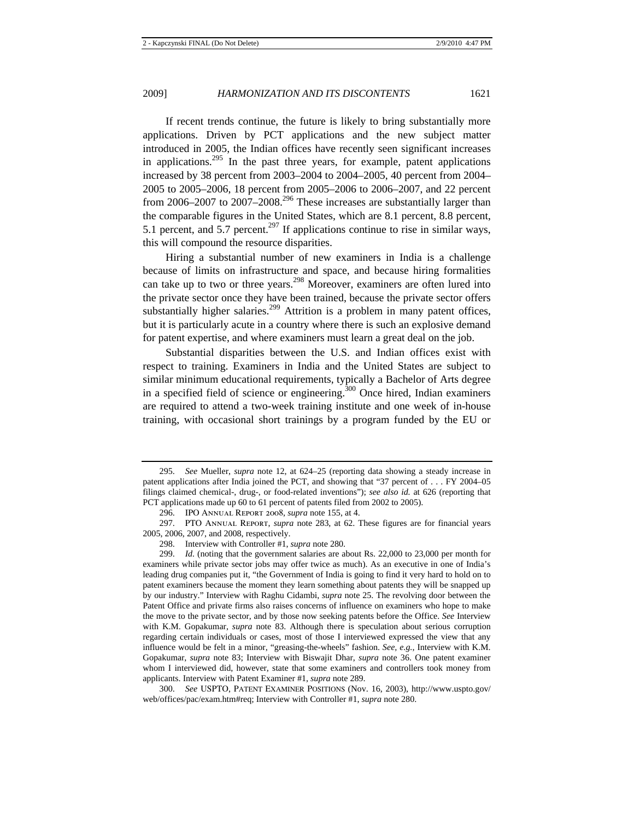If recent trends continue, the future is likely to bring substantially more applications. Driven by PCT applications and the new subject matter introduced in 2005, the Indian offices have recently seen significant increases in applications.<sup>295</sup> In the past three years, for example, patent applications increased by 38 percent from 2003–2004 to 2004–2005, 40 percent from 2004– 2005 to 2005–2006, 18 percent from 2005–2006 to 2006–2007, and 22 percent from 2006–2007 to 2007–2008.<sup>296</sup> These increases are substantially larger than the comparable figures in the United States, which are 8.1 percent, 8.8 percent, 5.1 percent, and 5.7 percent.<sup>297</sup> If applications continue to rise in similar ways, this will compound the resource disparities.

Hiring a substantial number of new examiners in India is a challenge because of limits on infrastructure and space, and because hiring formalities can take up to two or three years.<sup>298</sup> Moreover, examiners are often lured into the private sector once they have been trained, because the private sector offers substantially higher salaries.<sup>299</sup> Attrition is a problem in many patent offices, but it is particularly acute in a country where there is such an explosive demand for patent expertise, and where examiners must learn a great deal on the job.

Substantial disparities between the U.S. and Indian offices exist with respect to training. Examiners in India and the United States are subject to similar minimum educational requirements, typically a Bachelor of Arts degree in a specified field of science or engineering.<sup>300</sup> Once hired, Indian examiners are required to attend a two-week training institute and one week of in-house training, with occasional short trainings by a program funded by the EU or

300. *See* USPTO, PATENT EXAMINER POSITIONS (Nov. 16, 2003), http://www.uspto.gov/ web/offices/pac/exam.htm#req; Interview with Controller #1, *supra* note 280.

<sup>295.</sup> *See* Mueller, *supra* note 12, at 624–25 (reporting data showing a steady increase in patent applications after India joined the PCT, and showing that "37 percent of . . . FY 2004–05 filings claimed chemical-, drug-, or food-related inventions"); *see also id.* at 626 (reporting that PCT applications made up 60 to 61 percent of patents filed from 2002 to 2005).

<sup>296.</sup> IPO Annual Report 2008, *supra* note 155, at 4.

<sup>297.</sup> PTO Annual Report, *supra* note 283, at 62. These figures are for financial years 2005, 2006, 2007, and 2008, respectively.

<sup>298.</sup> Interview with Controller #1, *supra* note 280.

<sup>299.</sup> *Id.* (noting that the government salaries are about Rs. 22,000 to 23,000 per month for examiners while private sector jobs may offer twice as much). As an executive in one of India's leading drug companies put it, "the Government of India is going to find it very hard to hold on to patent examiners because the moment they learn something about patents they will be snapped up by our industry." Interview with Raghu Cidambi, *supra* note 25. The revolving door between the Patent Office and private firms also raises concerns of influence on examiners who hope to make the move to the private sector, and by those now seeking patents before the Office. *See* Interview with K.M. Gopakumar, *supra* note 83. Although there is speculation about serious corruption regarding certain individuals or cases, most of those I interviewed expressed the view that any influence would be felt in a minor, "greasing-the-wheels" fashion. *See, e.g.*, Interview with K.M. Gopakumar, *supra* note 83; Interview with Biswajit Dhar, *supra* note 36. One patent examiner whom I interviewed did, however, state that some examiners and controllers took money from applicants. Interview with Patent Examiner #1, *supra* note 289.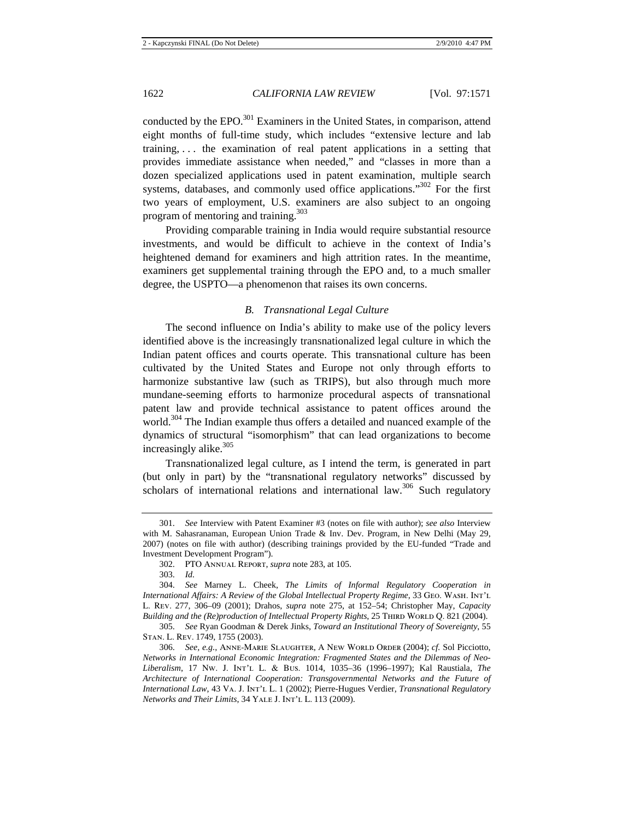conducted by the EPO.<sup>301</sup> Examiners in the United States, in comparison, attend eight months of full-time study, which includes "extensive lecture and lab training, . . . the examination of real patent applications in a setting that provides immediate assistance when needed," and "classes in more than a dozen specialized applications used in patent examination, multiple search systems, databases, and commonly used office applications."<sup>302</sup> For the first two years of employment, U.S. examiners are also subject to an ongoing program of mentoring and training. $303$ 

Providing comparable training in India would require substantial resource investments, and would be difficult to achieve in the context of India's heightened demand for examiners and high attrition rates. In the meantime, examiners get supplemental training through the EPO and, to a much smaller degree, the USPTO—a phenomenon that raises its own concerns.

## *B. Transnational Legal Culture*

The second influence on India's ability to make use of the policy levers identified above is the increasingly transnationalized legal culture in which the Indian patent offices and courts operate. This transnational culture has been cultivated by the United States and Europe not only through efforts to harmonize substantive law (such as TRIPS), but also through much more mundane-seeming efforts to harmonize procedural aspects of transnational patent law and provide technical assistance to patent offices around the world.<sup>304</sup> The Indian example thus offers a detailed and nuanced example of the dynamics of structural "isomorphism" that can lead organizations to become increasingly alike.<sup>305</sup>

Transnationalized legal culture, as I intend the term, is generated in part (but only in part) by the "transnational regulatory networks" discussed by scholars of international relations and international law.<sup>306</sup> Such regulatory

<sup>301.</sup> *See* Interview with Patent Examiner #3 (notes on file with author); *see also* Interview with M. Sahasranaman, European Union Trade & Inv. Dev. Program, in New Delhi (May 29, 2007) (notes on file with author) (describing trainings provided by the EU-funded "Trade and Investment Development Program").

<sup>302.</sup> PTO Annual Report, *supra* note 283, at 105.

<sup>303.</sup> *Id.*

<sup>304.</sup> *See* Marney L. Cheek, *The Limits of Informal Regulatory Cooperation in International Affairs: A Review of the Global Intellectual Property Regime*, 33 Geo. Wash. Int'l L. Rev. 277, 306–09 (2001); Drahos, *supra* note 275, at 152–54; Christopher May, *Capacity Building and the (Re)production of Intellectual Property Rights*, 25 THIRD WORLD Q. 821 (2004).

<sup>305.</sup> *See* Ryan Goodman & Derek Jinks, *Toward an Institutional Theory of Sovereignty*, 55 Stan. L. Rev. 1749, 1755 (2003).

<sup>306.</sup> *See, e.g.*, Anne-Marie Slaughter, A New World Order (2004); *cf.* Sol Picciotto, *Networks in International Economic Integration: Fragmented States and the Dilemmas of Neo-Liberalism*, 17 Nw. J. Int'l L. & Bus. 1014, 1035–36 (1996–1997); Kal Raustiala, *The Architecture of International Cooperation: Transgovernmental Networks and the Future of International Law*, 43 VA. J. INT'L L. 1 (2002); Pierre-Hugues Verdier, *Transnational Regulatory Networks and Their Limits*, 34 YALE J. INT'L L. 113 (2009).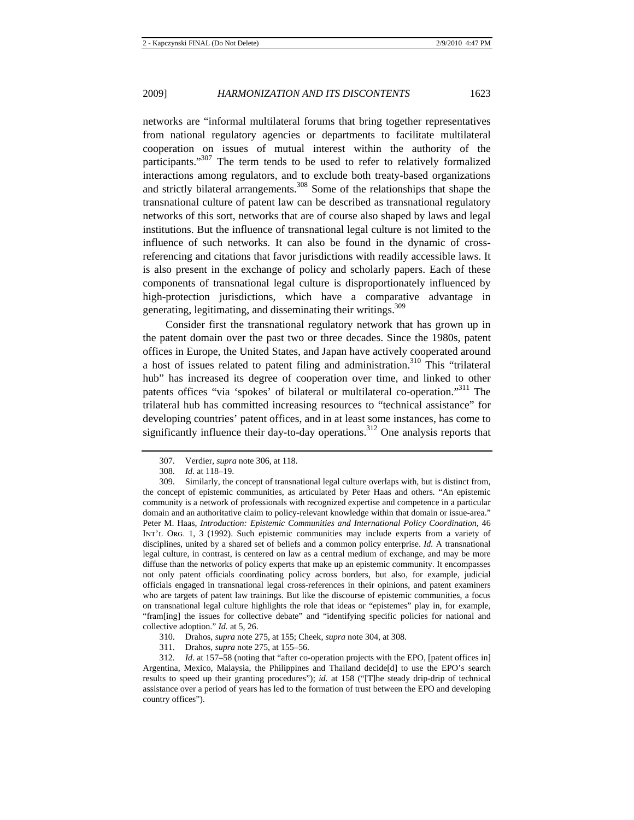networks are "informal multilateral forums that bring together representatives from national regulatory agencies or departments to facilitate multilateral cooperation on issues of mutual interest within the authority of the participants."<sup>307</sup> The term tends to be used to refer to relatively formalized interactions among regulators, and to exclude both treaty-based organizations and strictly bilateral arrangements.308 Some of the relationships that shape the transnational culture of patent law can be described as transnational regulatory networks of this sort, networks that are of course also shaped by laws and legal institutions. But the influence of transnational legal culture is not limited to the influence of such networks. It can also be found in the dynamic of crossreferencing and citations that favor jurisdictions with readily accessible laws. It is also present in the exchange of policy and scholarly papers. Each of these components of transnational legal culture is disproportionately influenced by high-protection jurisdictions, which have a comparative advantage in generating, legitimating, and disseminating their writings.<sup>309</sup>

Consider first the transnational regulatory network that has grown up in the patent domain over the past two or three decades. Since the 1980s, patent offices in Europe, the United States, and Japan have actively cooperated around a host of issues related to patent filing and administration.<sup>310</sup> This "trilateral" hub" has increased its degree of cooperation over time, and linked to other patents offices "via 'spokes' of bilateral or multilateral co-operation."<sup>311</sup> The trilateral hub has committed increasing resources to "technical assistance" for developing countries' patent offices, and in at least some instances, has come to significantly influence their day-to-day operations.<sup>312</sup> One analysis reports that

- 310. Drahos, *supra* note 275, at 155; Cheek, *supra* note 304, at 308.
- 311. Drahos, *supra* note 275, at 155–56.

312. *Id.* at 157–58 (noting that "after co-operation projects with the EPO, [patent offices in] Argentina, Mexico, Malaysia, the Philippines and Thailand decide[d] to use the EPO's search results to speed up their granting procedures"); *id.* at 158 ("[T]he steady drip-drip of technical assistance over a period of years has led to the formation of trust between the EPO and developing country offices").

<sup>307.</sup> Verdier, *supra* note 306, at 118.

<sup>308.</sup> *Id.* at 118–19.

<sup>309.</sup> Similarly, the concept of transnational legal culture overlaps with, but is distinct from, the concept of epistemic communities, as articulated by Peter Haas and others. "An epistemic community is a network of professionals with recognized expertise and competence in a particular domain and an authoritative claim to policy-relevant knowledge within that domain or issue-area." Peter M. Haas, *Introduction: Epistemic Communities and International Policy Coordination*, 46 Int'l Org. 1, 3 (1992). Such epistemic communities may include experts from a variety of disciplines, united by a shared set of beliefs and a common policy enterprise. *Id.* A transnational legal culture, in contrast, is centered on law as a central medium of exchange, and may be more diffuse than the networks of policy experts that make up an epistemic community. It encompasses not only patent officials coordinating policy across borders, but also, for example, judicial officials engaged in transnational legal cross-references in their opinions, and patent examiners who are targets of patent law trainings. But like the discourse of epistemic communities, a focus on transnational legal culture highlights the role that ideas or "epistemes" play in, for example, "fram[ing] the issues for collective debate" and "identifying specific policies for national and collective adoption." *Id.* at 5, 26.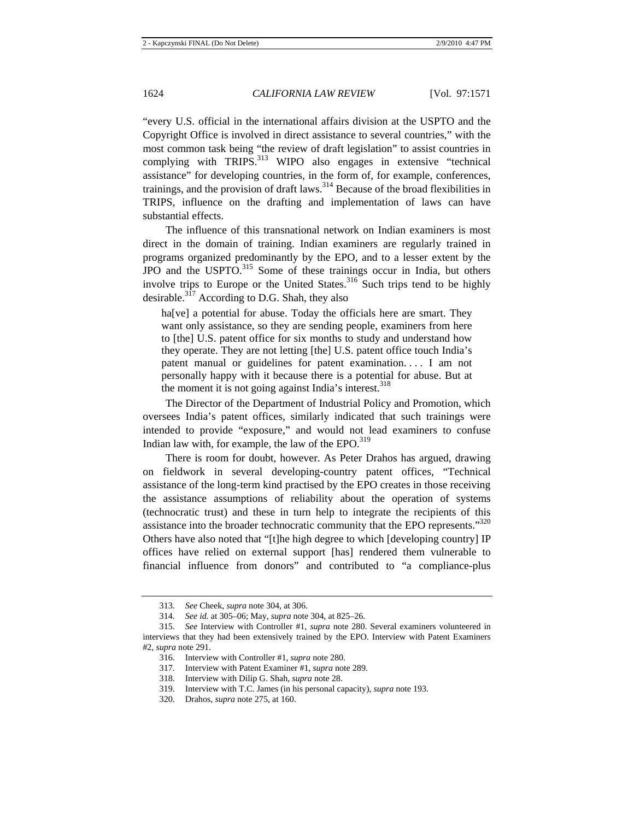"every U.S. official in the international affairs division at the USPTO and the Copyright Office is involved in direct assistance to several countries," with the most common task being "the review of draft legislation" to assist countries in complying with TRIPS.<sup>313</sup> WIPO also engages in extensive "technical assistance" for developing countries, in the form of, for example, conferences, trainings, and the provision of draft laws.<sup>314</sup> Because of the broad flexibilities in TRIPS, influence on the drafting and implementation of laws can have substantial effects.

The influence of this transnational network on Indian examiners is most direct in the domain of training. Indian examiners are regularly trained in programs organized predominantly by the EPO, and to a lesser extent by the JPO and the USPTO.315 Some of these trainings occur in India, but others involve trips to Europe or the United States. $316$  Such trips tend to be highly desirable. $3\overline{17}$  According to D.G. Shah, they also

ha<sup>[ve]</sup> a potential for abuse. Today the officials here are smart. They want only assistance, so they are sending people, examiners from here to [the] U.S. patent office for six months to study and understand how they operate. They are not letting [the] U.S. patent office touch India's patent manual or guidelines for patent examination. . . . I am not personally happy with it because there is a potential for abuse. But at the moment it is not going against India's interest.  $318$ 

The Director of the Department of Industrial Policy and Promotion, which oversees India's patent offices, similarly indicated that such trainings were intended to provide "exposure," and would not lead examiners to confuse Indian law with, for example, the law of the  $EPO.<sup>319</sup>$ 

There is room for doubt, however. As Peter Drahos has argued, drawing on fieldwork in several developing-country patent offices, "Technical assistance of the long-term kind practised by the EPO creates in those receiving the assistance assumptions of reliability about the operation of systems (technocratic trust) and these in turn help to integrate the recipients of this assistance into the broader technocratic community that the EPO represents."<sup>320</sup> Others have also noted that "[t]he high degree to which [developing country] IP offices have relied on external support [has] rendered them vulnerable to financial influence from donors" and contributed to "a compliance-plus

317. Interview with Patent Examiner #1, *supra* note 289.

<sup>313.</sup> *See* Cheek, *supra* note 304, at 306.

<sup>314.</sup> *See id.* at 305–06; May, *supra* note 304, at 825–26.

<sup>315.</sup> *See* Interview with Controller #1, *supra* note 280. Several examiners volunteered in interviews that they had been extensively trained by the EPO. Interview with Patent Examiners #2, *supra* note 291.

<sup>316.</sup> Interview with Controller #1, *supra* note 280.

<sup>318.</sup> Interview with Dilip G. Shah, *supra* note 28.

<sup>319.</sup> Interview with T.C. James (in his personal capacity), *supra* note 193.

<sup>320.</sup> Drahos, *supra* note 275, at 160.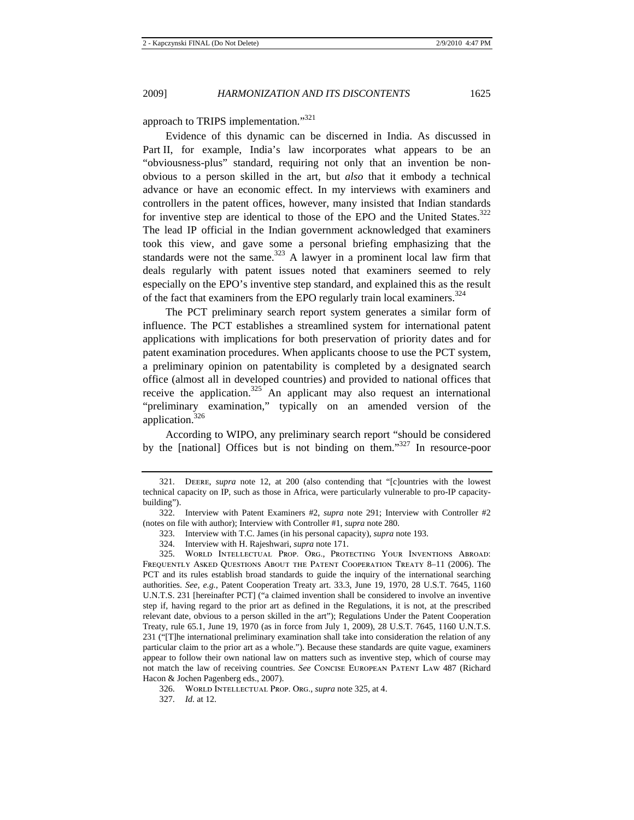approach to TRIPS implementation."<sup>321</sup>

Evidence of this dynamic can be discerned in India. As discussed in Part II, for example, India's law incorporates what appears to be an "obviousness-plus" standard, requiring not only that an invention be nonobvious to a person skilled in the art, but *also* that it embody a technical advance or have an economic effect. In my interviews with examiners and controllers in the patent offices, however, many insisted that Indian standards for inventive step are identical to those of the EPO and the United States.<sup>322</sup> The lead IP official in the Indian government acknowledged that examiners took this view, and gave some a personal briefing emphasizing that the standards were not the same.<sup>323</sup> A lawyer in a prominent local law firm that deals regularly with patent issues noted that examiners seemed to rely especially on the EPO's inventive step standard, and explained this as the result of the fact that examiners from the EPO regularly train local examiners.<sup>324</sup>

The PCT preliminary search report system generates a similar form of influence. The PCT establishes a streamlined system for international patent applications with implications for both preservation of priority dates and for patent examination procedures. When applicants choose to use the PCT system, a preliminary opinion on patentability is completed by a designated search office (almost all in developed countries) and provided to national offices that receive the application. $325$  An applicant may also request an international "preliminary examination," typically on an amended version of the application.<sup>326</sup>

According to WIPO, any preliminary search report "should be considered by the [national] Offices but is not binding on them." $327$  In resource-poor

- 323. Interview with T.C. James (in his personal capacity), *supra* note 193.
- 324. Interview with H. Rajeshwari, *supra* note 171.

<sup>321.</sup> Deere, *supra* note 12, at 200 (also contending that "[c]ountries with the lowest technical capacity on IP, such as those in Africa, were particularly vulnerable to pro-IP capacitybuilding").

<sup>322.</sup> Interview with Patent Examiners #2, *supra* note 291; Interview with Controller #2 (notes on file with author); Interview with Controller #1, *supra* note 280.

<sup>325.</sup> World Intellectual Prop. Org., Protecting Your Inventions Abroad: Frequently Asked Questions About the Patent Cooperation Treaty 8–11 (2006). The PCT and its rules establish broad standards to guide the inquiry of the international searching authorities. *See, e.g.*, Patent Cooperation Treaty art. 33.3, June 19, 1970, 28 U.S.T. 7645, 1160 U.N.T.S. 231 [hereinafter PCT] ("a claimed invention shall be considered to involve an inventive step if, having regard to the prior art as defined in the Regulations, it is not, at the prescribed relevant date, obvious to a person skilled in the art"); Regulations Under the Patent Cooperation Treaty, rule 65.1, June 19, 1970 (as in force from July 1, 2009), 28 U.S.T. 7645, 1160 U.N.T.S. 231 ("[T]he international preliminary examination shall take into consideration the relation of any particular claim to the prior art as a whole."). Because these standards are quite vague, examiners appear to follow their own national law on matters such as inventive step, which of course may not match the law of receiving countries. *See* Concise European Patent Law 487 (Richard Hacon & Jochen Pagenberg eds., 2007).

<sup>326.</sup> World Intellectual Prop. Org., *supra* note 325, at 4.

<sup>327.</sup> *Id.* at 12.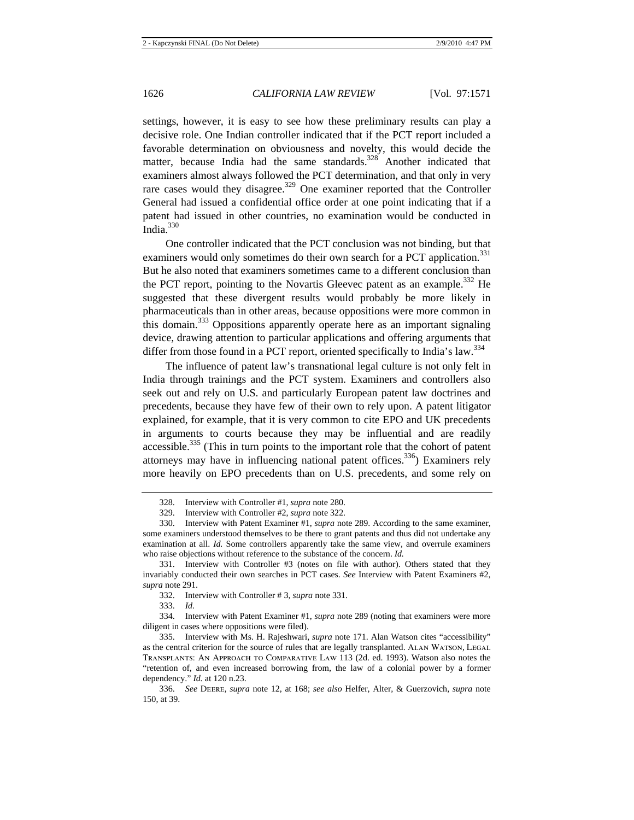settings, however, it is easy to see how these preliminary results can play a decisive role. One Indian controller indicated that if the PCT report included a favorable determination on obviousness and novelty, this would decide the matter, because India had the same standards.<sup>328</sup> Another indicated that examiners almost always followed the PCT determination, and that only in very rare cases would they disagree.<sup>329</sup> One examiner reported that the Controller General had issued a confidential office order at one point indicating that if a patent had issued in other countries, no examination would be conducted in India.330

One controller indicated that the PCT conclusion was not binding, but that examiners would only sometimes do their own search for a PCT application.<sup>331</sup> But he also noted that examiners sometimes came to a different conclusion than the PCT report, pointing to the Novartis Gleevec patent as an example.<sup>332</sup> He suggested that these divergent results would probably be more likely in pharmaceuticals than in other areas, because oppositions were more common in this domain.<sup>333</sup> Oppositions apparently operate here as an important signaling device, drawing attention to particular applications and offering arguments that differ from those found in a PCT report, oriented specifically to India's law.<sup>334</sup>

The influence of patent law's transnational legal culture is not only felt in India through trainings and the PCT system. Examiners and controllers also seek out and rely on U.S. and particularly European patent law doctrines and precedents, because they have few of their own to rely upon. A patent litigator explained, for example, that it is very common to cite EPO and UK precedents in arguments to courts because they may be influential and are readily  $accessible$ <sup>335</sup> (This in turn points to the important role that the cohort of patent attorneys may have in influencing national patent offices.<sup>336</sup>) Examiners rely more heavily on EPO precedents than on U.S. precedents, and some rely on

333. *Id.*

334. Interview with Patent Examiner #1, *supra* note 289 (noting that examiners were more diligent in cases where oppositions were filed).

<sup>328.</sup> Interview with Controller #1, *supra* note 280.

<sup>329.</sup> Interview with Controller #2, *supra* note 322.

<sup>330.</sup> Interview with Patent Examiner #1, *supra* note 289. According to the same examiner, some examiners understood themselves to be there to grant patents and thus did not undertake any examination at all. *Id.* Some controllers apparently take the same view, and overrule examiners who raise objections without reference to the substance of the concern. *Id.*

<sup>331.</sup> Interview with Controller #3 (notes on file with author). Others stated that they invariably conducted their own searches in PCT cases. *See* Interview with Patent Examiners #2, *supra* note 291.

<sup>332.</sup> Interview with Controller # 3, *supra* note 331.

<sup>335.</sup> Interview with Ms. H. Rajeshwari, *supra* note 171. Alan Watson cites "accessibility" as the central criterion for the source of rules that are legally transplanted. ALAN WATSON, LEGAL Transplants: An Approach to Comparative Law 113 (2d. ed. 1993). Watson also notes the "retention of, and even increased borrowing from, the law of a colonial power by a former dependency." *Id.* at 120 n.23.

<sup>336.</sup> *See* Deere, *supra* note 12, at 168; *see also* Helfer, Alter, & Guerzovich, *supra* note 150, at 39.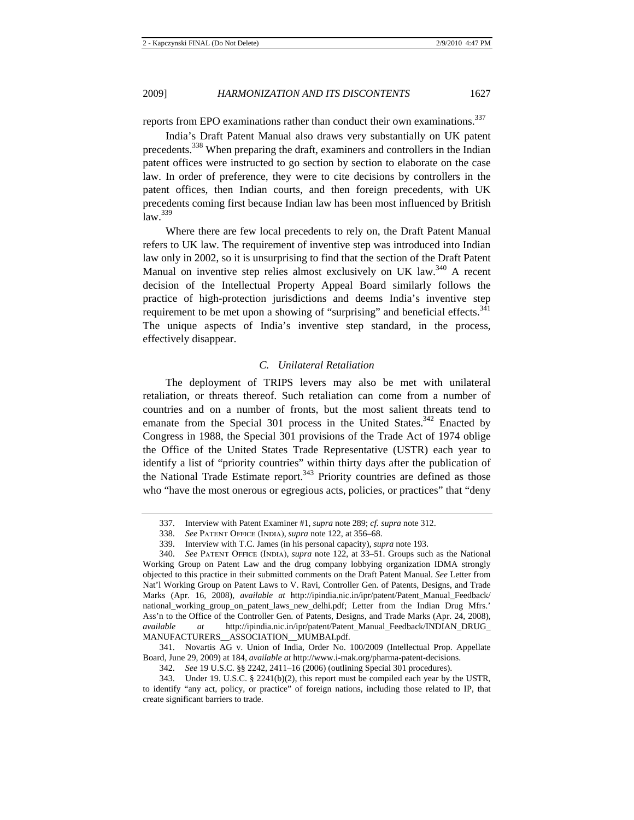2009] *HARMONIZATION AND ITS DISCONTENTS* 1627

reports from EPO examinations rather than conduct their own examinations.<sup>337</sup>

India's Draft Patent Manual also draws very substantially on UK patent precedents.<sup>338</sup> When preparing the draft, examiners and controllers in the Indian patent offices were instructed to go section by section to elaborate on the case law. In order of preference, they were to cite decisions by controllers in the patent offices, then Indian courts, and then foreign precedents, with UK precedents coming first because Indian law has been most influenced by British  $law.<sup>339</sup>$ 

Where there are few local precedents to rely on, the Draft Patent Manual refers to UK law. The requirement of inventive step was introduced into Indian law only in 2002, so it is unsurprising to find that the section of the Draft Patent Manual on inventive step relies almost exclusively on UK law.<sup>340</sup> A recent decision of the Intellectual Property Appeal Board similarly follows the practice of high-protection jurisdictions and deems India's inventive step requirement to be met upon a showing of "surprising" and beneficial effects. $341$ The unique aspects of India's inventive step standard, in the process, effectively disappear.

## *C. Unilateral Retaliation*

The deployment of TRIPS levers may also be met with unilateral retaliation, or threats thereof. Such retaliation can come from a number of countries and on a number of fronts, but the most salient threats tend to emanate from the Special 301 process in the United States.<sup>342</sup> Enacted by Congress in 1988, the Special 301 provisions of the Trade Act of 1974 oblige the Office of the United States Trade Representative (USTR) each year to identify a list of "priority countries" within thirty days after the publication of the National Trade Estimate report.<sup>343</sup> Priority countries are defined as those who "have the most onerous or egregious acts, policies, or practices" that "deny

<sup>337.</sup> Interview with Patent Examiner #1, *supra* note 289; *cf. supra* note 312.

<sup>338.</sup> *See* Patent Office (India), *supra* note 122, at 356–68.

<sup>339.</sup> Interview with T.C. James (in his personal capacity), *supra* note 193.

<sup>340.</sup> *See* Patent Office (India), *supra* note 122, at 33–51. Groups such as the National Working Group on Patent Law and the drug company lobbying organization IDMA strongly objected to this practice in their submitted comments on the Draft Patent Manual. *See* Letter from Nat'l Working Group on Patent Laws to V. Ravi, Controller Gen. of Patents, Designs, and Trade Marks (Apr. 16, 2008), *available at* http://ipindia.nic.in/ipr/patent/Patent\_Manual\_Feedback/ national\_working\_group\_on\_patent\_laws\_new\_delhi.pdf; Letter from the Indian Drug Mfrs.' Ass'n to the Office of the Controller Gen. of Patents, Designs, and Trade Marks (Apr. 24, 2008), *available at* http://ipindia.nic.in/ipr/patent/Patent\_Manual\_Feedback/INDIAN\_DRUG\_ MANUFACTURERS\_\_ASSOCIATION\_\_MUMBAI.pdf.

<sup>341.</sup> Novartis AG v. Union of India, Order No. 100/2009 (Intellectual Prop. Appellate Board, June 29, 2009) at 184, *available at* http://www.i-mak.org/pharma-patent-decisions.

<sup>342.</sup> *See* 19 U.S.C. §§ 2242, 2411–16 (2006) (outlining Special 301 procedures).

<sup>343.</sup> Under 19. U.S.C. § 2241(b)(2), this report must be compiled each year by the USTR, to identify "any act, policy, or practice" of foreign nations, including those related to IP, that create significant barriers to trade.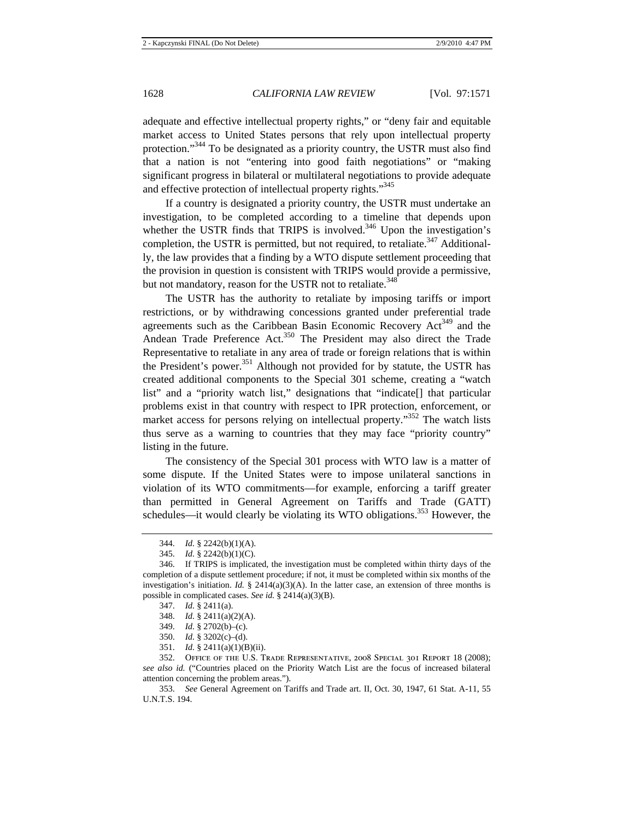adequate and effective intellectual property rights," or "deny fair and equitable market access to United States persons that rely upon intellectual property protection."<sup>344</sup> To be designated as a priority country, the USTR must also find that a nation is not "entering into good faith negotiations" or "making significant progress in bilateral or multilateral negotiations to provide adequate and effective protection of intellectual property rights."<sup>345</sup>

If a country is designated a priority country, the USTR must undertake an investigation, to be completed according to a timeline that depends upon whether the USTR finds that TRIPS is involved.<sup>346</sup> Upon the investigation's completion, the USTR is permitted, but not required, to retaliate.<sup>347</sup> Additionally, the law provides that a finding by a WTO dispute settlement proceeding that the provision in question is consistent with TRIPS would provide a permissive, but not mandatory, reason for the USTR not to retaliate.<sup>348</sup>

The USTR has the authority to retaliate by imposing tariffs or import restrictions, or by withdrawing concessions granted under preferential trade agreements such as the Caribbean Basin Economic Recovery Act<sup>349</sup> and the Andean Trade Preference Act.<sup>350</sup> The President may also direct the Trade Representative to retaliate in any area of trade or foreign relations that is within the President's power.<sup>351</sup> Although not provided for by statute, the USTR has created additional components to the Special 301 scheme, creating a "watch list" and a "priority watch list," designations that "indicate[] that particular problems exist in that country with respect to IPR protection, enforcement, or market access for persons relying on intellectual property."<sup>352</sup> The watch lists thus serve as a warning to countries that they may face "priority country" listing in the future.

The consistency of the Special 301 process with WTO law is a matter of some dispute. If the United States were to impose unilateral sanctions in violation of its WTO commitments—for example, enforcing a tariff greater than permitted in General Agreement on Tariffs and Trade (GATT) schedules—it would clearly be violating its WTO obligations.<sup>353</sup> However, the

- 348. *Id.* § 2411(a)(2)(A).
- 349. *Id.* § 2702(b)–(c).
- 350. *Id.* § 3202(c)–(d).
- 351. *Id.* § 2411(a)(1)(B)(ii).

<sup>344.</sup> *Id.* § 2242(b)(1)(A).

<sup>345.</sup> *Id.* § 2242(b)(1)(C).

<sup>346.</sup> If TRIPS is implicated, the investigation must be completed within thirty days of the completion of a dispute settlement procedure; if not, it must be completed within six months of the investigation's initiation. *Id.* § 2414(a)(3)(A). In the latter case, an extension of three months is possible in complicated cases. *See id.* § 2414(a)(3)(B).

<sup>347.</sup> *Id.* § 2411(a).

<sup>352.</sup> Office of the U.S. Trade Representative, 2008 Special 301 Report 18 (2008); *see also id.* ("Countries placed on the Priority Watch List are the focus of increased bilateral attention concerning the problem areas.").

<sup>353.</sup> *See* General Agreement on Tariffs and Trade art. II, Oct. 30, 1947, 61 Stat. A-11, 55 U.N.T.S. 194.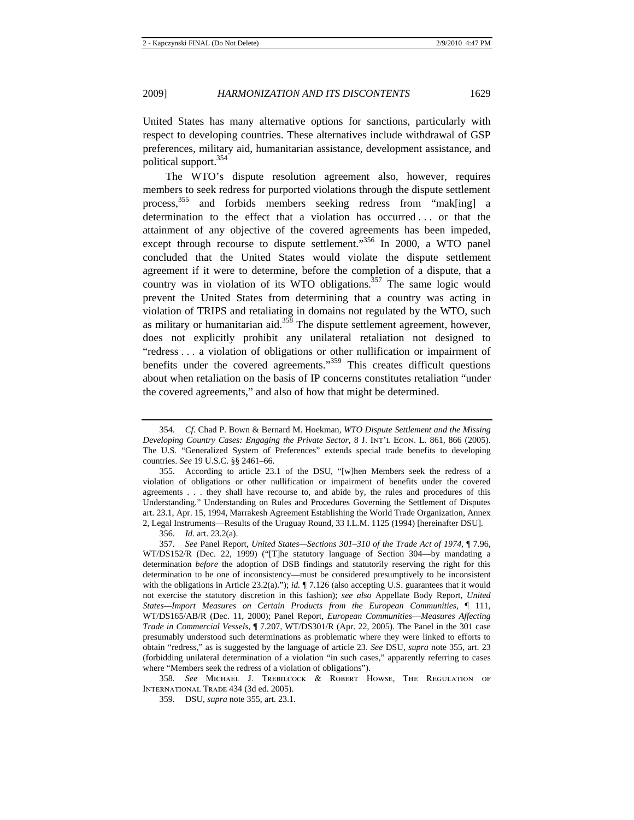United States has many alternative options for sanctions, particularly with respect to developing countries. These alternatives include withdrawal of GSP preferences, military aid, humanitarian assistance, development assistance, and political support.<sup>354</sup>

The WTO's dispute resolution agreement also, however, requires members to seek redress for purported violations through the dispute settlement process,<sup>355</sup> and forbids members seeking redress from "mak[ing] a determination to the effect that a violation has occurred . . . or that the attainment of any objective of the covered agreements has been impeded, except through recourse to dispute settlement."<sup>356</sup> In 2000, a WTO panel concluded that the United States would violate the dispute settlement agreement if it were to determine, before the completion of a dispute, that a country was in violation of its WTO obligations.<sup>357</sup> The same logic would prevent the United States from determining that a country was acting in violation of TRIPS and retaliating in domains not regulated by the WTO, such as military or humanitarian aid.<sup>358</sup> The dispute settlement agreement, however, does not explicitly prohibit any unilateral retaliation not designed to "redress . . . a violation of obligations or other nullification or impairment of benefits under the covered agreements."<sup>359</sup> This creates difficult questions about when retaliation on the basis of IP concerns constitutes retaliation "under the covered agreements," and also of how that might be determined.

356. *Id.* art. 23.2(a).

358. *See* Michael J. Trebilcock & Robert Howse, The Regulation of International Trade 434 (3d ed. 2005).

<sup>354.</sup> *Cf.* Chad P. Bown & Bernard M. Hoekman, *WTO Dispute Settlement and the Missing Developing Country Cases: Engaging the Private Sector, 8 J. INT'L ECON. L. 861, 866 (2005).* The U.S. "Generalized System of Preferences" extends special trade benefits to developing countries. *See* 19 U.S.C. §§ 2461–66.

<sup>355.</sup> According to article 23.1 of the DSU, "[w]hen Members seek the redress of a violation of obligations or other nullification or impairment of benefits under the covered agreements . . . they shall have recourse to, and abide by, the rules and procedures of this Understanding." Understanding on Rules and Procedures Governing the Settlement of Disputes art. 23.1, Apr. 15, 1994, Marrakesh Agreement Establishing the World Trade Organization, Annex 2, Legal Instruments—Results of the Uruguay Round, 33 I.L.M. 1125 (1994) [hereinafter DSU].

<sup>357.</sup> *See* Panel Report, *United States—Sections 301–310 of the Trade Act of 1974*, ¶ 7.96, WT/DS152/R (Dec. 22, 1999) ("[T]he statutory language of Section 304—by mandating a determination *before* the adoption of DSB findings and statutorily reserving the right for this determination to be one of inconsistency—must be considered presumptively to be inconsistent with the obligations in Article 23.2(a)."); *id.*  $\P$  7.126 (also accepting U.S. guarantees that it would not exercise the statutory discretion in this fashion); *see also* Appellate Body Report, *United States—Import Measures on Certain Products from the European Communities*, ¶ 111, WT/DS165/AB/R (Dec. 11, 2000); Panel Report, *European Communities*—*Measures Affecting Trade in Commercial Vessels*, ¶ 7.207, WT/DS301/R (Apr. 22, 2005). The Panel in the 301 case presumably understood such determinations as problematic where they were linked to efforts to obtain "redress," as is suggested by the language of article 23. *See* DSU, *supra* note 355, art. 23 (forbidding unilateral determination of a violation "in such cases," apparently referring to cases where "Members seek the redress of a violation of obligations").

<sup>359.</sup> DSU, *supra* note 355, art. 23.1.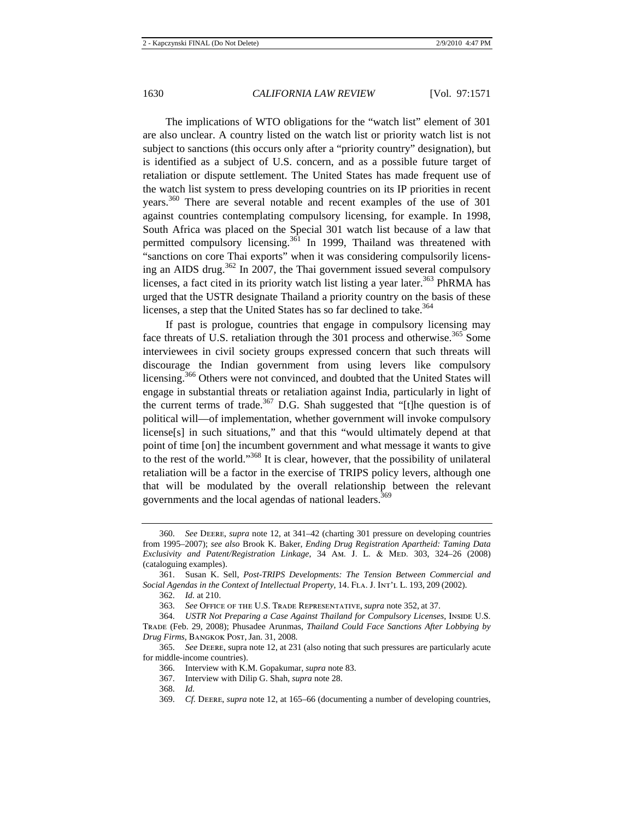The implications of WTO obligations for the "watch list" element of 301 are also unclear. A country listed on the watch list or priority watch list is not subject to sanctions (this occurs only after a "priority country" designation), but is identified as a subject of U.S. concern, and as a possible future target of retaliation or dispute settlement. The United States has made frequent use of the watch list system to press developing countries on its IP priorities in recent years.<sup>360</sup> There are several notable and recent examples of the use of 301 against countries contemplating compulsory licensing, for example. In 1998, South Africa was placed on the Special 301 watch list because of a law that permitted compulsory licensing.<sup>361</sup> In 1999, Thailand was threatened with "sanctions on core Thai exports" when it was considering compulsorily licensing an AIDS drug. $362$  In 2007, the Thai government issued several compulsory licenses, a fact cited in its priority watch list listing a year later.<sup>363</sup> PhRMA has urged that the USTR designate Thailand a priority country on the basis of these licenses, a step that the United States has so far declined to take.<sup>364</sup>

If past is prologue, countries that engage in compulsory licensing may face threats of U.S. retaliation through the 301 process and otherwise.<sup>365</sup> Some interviewees in civil society groups expressed concern that such threats will discourage the Indian government from using levers like compulsory licensing.<sup>366</sup> Others were not convinced, and doubted that the United States will engage in substantial threats or retaliation against India, particularly in light of the current terms of trade.<sup>367</sup> D.G. Shah suggested that "[t]he question is of political will—of implementation, whether government will invoke compulsory license[s] in such situations," and that this "would ultimately depend at that point of time [on] the incumbent government and what message it wants to give to the rest of the world."<sup>368</sup> It is clear, however, that the possibility of unilateral retaliation will be a factor in the exercise of TRIPS policy levers, although one that will be modulated by the overall relationship between the relevant governments and the local agendas of national leaders.<sup>369</sup>

<sup>360.</sup> *See* Deere, *supra* note 12, at 341–42 (charting 301 pressure on developing countries from 1995–2007); *see also* Brook K. Baker, *Ending Drug Registration Apartheid: Taming Data Exclusivity and Patent/Registration Linkage, 34 Am. J. L. & MED. 303, 324–26 (2008)* (cataloguing examples).

<sup>361.</sup> Susan K. Sell, *Post-TRIPS Developments: The Tension Between Commercial and*  Social Agendas in the Context of Intellectual Property, 14. FLA. J. INT'L L. 193, 209 (2002).

<sup>362.</sup> *Id.* at 210.

<sup>363.</sup> *See* Office of the U.S. Trade Representative, *supra* note 352, at 37.

<sup>364.</sup> *USTR Not Preparing a Case Against Thailand for Compulsory Licenses*, INSIDE U.S. Trade (Feb. 29, 2008); Phusadee Arunmas, *Thailand Could Face Sanctions After Lobbying by Drug Firms*, Bangkok Post, Jan. 31, 2008.

<sup>365.</sup> *See* Deere, supra note 12, at 231 (also noting that such pressures are particularly acute for middle-income countries).

<sup>366.</sup> Interview with K.M. Gopakumar, *supra* note 83.

<sup>367.</sup> Interview with Dilip G. Shah, *supra* note 28.

<sup>368.</sup> *Id.*

<sup>369.</sup> *Cf.* Deere, *supra* note 12, at 165–66 (documenting a number of developing countries,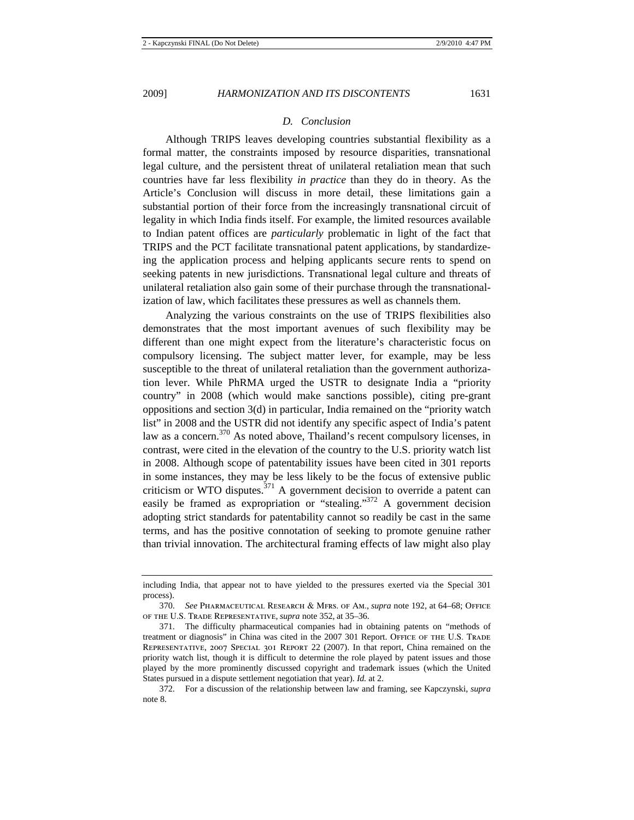#### *D. Conclusion*

Although TRIPS leaves developing countries substantial flexibility as a formal matter, the constraints imposed by resource disparities, transnational legal culture, and the persistent threat of unilateral retaliation mean that such countries have far less flexibility *in practice* than they do in theory. As the Article's Conclusion will discuss in more detail, these limitations gain a substantial portion of their force from the increasingly transnational circuit of legality in which India finds itself. For example, the limited resources available to Indian patent offices are *particularly* problematic in light of the fact that TRIPS and the PCT facilitate transnational patent applications, by standardizeing the application process and helping applicants secure rents to spend on seeking patents in new jurisdictions. Transnational legal culture and threats of unilateral retaliation also gain some of their purchase through the transnationalization of law, which facilitates these pressures as well as channels them.

Analyzing the various constraints on the use of TRIPS flexibilities also demonstrates that the most important avenues of such flexibility may be different than one might expect from the literature's characteristic focus on compulsory licensing. The subject matter lever, for example, may be less susceptible to the threat of unilateral retaliation than the government authorization lever. While PhRMA urged the USTR to designate India a "priority country" in 2008 (which would make sanctions possible), citing pre-grant oppositions and section 3(d) in particular, India remained on the "priority watch list" in 2008 and the USTR did not identify any specific aspect of India's patent law as a concern.<sup>370</sup> As noted above, Thailand's recent compulsory licenses, in contrast, were cited in the elevation of the country to the U.S. priority watch list in 2008. Although scope of patentability issues have been cited in 301 reports in some instances, they may be less likely to be the focus of extensive public criticism or WTO disputes.<sup>371</sup> A government decision to override a patent can easily be framed as expropriation or "stealing."<sup>372</sup> A government decision adopting strict standards for patentability cannot so readily be cast in the same terms, and has the positive connotation of seeking to promote genuine rather than trivial innovation. The architectural framing effects of law might also play

including India, that appear not to have yielded to the pressures exerted via the Special 301 process).

<sup>370.</sup> *See* Pharmaceutical Research & Mfrs. of Am., *supra* note 192, at 64–68; Office of the U.S. Trade Representative, *supra* note 352, at 35–36.

<sup>371.</sup> The difficulty pharmaceutical companies had in obtaining patents on "methods of treatment or diagnosis" in China was cited in the 2007 301 Report. Office of the U.S. Trade Representative, 2007 Special 301 Report 22 (2007). In that report, China remained on the priority watch list, though it is difficult to determine the role played by patent issues and those played by the more prominently discussed copyright and trademark issues (which the United States pursued in a dispute settlement negotiation that year). *Id.* at 2.

<sup>372.</sup> For a discussion of the relationship between law and framing, see Kapczynski, *supra* note 8.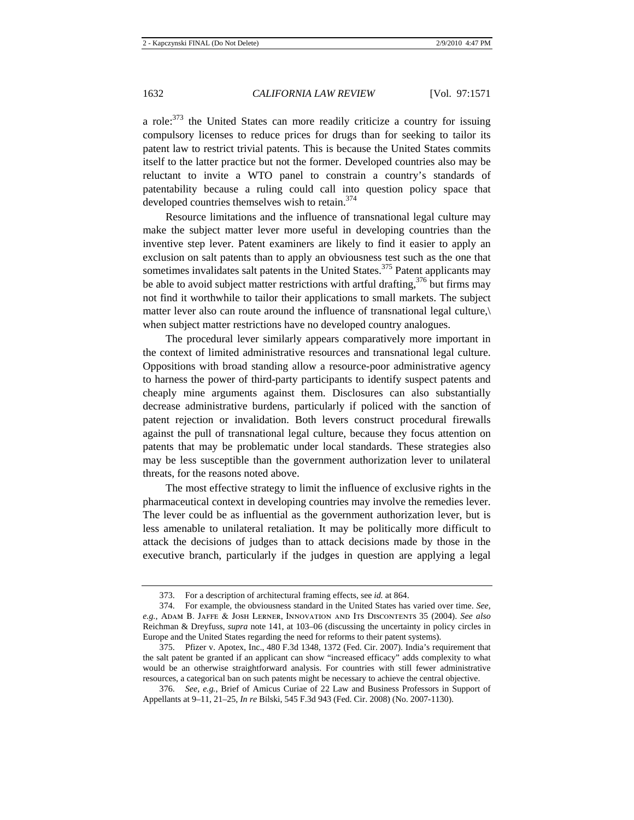a role: $373$  the United States can more readily criticize a country for issuing compulsory licenses to reduce prices for drugs than for seeking to tailor its patent law to restrict trivial patents. This is because the United States commits itself to the latter practice but not the former. Developed countries also may be reluctant to invite a WTO panel to constrain a country's standards of patentability because a ruling could call into question policy space that developed countries themselves wish to retain.<sup>374</sup>

Resource limitations and the influence of transnational legal culture may make the subject matter lever more useful in developing countries than the inventive step lever. Patent examiners are likely to find it easier to apply an exclusion on salt patents than to apply an obviousness test such as the one that sometimes invalidates salt patents in the United States.<sup>375</sup> Patent applicants may be able to avoid subject matter restrictions with artful drafting,  $376$  but firms may not find it worthwhile to tailor their applications to small markets. The subject matter lever also can route around the influence of transnational legal culture,\ when subject matter restrictions have no developed country analogues.

The procedural lever similarly appears comparatively more important in the context of limited administrative resources and transnational legal culture. Oppositions with broad standing allow a resource-poor administrative agency to harness the power of third-party participants to identify suspect patents and cheaply mine arguments against them. Disclosures can also substantially decrease administrative burdens, particularly if policed with the sanction of patent rejection or invalidation. Both levers construct procedural firewalls against the pull of transnational legal culture, because they focus attention on patents that may be problematic under local standards. These strategies also may be less susceptible than the government authorization lever to unilateral threats, for the reasons noted above.

The most effective strategy to limit the influence of exclusive rights in the pharmaceutical context in developing countries may involve the remedies lever. The lever could be as influential as the government authorization lever, but is less amenable to unilateral retaliation. It may be politically more difficult to attack the decisions of judges than to attack decisions made by those in the executive branch, particularly if the judges in question are applying a legal

<sup>373.</sup> For a description of architectural framing effects, see *id.* at 864.

<sup>374.</sup> For example, the obviousness standard in the United States has varied over time. *See, e.g.*, Adam B. Jaffe & Josh Lerner, Innovation and Its Discontents 35 (2004). *See also*  Reichman & Dreyfuss, *supra* note 141, at 103–06 (discussing the uncertainty in policy circles in Europe and the United States regarding the need for reforms to their patent systems).

<sup>375.</sup> Pfizer v. Apotex, Inc., 480 F.3d 1348, 1372 (Fed. Cir. 2007). India's requirement that the salt patent be granted if an applicant can show "increased efficacy" adds complexity to what would be an otherwise straightforward analysis. For countries with still fewer administrative resources, a categorical ban on such patents might be necessary to achieve the central objective.

<sup>376.</sup> *See, e.g.*, Brief of Amicus Curiae of 22 Law and Business Professors in Support of Appellants at 9–11, 21–25, *In re* Bilski, 545 F.3d 943 (Fed. Cir. 2008) (No. 2007-1130).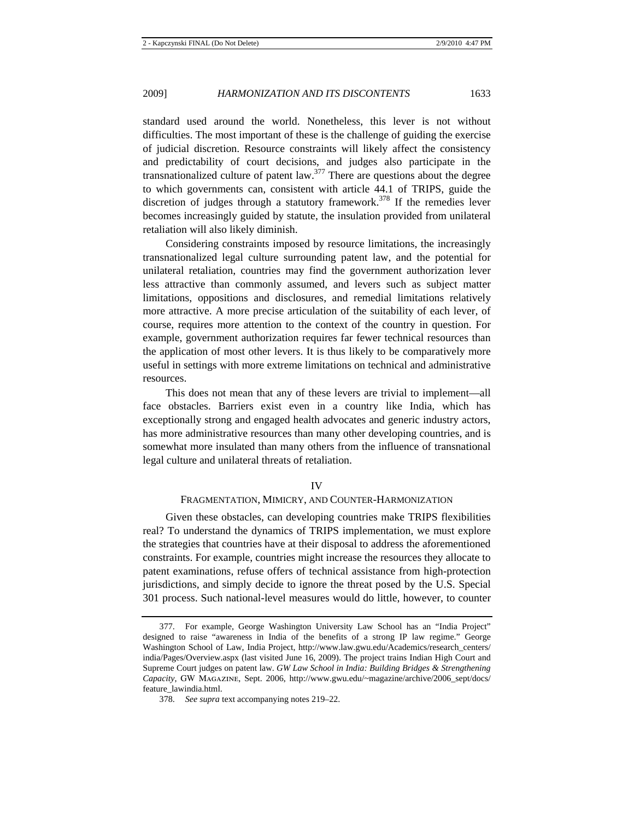standard used around the world. Nonetheless, this lever is not without difficulties. The most important of these is the challenge of guiding the exercise of judicial discretion. Resource constraints will likely affect the consistency and predictability of court decisions, and judges also participate in the transnationalized culture of patent law. $377$  There are questions about the degree to which governments can, consistent with article 44.1 of TRIPS, guide the discretion of judges through a statutory framework.<sup>378</sup> If the remedies lever becomes increasingly guided by statute, the insulation provided from unilateral retaliation will also likely diminish.

Considering constraints imposed by resource limitations, the increasingly transnationalized legal culture surrounding patent law, and the potential for unilateral retaliation, countries may find the government authorization lever less attractive than commonly assumed, and levers such as subject matter limitations, oppositions and disclosures, and remedial limitations relatively more attractive. A more precise articulation of the suitability of each lever, of course, requires more attention to the context of the country in question. For example, government authorization requires far fewer technical resources than the application of most other levers. It is thus likely to be comparatively more useful in settings with more extreme limitations on technical and administrative resources.

This does not mean that any of these levers are trivial to implement—all face obstacles. Barriers exist even in a country like India, which has exceptionally strong and engaged health advocates and generic industry actors, has more administrative resources than many other developing countries, and is somewhat more insulated than many others from the influence of transnational legal culture and unilateral threats of retaliation.

#### IV

## FRAGMENTATION, MIMICRY, AND COUNTER-HARMONIZATION

Given these obstacles, can developing countries make TRIPS flexibilities real? To understand the dynamics of TRIPS implementation, we must explore the strategies that countries have at their disposal to address the aforementioned constraints. For example, countries might increase the resources they allocate to patent examinations, refuse offers of technical assistance from high-protection jurisdictions, and simply decide to ignore the threat posed by the U.S. Special 301 process. Such national-level measures would do little, however, to counter

<sup>377.</sup> For example, George Washington University Law School has an "India Project" designed to raise "awareness in India of the benefits of a strong IP law regime." George Washington School of Law, India Project, http://www.law.gwu.edu/Academics/research\_centers/ india/Pages/Overview.aspx (last visited June 16, 2009). The project trains Indian High Court and Supreme Court judges on patent law. *GW Law School in India: Building Bridges & Strengthening Capacity*, GW Magazine, Sept. 2006, http://www.gwu.edu/~magazine/archive/2006\_sept/docs/ feature\_lawindia.html.

<sup>378.</sup> *See supra* text accompanying notes 219–22.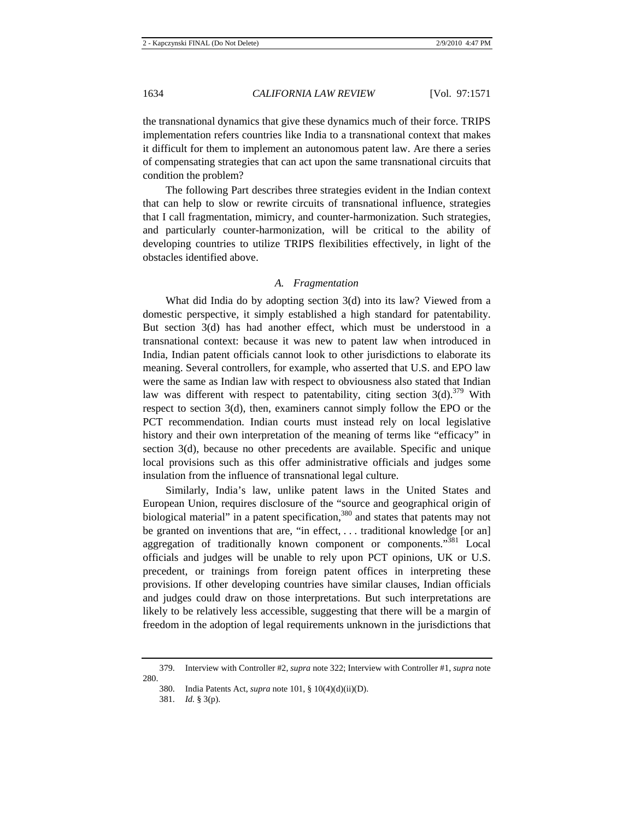the transnational dynamics that give these dynamics much of their force. TRIPS implementation refers countries like India to a transnational context that makes it difficult for them to implement an autonomous patent law. Are there a series of compensating strategies that can act upon the same transnational circuits that condition the problem?

The following Part describes three strategies evident in the Indian context that can help to slow or rewrite circuits of transnational influence, strategies that I call fragmentation, mimicry, and counter-harmonization. Such strategies, and particularly counter-harmonization, will be critical to the ability of developing countries to utilize TRIPS flexibilities effectively, in light of the obstacles identified above.

#### *A. Fragmentation*

What did India do by adopting section 3(d) into its law? Viewed from a domestic perspective, it simply established a high standard for patentability. But section 3(d) has had another effect, which must be understood in a transnational context: because it was new to patent law when introduced in India, Indian patent officials cannot look to other jurisdictions to elaborate its meaning. Several controllers, for example, who asserted that U.S. and EPO law were the same as Indian law with respect to obviousness also stated that Indian law was different with respect to patentability, citing section  $3(d)$ .<sup>379</sup> With respect to section 3(d), then, examiners cannot simply follow the EPO or the PCT recommendation. Indian courts must instead rely on local legislative history and their own interpretation of the meaning of terms like "efficacy" in section 3(d), because no other precedents are available. Specific and unique local provisions such as this offer administrative officials and judges some insulation from the influence of transnational legal culture.

Similarly, India's law, unlike patent laws in the United States and European Union, requires disclosure of the "source and geographical origin of biological material" in a patent specification,<sup>380</sup> and states that patents may not be granted on inventions that are, "in effect, . . . traditional knowledge [or an] aggregation of traditionally known component or components."381 Local officials and judges will be unable to rely upon PCT opinions, UK or U.S. precedent, or trainings from foreign patent offices in interpreting these provisions. If other developing countries have similar clauses, Indian officials and judges could draw on those interpretations. But such interpretations are likely to be relatively less accessible, suggesting that there will be a margin of freedom in the adoption of legal requirements unknown in the jurisdictions that

<sup>379.</sup> Interview with Controller #2, *supra* note 322; Interview with Controller #1, *supra* note 280.

<sup>380.</sup> India Patents Act, *supra* note 101, § 10(4)(d)(ii)(D).

<sup>381.</sup> *Id.* § 3(p).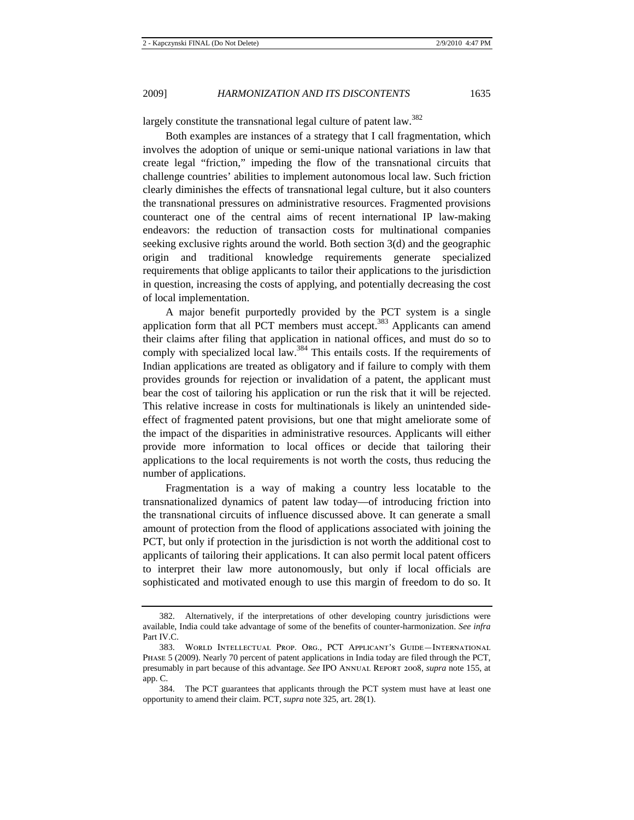largely constitute the transnational legal culture of patent law.<sup>382</sup>

Both examples are instances of a strategy that I call fragmentation, which involves the adoption of unique or semi-unique national variations in law that create legal "friction," impeding the flow of the transnational circuits that challenge countries' abilities to implement autonomous local law. Such friction clearly diminishes the effects of transnational legal culture, but it also counters the transnational pressures on administrative resources. Fragmented provisions counteract one of the central aims of recent international IP law-making endeavors: the reduction of transaction costs for multinational companies seeking exclusive rights around the world. Both section 3(d) and the geographic origin and traditional knowledge requirements generate specialized requirements that oblige applicants to tailor their applications to the jurisdiction in question, increasing the costs of applying, and potentially decreasing the cost of local implementation.

A major benefit purportedly provided by the PCT system is a single application form that all PCT members must accept.<sup>383</sup> Applicants can amend their claims after filing that application in national offices, and must do so to comply with specialized local law.<sup>384</sup> This entails costs. If the requirements of Indian applications are treated as obligatory and if failure to comply with them provides grounds for rejection or invalidation of a patent, the applicant must bear the cost of tailoring his application or run the risk that it will be rejected. This relative increase in costs for multinationals is likely an unintended sideeffect of fragmented patent provisions, but one that might ameliorate some of the impact of the disparities in administrative resources. Applicants will either provide more information to local offices or decide that tailoring their applications to the local requirements is not worth the costs, thus reducing the number of applications.

Fragmentation is a way of making a country less locatable to the transnationalized dynamics of patent law today—of introducing friction into the transnational circuits of influence discussed above. It can generate a small amount of protection from the flood of applications associated with joining the PCT, but only if protection in the jurisdiction is not worth the additional cost to applicants of tailoring their applications. It can also permit local patent officers to interpret their law more autonomously, but only if local officials are sophisticated and motivated enough to use this margin of freedom to do so. It

<sup>382.</sup> Alternatively, if the interpretations of other developing country jurisdictions were available, India could take advantage of some of the benefits of counter-harmonization. *See infra* Part IV.C.

<sup>383.</sup> World Intellectual Prop. Org., PCT Applicant's Guide—International Phase 5 (2009). Nearly 70 percent of patent applications in India today are filed through the PCT, presumably in part because of this advantage. *See* IPO Annual Report 2008, *supra* note 155, at app. C.

<sup>384.</sup> The PCT guarantees that applicants through the PCT system must have at least one opportunity to amend their claim. PCT, *supra* note 325, art. 28(1).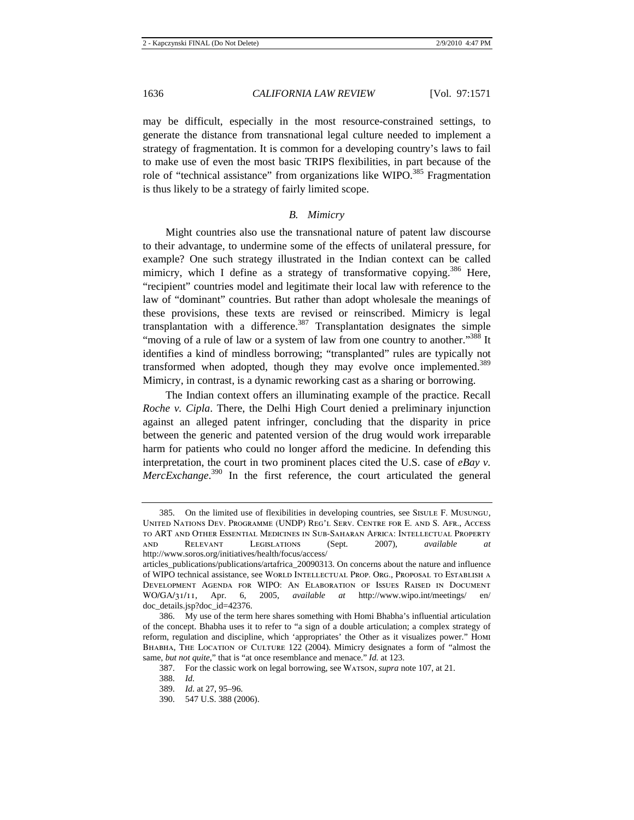may be difficult, especially in the most resource-constrained settings, to generate the distance from transnational legal culture needed to implement a strategy of fragmentation. It is common for a developing country's laws to fail to make use of even the most basic TRIPS flexibilities, in part because of the role of "technical assistance" from organizations like WIPO.<sup>385</sup> Fragmentation is thus likely to be a strategy of fairly limited scope.

#### *B. Mimicry*

Might countries also use the transnational nature of patent law discourse to their advantage, to undermine some of the effects of unilateral pressure, for example? One such strategy illustrated in the Indian context can be called mimicry, which I define as a strategy of transformative copying.<sup>386</sup> Here, "recipient" countries model and legitimate their local law with reference to the law of "dominant" countries. But rather than adopt wholesale the meanings of these provisions, these texts are revised or reinscribed. Mimicry is legal transplantation with a difference.<sup>387</sup> Transplantation designates the simple "moving of a rule of law or a system of law from one country to another."<sup>388</sup> It identifies a kind of mindless borrowing; "transplanted" rules are typically not transformed when adopted, though they may evolve once implemented.<sup>389</sup> Mimicry, in contrast, is a dynamic reworking cast as a sharing or borrowing.

The Indian context offers an illuminating example of the practice. Recall *Roche v. Cipla*. There, the Delhi High Court denied a preliminary injunction against an alleged patent infringer, concluding that the disparity in price between the generic and patented version of the drug would work irreparable harm for patients who could no longer afford the medicine. In defending this interpretation, the court in two prominent places cited the U.S. case of *eBay v. MercExchange*. 390 In the first reference, the court articulated the general

<sup>385.</sup> On the limited use of flexibilities in developing countries, see Sisule F. Musungu, United Nations Dev. Programme (UNDP) Reg'l Serv. Centre for E. and S. Afr., Access to ART and Other Essential Medicines in Sub-Saharan Africa: Intellectual Property and Relevant Legislations (Sept. 2007), *available at*  http://www.soros.org/initiatives/health/focus/access/

articles\_publications/publications/artafrica\_20090313. On concerns about the nature and influence of WIPO technical assistance, see World Intellectual Prop. Org., Proposal to Establish a Development Agenda for WIPO: An Elaboration of Issues Raised in Document WO/GA/31/11, Apr. 6, 2005, *available at* http://www.wipo.int/meetings/ doc\_details.jsp?doc\_id=42376.

<sup>386.</sup> My use of the term here shares something with Homi Bhabha's influential articulation of the concept. Bhabha uses it to refer to "a sign of a double articulation; a complex strategy of reform, regulation and discipline, which 'appropriates' the Other as it visualizes power." Homi BHABHA, THE LOCATION OF CULTURE 122 (2004). Mimicry designates a form of "almost the same, *but not quite*," that is "at once resemblance and menace." *Id.* at 123.

<sup>387.</sup> For the classic work on legal borrowing, see Watson, *supra* note 107, at 21.

<sup>388.</sup> *Id.*

<sup>389.</sup> *Id.* at 27, 95–96.

<sup>390. 547</sup> U.S. 388 (2006).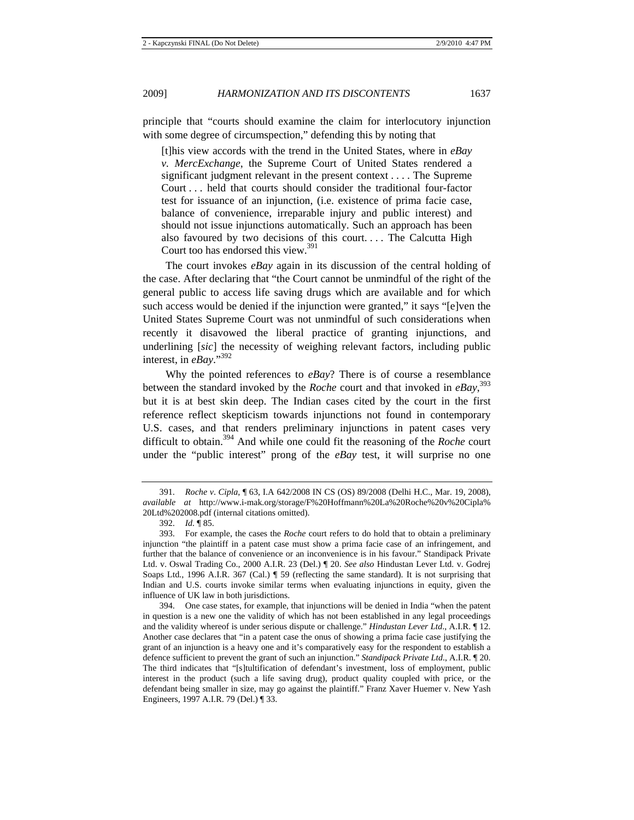principle that "courts should examine the claim for interlocutory injunction with some degree of circumspection," defending this by noting that

[t]his view accords with the trend in the United States, where in *eBay v. MercExchange*, the Supreme Court of United States rendered a significant judgment relevant in the present context . . . . The Supreme Court . . . held that courts should consider the traditional four-factor test for issuance of an injunction, (i.e. existence of prima facie case, balance of convenience, irreparable injury and public interest) and should not issue injunctions automatically. Such an approach has been also favoured by two decisions of this court. . . . The Calcutta High Court too has endorsed this view. $391$ 

The court invokes *eBay* again in its discussion of the central holding of the case. After declaring that "the Court cannot be unmindful of the right of the general public to access life saving drugs which are available and for which such access would be denied if the injunction were granted," it says "[e]ven the United States Supreme Court was not unmindful of such considerations when recently it disavowed the liberal practice of granting injunctions, and underlining [*sic*] the necessity of weighing relevant factors, including public interest, in *eBay*."392

Why the pointed references to *eBay*? There is of course a resemblance between the standard invoked by the *Roche* court and that invoked in *eBay*, 393 but it is at best skin deep. The Indian cases cited by the court in the first reference reflect skepticism towards injunctions not found in contemporary U.S. cases, and that renders preliminary injunctions in patent cases very difficult to obtain.394 And while one could fit the reasoning of the *Roche* court under the "public interest" prong of the *eBay* test, it will surprise no one

<sup>391.</sup> *Roche v*. *Cipla*, ¶ 63, I.A 642/2008 IN CS (OS) 89/2008 (Delhi H.C., Mar. 19, 2008), *available at* http://www.i-mak.org/storage/F%20Hoffmann%20La%20Roche%20v%20Cipla% 20Ltd%202008.pdf (internal citations omitted).

<sup>392.</sup> *Id.* ¶ 85.

<sup>393.</sup> For example, the cases the *Roche* court refers to do hold that to obtain a preliminary injunction "the plaintiff in a patent case must show a prima facie case of an infringement, and further that the balance of convenience or an inconvenience is in his favour." Standipack Private Ltd. v. Oswal Trading Co., 2000 A.I.R. 23 (Del.) ¶ 20. *See also* Hindustan Lever Ltd. v. Godrej Soaps Ltd., 1996 A.I.R. 367 (Cal.) ¶ 59 (reflecting the same standard). It is not surprising that Indian and U.S. courts invoke similar terms when evaluating injunctions in equity, given the influence of UK law in both jurisdictions.

<sup>394.</sup> One case states, for example, that injunctions will be denied in India "when the patent in question is a new one the validity of which has not been established in any legal proceedings and the validity whereof is under serious dispute or challenge." *Hindustan Lever Ltd*., A.I.R. ¶ 12. Another case declares that "in a patent case the onus of showing a prima facie case justifying the grant of an injunction is a heavy one and it's comparatively easy for the respondent to establish a defence sufficient to prevent the grant of such an injunction." *Standipack Private Ltd*., A.I.R. ¶ 20. The third indicates that "[s]tultification of defendant's investment, loss of employment, public interest in the product (such a life saving drug), product quality coupled with price, or the defendant being smaller in size, may go against the plaintiff." Franz Xaver Huemer v. New Yash Engineers, 1997 A.I.R. 79 (Del.) ¶ 33.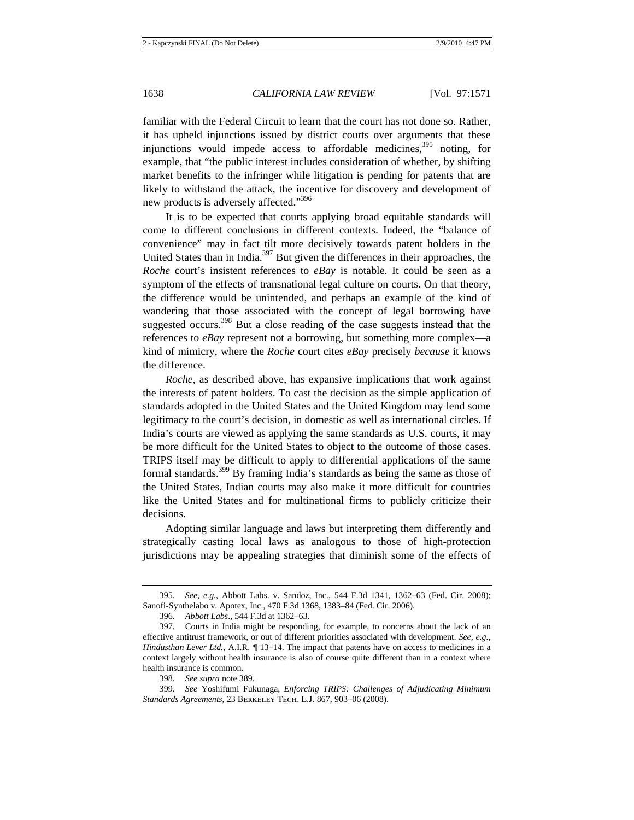familiar with the Federal Circuit to learn that the court has not done so. Rather, it has upheld injunctions issued by district courts over arguments that these injunctions would impede access to affordable medicines, $395$  noting, for example, that "the public interest includes consideration of whether, by shifting market benefits to the infringer while litigation is pending for patents that are likely to withstand the attack, the incentive for discovery and development of new products is adversely affected."<sup>396</sup>

It is to be expected that courts applying broad equitable standards will come to different conclusions in different contexts. Indeed, the "balance of convenience" may in fact tilt more decisively towards patent holders in the United States than in India.397 But given the differences in their approaches, the *Roche* court's insistent references to *eBay* is notable. It could be seen as a symptom of the effects of transnational legal culture on courts. On that theory, the difference would be unintended, and perhaps an example of the kind of wandering that those associated with the concept of legal borrowing have suggested occurs.<sup>398</sup> But a close reading of the case suggests instead that the references to *eBay* represent not a borrowing, but something more complex—a kind of mimicry, where the *Roche* court cites *eBay* precisely *because* it knows the difference.

*Roche*, as described above, has expansive implications that work against the interests of patent holders. To cast the decision as the simple application of standards adopted in the United States and the United Kingdom may lend some legitimacy to the court's decision, in domestic as well as international circles. If India's courts are viewed as applying the same standards as U.S. courts, it may be more difficult for the United States to object to the outcome of those cases. TRIPS itself may be difficult to apply to differential applications of the same formal standards.<sup>399</sup> By framing India's standards as being the same as those of the United States, Indian courts may also make it more difficult for countries like the United States and for multinational firms to publicly criticize their decisions.

Adopting similar language and laws but interpreting them differently and strategically casting local laws as analogous to those of high-protection jurisdictions may be appealing strategies that diminish some of the effects of

<sup>395.</sup> *See, e.g.*, Abbott Labs. v. Sandoz, Inc., 544 F.3d 1341, 1362–63 (Fed. Cir. 2008); Sanofi-Synthelabo v. Apotex, Inc., 470 F.3d 1368, 1383–84 (Fed. Cir. 2006).

<sup>396.</sup> *Abbott Labs*., 544 F.3d at 1362–63.

<sup>397.</sup> Courts in India might be responding, for example, to concerns about the lack of an effective antitrust framework, or out of different priorities associated with development. *See, e.g.*, *Hindusthan Lever Ltd.*, A.I.R. *¶* 13–14. The impact that patents have on access to medicines in a context largely without health insurance is also of course quite different than in a context where health insurance is common.

<sup>398.</sup> *See supra* note 389.

<sup>399.</sup> *See* Yoshifumi Fukunaga, *Enforcing TRIPS: Challenges of Adjudicating Minimum Standards Agreements*, 23 Berkeley Tech. L.J. 867, 903–06 (2008).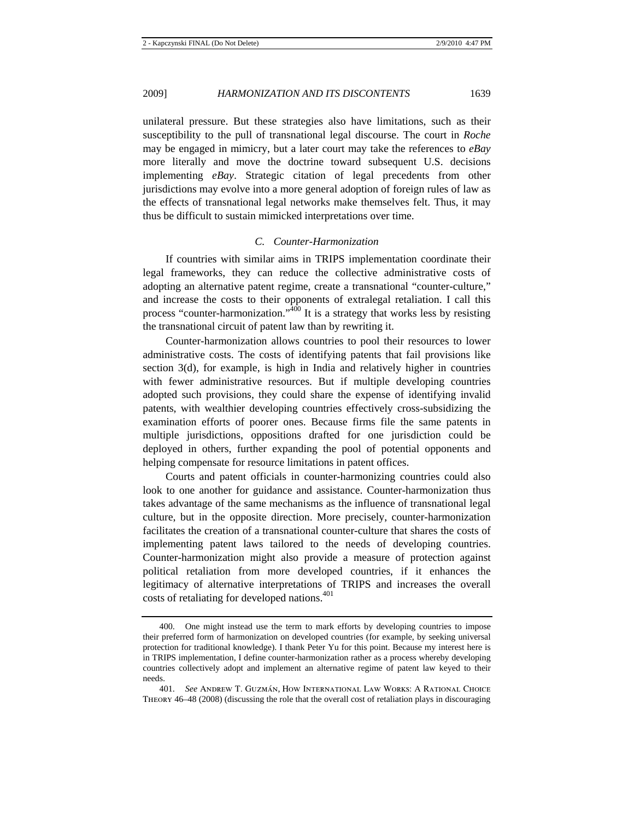unilateral pressure. But these strategies also have limitations, such as their susceptibility to the pull of transnational legal discourse. The court in *Roche* may be engaged in mimicry, but a later court may take the references to *eBay* more literally and move the doctrine toward subsequent U.S. decisions implementing *eBay*. Strategic citation of legal precedents from other jurisdictions may evolve into a more general adoption of foreign rules of law as the effects of transnational legal networks make themselves felt. Thus, it may thus be difficult to sustain mimicked interpretations over time.

## *C. Counter-Harmonization*

If countries with similar aims in TRIPS implementation coordinate their legal frameworks, they can reduce the collective administrative costs of adopting an alternative patent regime, create a transnational "counter-culture," and increase the costs to their opponents of extralegal retaliation. I call this process "counter-harmonization."400 It is a strategy that works less by resisting the transnational circuit of patent law than by rewriting it.

Counter-harmonization allows countries to pool their resources to lower administrative costs. The costs of identifying patents that fail provisions like section 3(d), for example, is high in India and relatively higher in countries with fewer administrative resources. But if multiple developing countries adopted such provisions, they could share the expense of identifying invalid patents, with wealthier developing countries effectively cross-subsidizing the examination efforts of poorer ones. Because firms file the same patents in multiple jurisdictions, oppositions drafted for one jurisdiction could be deployed in others, further expanding the pool of potential opponents and helping compensate for resource limitations in patent offices.

Courts and patent officials in counter-harmonizing countries could also look to one another for guidance and assistance. Counter-harmonization thus takes advantage of the same mechanisms as the influence of transnational legal culture, but in the opposite direction. More precisely, counter-harmonization facilitates the creation of a transnational counter-culture that shares the costs of implementing patent laws tailored to the needs of developing countries. Counter-harmonization might also provide a measure of protection against political retaliation from more developed countries, if it enhances the legitimacy of alternative interpretations of TRIPS and increases the overall costs of retaliating for developed nations.<sup>401</sup>

<sup>400.</sup> One might instead use the term to mark efforts by developing countries to impose their preferred form of harmonization on developed countries (for example, by seeking universal protection for traditional knowledge). I thank Peter Yu for this point. Because my interest here is in TRIPS implementation, I define counter-harmonization rather as a process whereby developing countries collectively adopt and implement an alternative regime of patent law keyed to their needs.

<sup>401.</sup> *See* Andrew T. Guzmán, How International Law Works: A Rational Choice Theory 46–48 (2008) (discussing the role that the overall cost of retaliation plays in discouraging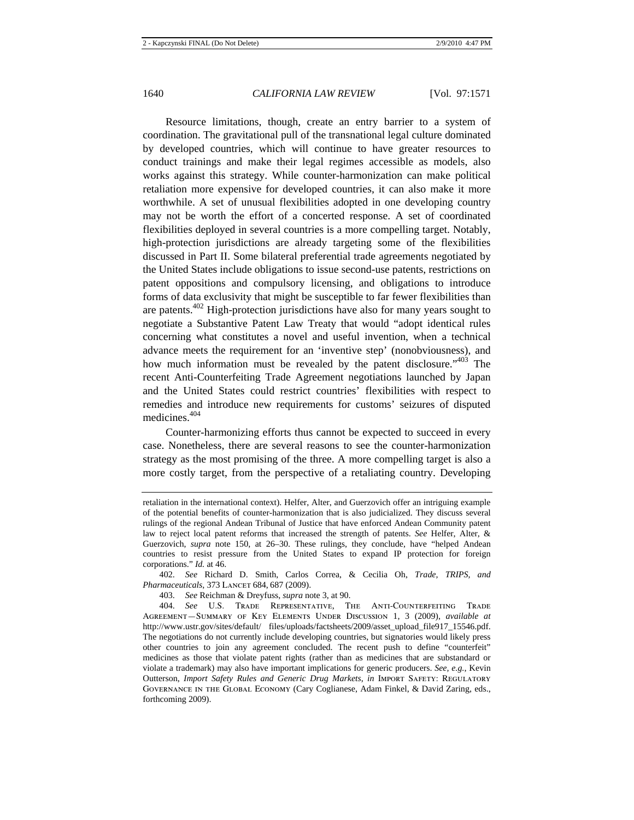Resource limitations, though, create an entry barrier to a system of coordination. The gravitational pull of the transnational legal culture dominated by developed countries, which will continue to have greater resources to conduct trainings and make their legal regimes accessible as models, also works against this strategy. While counter-harmonization can make political retaliation more expensive for developed countries, it can also make it more worthwhile. A set of unusual flexibilities adopted in one developing country may not be worth the effort of a concerted response. A set of coordinated flexibilities deployed in several countries is a more compelling target. Notably, high-protection jurisdictions are already targeting some of the flexibilities discussed in Part II. Some bilateral preferential trade agreements negotiated by the United States include obligations to issue second-use patents, restrictions on patent oppositions and compulsory licensing, and obligations to introduce forms of data exclusivity that might be susceptible to far fewer flexibilities than are patents.402 High-protection jurisdictions have also for many years sought to negotiate a Substantive Patent Law Treaty that would "adopt identical rules concerning what constitutes a novel and useful invention, when a technical advance meets the requirement for an 'inventive step' (nonobviousness), and how much information must be revealed by the patent disclosure.<sup>1403</sup> The recent Anti-Counterfeiting Trade Agreement negotiations launched by Japan and the United States could restrict countries' flexibilities with respect to remedies and introduce new requirements for customs' seizures of disputed medicines.404

Counter-harmonizing efforts thus cannot be expected to succeed in every case. Nonetheless, there are several reasons to see the counter-harmonization strategy as the most promising of the three. A more compelling target is also a more costly target, from the perspective of a retaliating country. Developing

402. *See* Richard D. Smith, Carlos Correa, & Cecilia Oh, *Trade, TRIPS, and*  Pharmaceuticals, 373 LANCET 684, 687 (2009).

403. *See* Reichman & Dreyfuss, *supra* note 3, at 90.

retaliation in the international context). Helfer, Alter, and Guerzovich offer an intriguing example of the potential benefits of counter-harmonization that is also judicialized. They discuss several rulings of the regional Andean Tribunal of Justice that have enforced Andean Community patent law to reject local patent reforms that increased the strength of patents. *See* Helfer, Alter, & Guerzovich, *supra* note 150, at 26–30. These rulings, they conclude, have "helped Andean countries to resist pressure from the United States to expand IP protection for foreign corporations." *Id.* at 46.

<sup>404.</sup> *See* U.S. Trade Representative, The Anti-Counterfeiting Trade Agreement—Summary of Key Elements Under Discussion 1, 3 (2009), *available at*  http://www.ustr.gov/sites/default/ files/uploads/factsheets/2009/asset\_upload\_file917\_15546.pdf. The negotiations do not currently include developing countries, but signatories would likely press other countries to join any agreement concluded. The recent push to define "counterfeit" medicines as those that violate patent rights (rather than as medicines that are substandard or violate a trademark) may also have important implications for generic producers. *See, e.g.*, Kevin Outterson, *Import Safety Rules and Generic Drug Markets*, *in* Import Safety: Regulatory Governance in the Global Economy (Cary Coglianese, Adam Finkel, & David Zaring, eds., forthcoming 2009).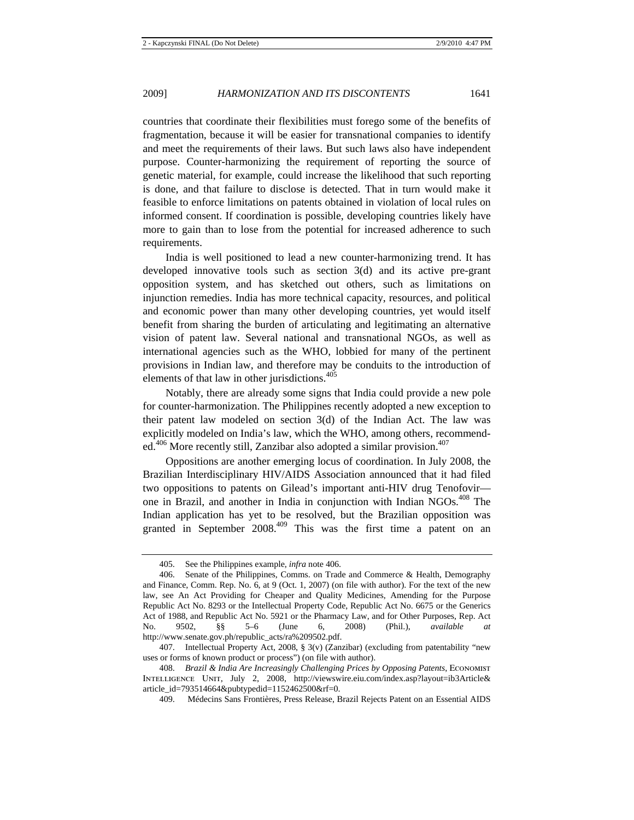countries that coordinate their flexibilities must forego some of the benefits of fragmentation, because it will be easier for transnational companies to identify and meet the requirements of their laws. But such laws also have independent purpose. Counter-harmonizing the requirement of reporting the source of genetic material, for example, could increase the likelihood that such reporting is done, and that failure to disclose is detected. That in turn would make it feasible to enforce limitations on patents obtained in violation of local rules on informed consent. If coordination is possible, developing countries likely have more to gain than to lose from the potential for increased adherence to such requirements.

India is well positioned to lead a new counter-harmonizing trend. It has developed innovative tools such as section 3(d) and its active pre-grant opposition system, and has sketched out others, such as limitations on injunction remedies. India has more technical capacity, resources, and political and economic power than many other developing countries, yet would itself benefit from sharing the burden of articulating and legitimating an alternative vision of patent law. Several national and transnational NGOs, as well as international agencies such as the WHO, lobbied for many of the pertinent provisions in Indian law, and therefore may be conduits to the introduction of elements of that law in other jurisdictions.405

Notably, there are already some signs that India could provide a new pole for counter-harmonization. The Philippines recently adopted a new exception to their patent law modeled on section 3(d) of the Indian Act. The law was explicitly modeled on India's law, which the WHO, among others, recommended.<sup>406</sup> More recently still, Zanzibar also adopted a similar provision.<sup>407</sup>

Oppositions are another emerging locus of coordination. In July 2008, the Brazilian Interdisciplinary HIV/AIDS Association announced that it had filed two oppositions to patents on Gilead's important anti-HIV drug Tenofovir one in Brazil, and another in India in conjunction with Indian NGOs.<sup>408</sup> The Indian application has yet to be resolved, but the Brazilian opposition was granted in September  $2008^{409}$  This was the first time a patent on an

<sup>405.</sup> See the Philippines example, *infra* note 406.

<sup>406.</sup> Senate of the Philippines, Comms. on Trade and Commerce & Health, Demography and Finance, Comm. Rep. No. 6, at 9 (Oct. 1, 2007) (on file with author). For the text of the new law, see An Act Providing for Cheaper and Quality Medicines, Amending for the Purpose Republic Act No. 8293 or the Intellectual Property Code, Republic Act No. 6675 or the Generics Act of 1988, and Republic Act No. 5921 or the Pharmacy Law, and for Other Purposes, Rep. Act No. 9502, §§ 5–6 (June 6, 2008) (Phil.), *available at* http://www.senate.gov.ph/republic\_acts/ra%209502.pdf.

<sup>407.</sup> Intellectual Property Act, 2008, § 3(v) (Zanzibar) (excluding from patentability "new uses or forms of known product or process") (on file with author).

<sup>408.</sup> *Brazil & India Are Increasingly Challenging Prices by Opposing Patents*, Economist Intelligence Unit, July 2, 2008, http://viewswire.eiu.com/index.asp?layout=ib3Article& article\_id=793514664&pubtypedid=1152462500&rf=0.

<sup>409.</sup> Médecins Sans Frontières, Press Release, Brazil Rejects Patent on an Essential AIDS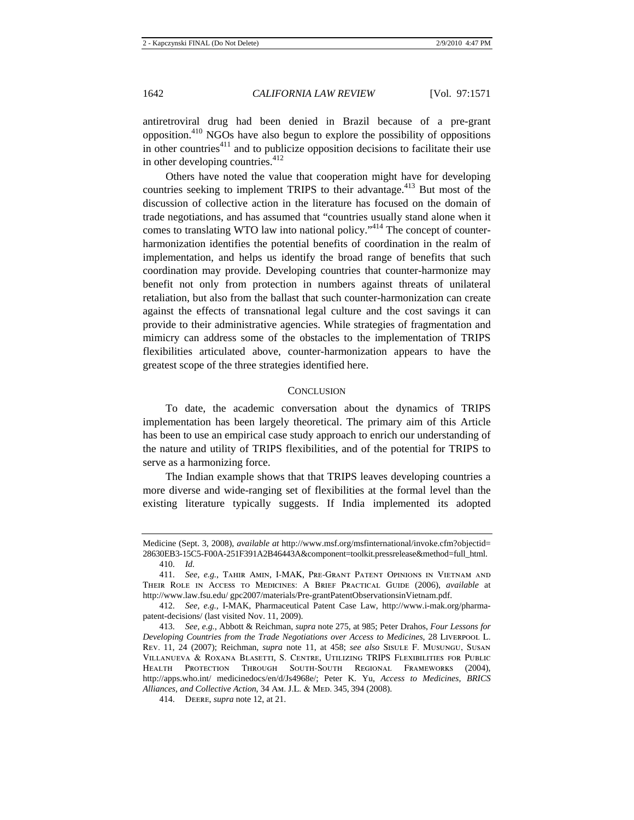antiretroviral drug had been denied in Brazil because of a pre-grant opposition.410 NGOs have also begun to explore the possibility of oppositions in other countries<sup>411</sup> and to publicize opposition decisions to facilitate their use in other developing countries. $412$ 

Others have noted the value that cooperation might have for developing countries seeking to implement TRIPS to their advantage.<sup>413</sup> But most of the discussion of collective action in the literature has focused on the domain of trade negotiations, and has assumed that "countries usually stand alone when it comes to translating WTO law into national policy."<sup>414</sup> The concept of counterharmonization identifies the potential benefits of coordination in the realm of implementation, and helps us identify the broad range of benefits that such coordination may provide. Developing countries that counter-harmonize may benefit not only from protection in numbers against threats of unilateral retaliation, but also from the ballast that such counter-harmonization can create against the effects of transnational legal culture and the cost savings it can provide to their administrative agencies. While strategies of fragmentation and mimicry can address some of the obstacles to the implementation of TRIPS flexibilities articulated above, counter-harmonization appears to have the greatest scope of the three strategies identified here.

#### **CONCLUSION**

To date, the academic conversation about the dynamics of TRIPS implementation has been largely theoretical. The primary aim of this Article has been to use an empirical case study approach to enrich our understanding of the nature and utility of TRIPS flexibilities, and of the potential for TRIPS to serve as a harmonizing force.

The Indian example shows that that TRIPS leaves developing countries a more diverse and wide-ranging set of flexibilities at the formal level than the existing literature typically suggests. If India implemented its adopted

Medicine (Sept. 3, 2008), *available at* http://www.msf.org/msfinternational/invoke.cfm?objectid= 28630EB3-15C5-F00A-251F391A2B46443A&component=toolkit.pressrelease&method=full\_html.

<sup>410.</sup> *Id.*

<sup>411.</sup> *See, e.g.*, Tahir Amin, I-MAK, Pre-Grant Patent Opinions in Vietnam and Their Role in Access to Medicines: A Brief Practical Guide (2006), *available* at http://www.law.fsu.edu/ gpc2007/materials/Pre-grantPatentObservationsinVietnam.pdf.

<sup>412.</sup> *See, e.g.*, I-MAK, Pharmaceutical Patent Case Law, http://www.i-mak.org/pharmapatent-decisions/ (last visited Nov. 11, 2009).

<sup>413.</sup> *See, e.g.*, Abbott & Reichman, *supra* note 275, at 985; Peter Drahos, *Four Lessons for Developing Countries from the Trade Negotiations over Access to Medicines*, 28 Liverpool L. Rev. 11, 24 (2007); Reichman, *supra* note 11, at 458; *see also* Sisule F. Musungu, Susan Villanueva & Roxana Blasetti, S. Centre, Utilizing TRIPS Flexibilities for Public Health Protection Through South-South Regional Frameworks (2004), http://apps.who.int/ medicinedocs/en/d/Js4968e/; Peter K. Yu, *Access to Medicines, BRICS*  Alliances, and Collective Action, 34 Am. J.L. & MED. 345, 394 (2008).

<sup>414.</sup> Deere, *supra* note 12, at 21.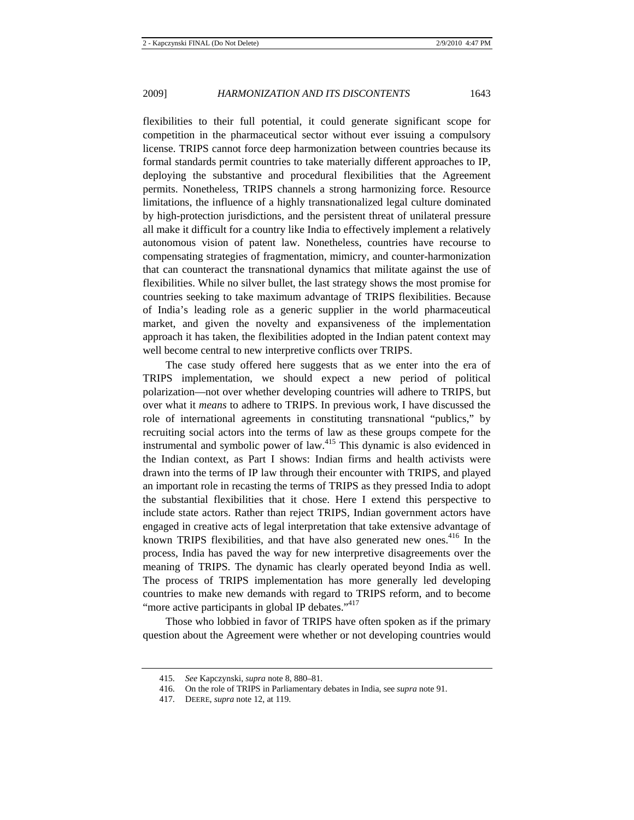flexibilities to their full potential, it could generate significant scope for competition in the pharmaceutical sector without ever issuing a compulsory license. TRIPS cannot force deep harmonization between countries because its formal standards permit countries to take materially different approaches to IP, deploying the substantive and procedural flexibilities that the Agreement permits. Nonetheless, TRIPS channels a strong harmonizing force. Resource limitations, the influence of a highly transnationalized legal culture dominated by high-protection jurisdictions, and the persistent threat of unilateral pressure all make it difficult for a country like India to effectively implement a relatively autonomous vision of patent law. Nonetheless, countries have recourse to compensating strategies of fragmentation, mimicry, and counter-harmonization that can counteract the transnational dynamics that militate against the use of flexibilities. While no silver bullet, the last strategy shows the most promise for countries seeking to take maximum advantage of TRIPS flexibilities. Because of India's leading role as a generic supplier in the world pharmaceutical market, and given the novelty and expansiveness of the implementation approach it has taken, the flexibilities adopted in the Indian patent context may well become central to new interpretive conflicts over TRIPS.

The case study offered here suggests that as we enter into the era of TRIPS implementation, we should expect a new period of political polarization—not over whether developing countries will adhere to TRIPS, but over what it *means* to adhere to TRIPS. In previous work, I have discussed the role of international agreements in constituting transnational "publics," by recruiting social actors into the terms of law as these groups compete for the instrumental and symbolic power of law.<sup>415</sup> This dynamic is also evidenced in the Indian context, as Part I shows: Indian firms and health activists were drawn into the terms of IP law through their encounter with TRIPS, and played an important role in recasting the terms of TRIPS as they pressed India to adopt the substantial flexibilities that it chose. Here I extend this perspective to include state actors. Rather than reject TRIPS, Indian government actors have engaged in creative acts of legal interpretation that take extensive advantage of known TRIPS flexibilities, and that have also generated new ones. $416$  In the process, India has paved the way for new interpretive disagreements over the meaning of TRIPS. The dynamic has clearly operated beyond India as well. The process of TRIPS implementation has more generally led developing countries to make new demands with regard to TRIPS reform, and to become "more active participants in global IP debates."<sup>417</sup>

Those who lobbied in favor of TRIPS have often spoken as if the primary question about the Agreement were whether or not developing countries would

<sup>415.</sup> *See* Kapczynski, *supra* note 8, 880–81.

<sup>416.</sup> On the role of TRIPS in Parliamentary debates in India, see *supra* note 91.

<sup>417.</sup> DEERE, *supra* note 12, at 119.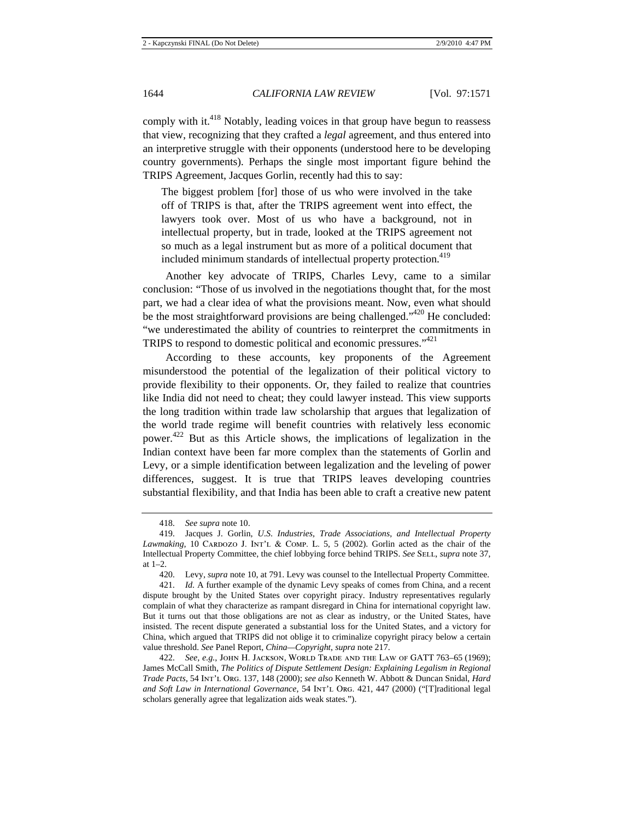comply with it.<sup>418</sup> Notably, leading voices in that group have begun to reassess that view, recognizing that they crafted a *legal* agreement, and thus entered into an interpretive struggle with their opponents (understood here to be developing country governments). Perhaps the single most important figure behind the TRIPS Agreement, Jacques Gorlin, recently had this to say:

The biggest problem [for] those of us who were involved in the take off of TRIPS is that, after the TRIPS agreement went into effect, the lawyers took over. Most of us who have a background, not in intellectual property, but in trade, looked at the TRIPS agreement not so much as a legal instrument but as more of a political document that included minimum standards of intellectual property protection.<sup>419</sup>

Another key advocate of TRIPS, Charles Levy, came to a similar conclusion: "Those of us involved in the negotiations thought that, for the most part, we had a clear idea of what the provisions meant. Now, even what should be the most straightforward provisions are being challenged."<sup>420</sup> He concluded: "we underestimated the ability of countries to reinterpret the commitments in TRIPS to respond to domestic political and economic pressures."<sup>421</sup>

According to these accounts, key proponents of the Agreement misunderstood the potential of the legalization of their political victory to provide flexibility to their opponents. Or, they failed to realize that countries like India did not need to cheat; they could lawyer instead. This view supports the long tradition within trade law scholarship that argues that legalization of the world trade regime will benefit countries with relatively less economic power. 422 But as this Article shows, the implications of legalization in the Indian context have been far more complex than the statements of Gorlin and Levy, or a simple identification between legalization and the leveling of power differences, suggest. It is true that TRIPS leaves developing countries substantial flexibility, and that India has been able to craft a creative new patent

<sup>418.</sup> *See supra* note 10.

<sup>419.</sup> Jacques J. Gorlin, *U*.*S*. *Industries, Trade Associations, and Intellectual Property Lawmaking*, 10 CARDOZO J. INT'L & COMP. L. 5, 5 (2002). Gorlin acted as the chair of the Intellectual Property Committee, the chief lobbying force behind TRIPS. *See* SELL, *supra* note 37, at 1–2.

<sup>420.</sup> Levy, *supra* note 10, at 791. Levy was counsel to the Intellectual Property Committee.

<sup>421.</sup> *Id.* A further example of the dynamic Levy speaks of comes from China, and a recent dispute brought by the United States over copyright piracy. Industry representatives regularly complain of what they characterize as rampant disregard in China for international copyright law. But it turns out that those obligations are not as clear as industry, or the United States, have insisted. The recent dispute generated a substantial loss for the United States, and a victory for China, which argued that TRIPS did not oblige it to criminalize copyright piracy below a certain value threshold. *See* Panel Report, *China—Copyright*, *supra* note 217.

<sup>422.</sup> *See, e.g.*, John H. Jackson, World Trade and the Law of GATT 763–65 (1969); James McCall Smith, *The Politics of Dispute Settlement Design: Explaining Legalism in Regional Trade Pacts*, 54 Int'l Org. 137, 148 (2000); *see also* Kenneth W. Abbott & Duncan Snidal, *Hard and Soft Law in International Governance*, 54 Int'l Org. 421, 447 (2000) ("[T]raditional legal scholars generally agree that legalization aids weak states.").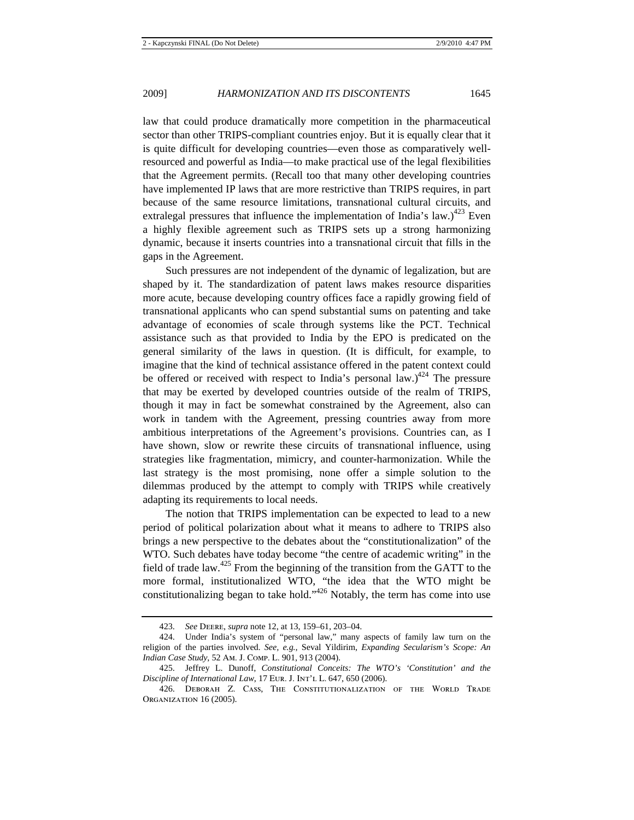law that could produce dramatically more competition in the pharmaceutical sector than other TRIPS-compliant countries enjoy. But it is equally clear that it is quite difficult for developing countries—even those as comparatively wellresourced and powerful as India—to make practical use of the legal flexibilities that the Agreement permits. (Recall too that many other developing countries have implemented IP laws that are more restrictive than TRIPS requires, in part because of the same resource limitations, transnational cultural circuits, and extralegal pressures that influence the implementation of India's law.)<sup>423</sup> Even a highly flexible agreement such as TRIPS sets up a strong harmonizing dynamic, because it inserts countries into a transnational circuit that fills in the gaps in the Agreement.

Such pressures are not independent of the dynamic of legalization, but are shaped by it. The standardization of patent laws makes resource disparities more acute, because developing country offices face a rapidly growing field of transnational applicants who can spend substantial sums on patenting and take advantage of economies of scale through systems like the PCT. Technical assistance such as that provided to India by the EPO is predicated on the general similarity of the laws in question. (It is difficult, for example, to imagine that the kind of technical assistance offered in the patent context could be offered or received with respect to India's personal law.)<sup>424</sup> The pressure that may be exerted by developed countries outside of the realm of TRIPS, though it may in fact be somewhat constrained by the Agreement, also can work in tandem with the Agreement, pressing countries away from more ambitious interpretations of the Agreement's provisions. Countries can, as I have shown, slow or rewrite these circuits of transnational influence, using strategies like fragmentation, mimicry, and counter-harmonization. While the last strategy is the most promising, none offer a simple solution to the dilemmas produced by the attempt to comply with TRIPS while creatively adapting its requirements to local needs.

The notion that TRIPS implementation can be expected to lead to a new period of political polarization about what it means to adhere to TRIPS also brings a new perspective to the debates about the "constitutionalization" of the WTO. Such debates have today become "the centre of academic writing" in the field of trade law.<sup>425</sup> From the beginning of the transition from the GATT to the more formal, institutionalized WTO, "the idea that the WTO might be constitutionalizing began to take hold."426 Notably, the term has come into use

<sup>423.</sup> *See* Deere, *supra* note 12, at 13, 159–61, 203–04.

<sup>424.</sup> Under India's system of "personal law," many aspects of family law turn on the religion of the parties involved. *See, e.g.*, Seval Yildirim, *Expanding Secularism's Scope: An Indian Case Study*, 52 Am. J. Comp. L. 901, 913 (2004).

<sup>425.</sup> Jeffrey L. Dunoff, *Constitutional Conceits: The WTO's 'Constitution' and the Discipline of International Law*, 17 EUR. J. INT'L L. 647, 650 (2006).

<sup>426.</sup> Deborah Z. Cass, The Constitutionalization of the World Trade ORGANIZATION 16 (2005).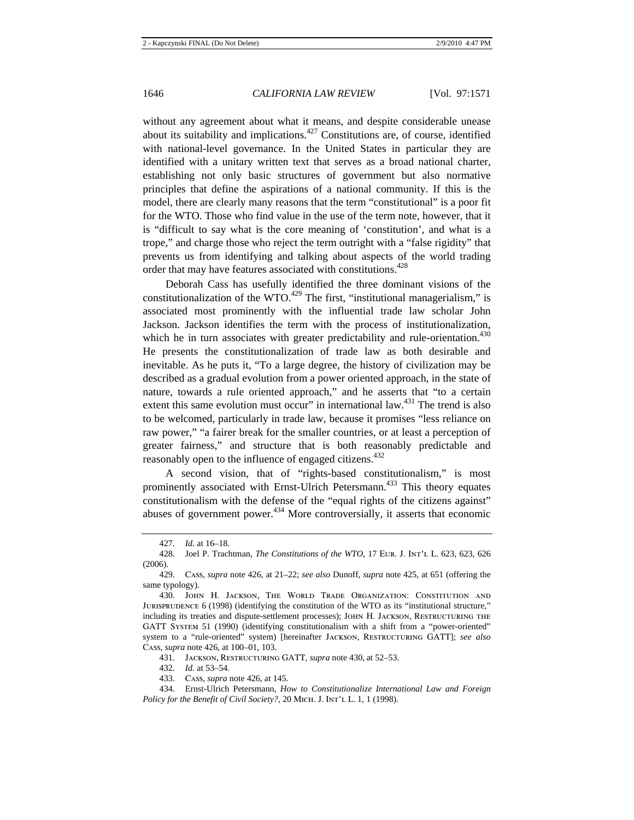without any agreement about what it means, and despite considerable unease about its suitability and implications.427 Constitutions are, of course, identified with national-level governance. In the United States in particular they are identified with a unitary written text that serves as a broad national charter, establishing not only basic structures of government but also normative principles that define the aspirations of a national community. If this is the model, there are clearly many reasons that the term "constitutional" is a poor fit for the WTO. Those who find value in the use of the term note, however, that it is "difficult to say what is the core meaning of 'constitution', and what is a trope," and charge those who reject the term outright with a "false rigidity" that prevents us from identifying and talking about aspects of the world trading order that may have features associated with constitutions.<sup>428</sup>

Deborah Cass has usefully identified the three dominant visions of the constitutionalization of the WTO.<sup>429</sup> The first, "institutional managerialism," is associated most prominently with the influential trade law scholar John Jackson. Jackson identifies the term with the process of institutionalization, which he in turn associates with greater predictability and rule-orientation.<sup>430</sup> He presents the constitutionalization of trade law as both desirable and inevitable. As he puts it, "To a large degree, the history of civilization may be described as a gradual evolution from a power oriented approach, in the state of nature, towards a rule oriented approach," and he asserts that "to a certain extent this same evolution must occur" in international law.<sup>431</sup> The trend is also to be welcomed, particularly in trade law, because it promises "less reliance on raw power," "a fairer break for the smaller countries, or at least a perception of greater fairness," and structure that is both reasonably predictable and reasonably open to the influence of engaged citizens.<sup>432</sup>

A second vision, that of "rights-based constitutionalism," is most prominently associated with Ernst-Ulrich Petersmann.<sup>433</sup> This theory equates constitutionalism with the defense of the "equal rights of the citizens against" abuses of government power.<sup>434</sup> More controversially, it asserts that economic

432. *Id.* at 53–54.

<sup>427.</sup> *Id.* at 16–18.

<sup>428.</sup> Joel P. Trachtman, *The Constitutions of the WTO*, 17 Eur. J. Int'l L. 623, 623, 626 (2006).

<sup>429.</sup> Cass, *supra* note 426, at 21–22; *see also* Dunoff, *supra* note 425, at 651 (offering the same typology).

<sup>430.</sup> John H. Jackson, The World Trade Organization: Constitution and JURISPRUDENCE 6 (1998) (identifying the constitution of the WTO as its "institutional structure," including its treaties and dispute-settlement processes); John H. Jackson, Restructuring the GATT System 51 (1990) (identifying constitutionalism with a shift from a "power-oriented" system to a "rule-oriented" system) [hereinafter Jackson, Restructuring GATT]; *see also*  Cass, *supra* note 426, at 100–01, 103.

<sup>431.</sup> Jackson, Restructuring GATT, *supra* note 430, at 52–53.

<sup>433.</sup> Cass, *supra* note 426, at 145.

<sup>434.</sup> Ernst-Ulrich Petersmann, *How to Constitutionalize International Law and Foreign Policy for the Benefit of Civil Society?*, 20 MICH. J. INT'L L. 1, 1 (1998).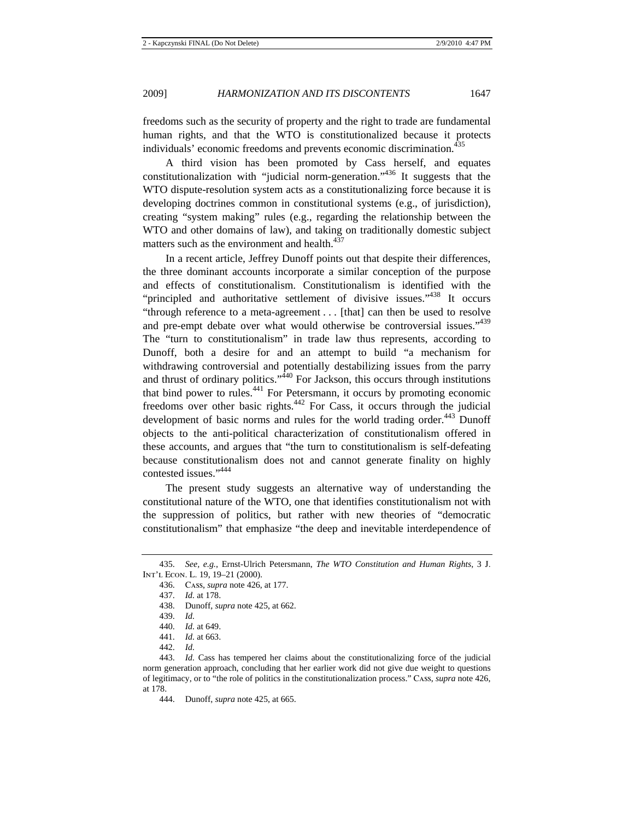freedoms such as the security of property and the right to trade are fundamental human rights, and that the WTO is constitutionalized because it protects individuals' economic freedoms and prevents economic discrimination.<sup>435</sup>

A third vision has been promoted by Cass herself, and equates constitutionalization with "judicial norm-generation."436 It suggests that the WTO dispute-resolution system acts as a constitutionalizing force because it is developing doctrines common in constitutional systems (e.g., of jurisdiction), creating "system making" rules (e.g., regarding the relationship between the WTO and other domains of law), and taking on traditionally domestic subject matters such as the environment and health.<sup>437</sup>

In a recent article, Jeffrey Dunoff points out that despite their differences, the three dominant accounts incorporate a similar conception of the purpose and effects of constitutionalism. Constitutionalism is identified with the "principled and authoritative settlement of divisive issues."<sup>438</sup> It occurs "through reference to a meta-agreement . . . [that] can then be used to resolve and pre-empt debate over what would otherwise be controversial issues."<sup>439</sup> The "turn to constitutionalism" in trade law thus represents, according to Dunoff, both a desire for and an attempt to build "a mechanism for withdrawing controversial and potentially destabilizing issues from the parry and thrust of ordinary politics."<sup>440</sup> For Jackson, this occurs through institutions that bind power to rules.<sup>441</sup> For Petersmann, it occurs by promoting economic freedoms over other basic rights.442 For Cass, it occurs through the judicial development of basic norms and rules for the world trading order.<sup>443</sup> Dunoff objects to the anti-political characterization of constitutionalism offered in these accounts, and argues that "the turn to constitutionalism is self-defeating because constitutionalism does not and cannot generate finality on highly contested issues."444

The present study suggests an alternative way of understanding the constitutional nature of the WTO, one that identifies constitutionalism not with the suppression of politics, but rather with new theories of "democratic constitutionalism" that emphasize "the deep and inevitable interdependence of

438. Dunoff, *supra* note 425, at 662.

442. *Id.*

<sup>435.</sup> *See, e.g.*, Ernst-Ulrich Petersmann, *The WTO Constitution and Human Rights*, 3 J. Int'l Econ. L. 19, 19–21 (2000).

<sup>436.</sup> Cass, *supra* note 426, at 177.

<sup>437.</sup> *Id.* at 178.

<sup>439.</sup> *Id.*

<sup>440.</sup> *Id.* at 649.

<sup>441.</sup> *Id.* at 663.

<sup>443.</sup> *Id.* Cass has tempered her claims about the constitutionalizing force of the judicial norm generation approach, concluding that her earlier work did not give due weight to questions of legitimacy, or to "the role of politics in the constitutionalization process." Cass, *supra* note 426, at 178.

<sup>444.</sup> Dunoff, *supra* note 425, at 665.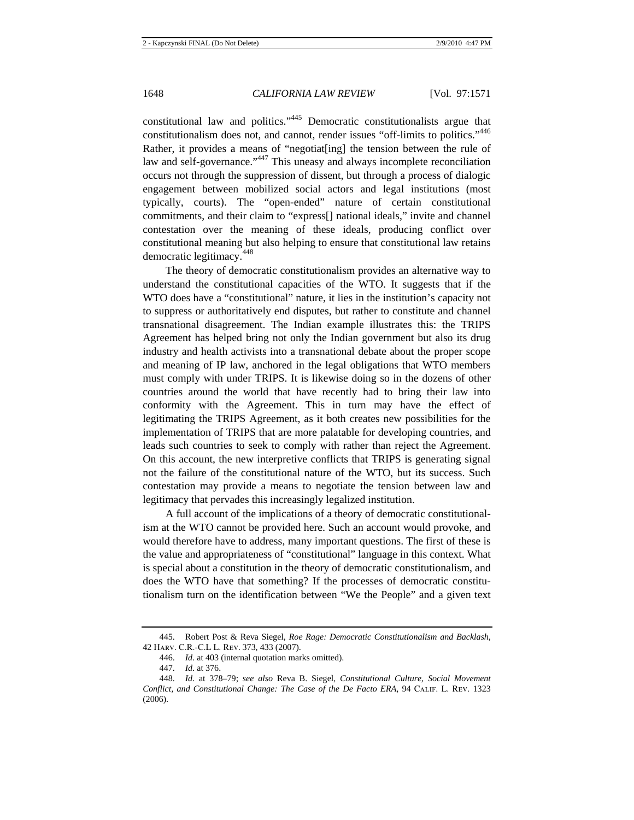constitutional law and politics."445 Democratic constitutionalists argue that constitutionalism does not, and cannot, render issues "off-limits to politics."<sup>446</sup> Rather, it provides a means of "negotiat[ing] the tension between the rule of law and self-governance."<sup>447</sup> This uneasy and always incomplete reconciliation occurs not through the suppression of dissent, but through a process of dialogic engagement between mobilized social actors and legal institutions (most typically, courts). The "open-ended" nature of certain constitutional commitments, and their claim to "express[] national ideals," invite and channel contestation over the meaning of these ideals, producing conflict over constitutional meaning but also helping to ensure that constitutional law retains democratic legitimacy.<sup>448</sup>

The theory of democratic constitutionalism provides an alternative way to understand the constitutional capacities of the WTO. It suggests that if the WTO does have a "constitutional" nature, it lies in the institution's capacity not to suppress or authoritatively end disputes, but rather to constitute and channel transnational disagreement. The Indian example illustrates this: the TRIPS Agreement has helped bring not only the Indian government but also its drug industry and health activists into a transnational debate about the proper scope and meaning of IP law, anchored in the legal obligations that WTO members must comply with under TRIPS. It is likewise doing so in the dozens of other countries around the world that have recently had to bring their law into conformity with the Agreement. This in turn may have the effect of legitimating the TRIPS Agreement, as it both creates new possibilities for the implementation of TRIPS that are more palatable for developing countries, and leads such countries to seek to comply with rather than reject the Agreement. On this account, the new interpretive conflicts that TRIPS is generating signal not the failure of the constitutional nature of the WTO, but its success. Such contestation may provide a means to negotiate the tension between law and legitimacy that pervades this increasingly legalized institution.

A full account of the implications of a theory of democratic constitutionalism at the WTO cannot be provided here. Such an account would provoke, and would therefore have to address, many important questions. The first of these is the value and appropriateness of "constitutional" language in this context. What is special about a constitution in the theory of democratic constitutionalism, and does the WTO have that something? If the processes of democratic constitutionalism turn on the identification between "We the People" and a given text

<sup>445.</sup> Robert Post & Reva Siegel, *Roe Rage: Democratic Constitutionalism and Backlash*, 42 Harv. C.R.-C.L L. Rev. 373, 433 (2007).

<sup>446.</sup> *Id.* at 403 (internal quotation marks omitted).

<sup>447.</sup> *Id.* at 376.

<sup>448.</sup> *Id.* at 378–79; *see also* Reva B. Siegel, *Constitutional Culture, Social Movement Conflict, and Constitutional Change: The Case of the De Facto ERA*, 94 Calif. L. Rev. 1323 (2006).